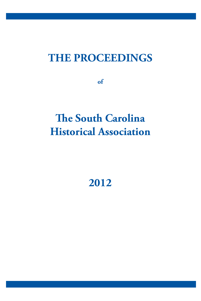## **THE PROCEEDINGS**

**of**

# **The South Carolina Historical Association**

## **2012**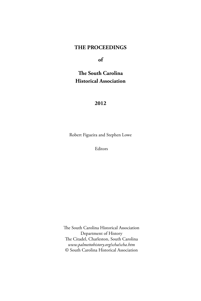### **THE PROCEEDINGS**

**of**

## **The South Carolina Historical Association**

#### **2012**

Robert Figueira and Stephen Lowe

Editors

The South Carolina Historical Association Department of History The Citadel, Charleston, South Carolina *www.palmettohistory.org/scha/scha.htm* © South Carolina Historical Association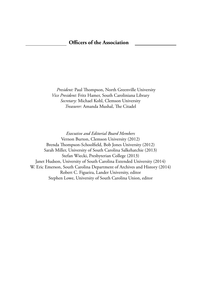*President:* Paul Thompson, North Greenville University *Vice President:* Fritz Hamer, South Caroliniana Library *Secretary:* Michael Kohl, Clemson University *Treasurer:* Amanda Mushal, The Citadel

*Executive and Editorial Board Members* Vernon Burton, Clemson University (2012) Brenda Thompson-Schoolfield, Bob Jones University (2012) Sarah Miller, University of South Carolina Salkehatchie (2013) Stefan Wiecki, Presbyterian College (2013) Janet Hudson, University of South Carolina Extended University (2014) W. Eric Emerson, South Carolina Department of Archives and History (2014) Robert C. Figueira, Lander University, editor Stephen Lowe, University of South Carolina Union, editor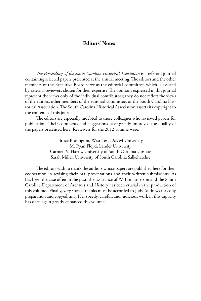#### **Editors' Notes**

*The Proceedings of the South Carolina Historical Association* is a refereed journal containing selected papers presented at the annual meeting. The editors and the other members of the Executive Board serve as the editorial committee, which is assisted by external reviewers chosen for their expertise.The opinions expressed in this journal represent the views only of the individual contributors; they do not reflect the views of the editors, other members of the editorial committee, or the South Carolina Historical Association. The South Carolina Historical Association asserts its copyright to the contents of this journal.

The editors are especially indebted to those colleagues who reviewed papers for publication. Their comments and suggestions have greatly improved the quality of the papers presented here. Reviewers for the 2012 volume were:

> Bruce Brasington, West Texas A&M University M. Ryan Floyd, Lander University Carmen V. Harris, University of South Carolina Upstate Sarah Miller, University of South Carolina Salkehatchie

The editors wish to thank the authors whose papers are published here for their cooperation in revising their oral presentations and their written submissions. As has been the case often in the past, the assistance of W. Eric Emerson and the South Carolina Department of Archives and History has been crucial in the production of this volume. Finally, very special thanks must be accorded to Judy Andrews for copy preparation and copyediting. Her speedy, careful, and judicious work in this capacity has once again greatly enhanced this volume.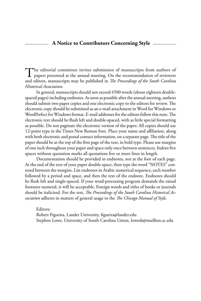#### **A Notice to Contributors Concerning Style**

The editorial committee invites submission of manuscripts from authors of **1** papers presented at the annual meeting. On the recommendation of reviewers and editors, manuscripts may be published in *The Proceedings of the South Carolina Historical Association*.

In general, manuscripts should not exceed 4500 words (about eighteen doublespaced pages) including endnotes. As soon as possible after the annual meeting, authors should submit two paper copies and one electronic copy to the editors for review. The electronic copy should be submitted as an e-mail attachment in Word for Windows or WordPerfect for Windows format. E-mail addresses for the editors follow this note. The electronic text should be flush left and double-spaced, with as little special formatting as possible. Do not paginate the electronic version of the paper. All copies should use 12-point type in the Times New Roman font. Place your name and affiliation, along with both electronic and postal contact information, on a separate page. The title of the paper should be at the top of the first page of the text, in bold type. Please use margins of one inch throughout your paper and space only once between sentences. Indent five spaces without quotation marks all quotations five or more lines in length.

Documentation should be provided in endnotes, not at the foot of each page. At the end of the text of your paper double-space, then type the word "NOTES" centered between the margins. List endnotes in Arabic numerical sequence, each number followed by a period and space, and then the text of the endnote. Endnotes should be flush left and single-spaced. If your word-processing program demands the raised footnote numeral, it will be acceptable. Foreign words and titles of books or journals should be italicized. For the rest, *The Proceedings of the South Carolina Historical Association* adheres in matters of general usage to the *The Chicago Manual of Style*.

Editors: Robert Figueira, Lander University, figueira@lander.edu Stephen Lowe, University of South Carolina Union, lowesh@mailbox.sc.edu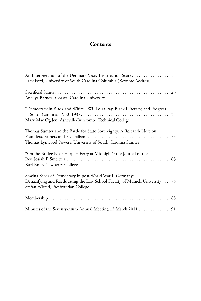### **Contents**

| An Interpretation of the Denmark Vesey Insurrection Scare7<br>Lacy Ford, University of South Carolina Columbia (Keynote Address)                                             |
|------------------------------------------------------------------------------------------------------------------------------------------------------------------------------|
| Aneilya Barnes, Coastal Carolina University                                                                                                                                  |
| "Democracy in Black and White": Wil Lou Gray, Black Illiteracy, and Progress<br>Mary Mac Ogden, Asheville-Buncombe Technical College                                         |
| Thomas Sumter and the Battle for State Sovereignty: A Research Note on<br>Thomas Lynwood Powers, University of South Carolina Sumter                                         |
| "On the Bridge Near Harpers Ferry at Midnight": the Journal of the<br>Karl Rohr, Newberry College                                                                            |
| Sowing Seeds of Democracy in post-World War II Germany:<br>Denazifying and Reeducating the Law School Faculty of Munich University 75<br>Stefan Wiecki, Presbyterian College |
|                                                                                                                                                                              |
| Minutes of the Seventy-ninth Annual Meeting 12 March 2011 91                                                                                                                 |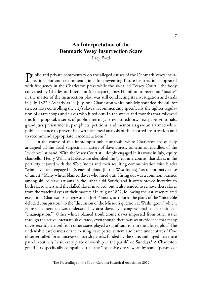## **An Interpretation of the Denmark Vesey Insurrection Scare**

Lacy Ford

Public and private commentary on the alleged causes of the Denmark Vesey insur-<br>rection plot and recommendations for preventing future insurrections appeared<br> $\frac{1}{2}$ with frequency in the Charleston press while the so-called "Vesey Court," the body convened by Charleston Intendant (or mayor) James Hamilton to mete out "justice" in the matter of the insurrection plot, was still conducting its investigation and trials in July 1822.<sup>1</sup> As early as 19 July, one Charleston white publicly sounded the call for stricter laws controlling the city's slaves, recommending specifically the tighter regulation of dram shops and slaves who hired out. In the weeks and months that followed this first proposal, a series of public meetings, letters-to-editors, newspaper editorials, grand jury presentments, pamphlets, petitions, and memorials gave an alarmed white public a chance to present its own piecemeal analysis of the aborted insurrection and to recommend appropriate remedial actions.<sup>2</sup>

In the course of this impromptu public analysis, white Charlestonians quickly arraigned all the usual suspects in matters of slave unrest, sometimes regardless of the "evidence" at hand. With the Vesey Court still deeply engaged in its work in July, equity chancellor Henry William DeSaussure identified the "great intercourse" that slaves in the port city enjoyed with the West Indies and their resulting communication with blacks "who have been engaged in Scenes of blood [in the West Indies]," as the primary cause of unrest.3 Many whites blamed slaves who hired out. Hiring out was a common practice among skilled slave artisans in the urban Old South, and it often proved lucrative to both slaveowners and the skilled slaves involved, but it also tended to remove these slaves from the watchful eyes of their masters.<sup>4</sup> In August 1822, following the last Vesey-related execution, Charleston's congressman, Joel Poinsett, attributed the plans of the "miserable deluded conspirators" to the "discussion of the Missouri question at Washington," which, Poinsett contended, was understood by area slaves as a congressional consideration of "emancipation."5 Other whites blamed troublesome slaves imported from other states through the active interstate slave trade, even though there was scant evidence that many slaves recently arrived from other states played a significant role in the alleged plot. $^6$  The undeniable carelessness of the existing slave patrol system also came under attack.7 One observer called for an increase in parish patrols, funded by the state, and urged that these patrols routinely "visit every place of worship in the parish" on Sundays.<sup>8</sup> A Charleston grand jury specifically complained that the "expensive dress" worn by some "persons of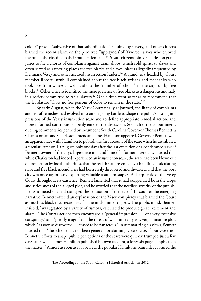colour" proved "subversive of that subordination" required by slavery, and other citizens blamed the recent alarm on the perceived "uppityness"of "favored" slaves who enjoyed the run of the city due to their masters' lenience.<sup>9</sup> Private citizens joined Charleston grand juries to file a chorus of complaints against dram shops, which sold spirits to slaves and often served as gathering places for free blacks and slaves, places allegedly frequented by Denmark Vesey and other accused insurrection leaders.10 A grand jury headed by Court member Robert Turnbull complained about the free black artisans and mechanics who took jobs from whites as well as about the "number of schools" in the city run by free blacks.<sup>11</sup> Other citizens identified the mere presence of free blacks as a dangerous anomaly in a society committed to racial slavery.<sup>12</sup> One citizen went so far as to recommend that the legislature "allow no free persons of color to remain in the state."<sup>13</sup>

By early August, when the Vesey Court finally adjourned, the litany of complaints and list of remedies had evolved into an on-going battle to shape the public's lasting impressions of the Vesey insurrection scare and to define appropriate remedial action, and more informed contributors openly entered the discussion. Soon after the adjournment, dueling commentaries penned by incumbent South Carolina Governor Thomas Bennett, a Charlestonian, and Charleston Intendant James Hamilton appeared. Governor Bennett won an apparent race with Hamilton to publish the first account of the scare when he distributed a circular letter on 10 August, only one day after the last execution of a condemned slave.<sup>14</sup> Bennett, owner of the city's largest rice mill and himself a former intendant, insisted that while Charleston had indeed experienced an insurrection scare, the scare had been blown out of proportion by local authorities, that the real threat presented by a handful of calculating slave and free black incendiaries had been easily discovered and thwarted, and that the port city was once again busy exporting valuable southern staples. A sharp critic of the Vesey Court throughout its existence, Bennett lamented that it had exaggerated both the scope and seriousness of the alleged plot, and he worried that the needless severity of the punishments it meted out had damaged the reputation of the state.15 To counter the emerging narrative, Bennett offered an explanation of the Vesey conspiracy that blamed the Court as much as black insurrectionists for the midsummer tragedy. The public mind, Bennett insisted, "was agitated by a variety of rumors, calculated to produce great excitement and alarm." The Court's actions then encouraged a "general impression . . . of a very extensive conspiracy," and "greatly magnified" the threat of what in reality was very immature plot, which, "as soon as discovered . . . ceased to be dangerous." In summarizing his views, Bennett insisted that "the scheme has not been general nor alarmingly extensive."16 But Governor Bennett's efforts to shape public perceptions of the scare were quickly trumped just a few days later, when James Hamilton published his own account, a forty-six page pamphlet, on the matter.17 Almost as soon as it appeared, the popular Hamilton's pamphlet captured the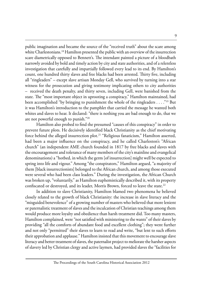public imagination and became the source of the "received truth" about the scare among white Charlestonians.<sup>18</sup> Hamilton presented the public with an overview of the insurrection scare diametrically opposed to Bennett's. The intendant painted a picture of a bloodbath narrowly avoided by bold and timely action by city and state authorities, and of a relentless investigation that carefully and impartially followed every lead to its end. By Hamilton's count, one hundred thirty slaves and free blacks had been arrested. Thirty five, including all "ringleaders" – except slave artisan Monday Gell, who survived by turning into a star witness for the prosecution and giving testimony implicating others to city authorities – received the death penalty, and thirty seven, including Gell, were banished from the state. The "most important object in uprooting a conspiracy," Hamilton maintained, had been accomplished "by bringing to punishment the whole of the ringleaders . . . ."19 But it was Hamilton's introduction to the pamphlet that carried the message he wanted both whites and slaves to hear. It declared: "there is nothing you are bad enough to do, that we are not powerful enough to punish."20

Hamilton also probed to find the presumed "causes of this conspiracy" in order to prevent future plots. He decisively identified black Christianity as the chief motivating force behind the alleged insurrection plot.<sup>21</sup> "Religious fanaticism," Hamilton asserted, had been a major influence on the conspiracy, and he called Charleston's "African church" (an independent AME church founded in 1817 by free blacks and slaves with the encouragement and tolerance of many members of the city's mainline and evangelical denominations) a "hotbed, in which the germ [of insurrection] might well be expected to spring into life and vigour." Among "the conspirators," Hamilton argued, "a majority of them [black insurrectionists] belonged to the African church, and among those executed were several who had been class leaders." During the investigation, the African Church was broken up, "voluntarily," as Hamilton euphemistically described it, with its property confiscated or destroyed, and its leader, Morris Brown, forced to leave the state.<sup>22</sup>

In addition to slave Christianity, Hamilton blamed two phenomena he believed closely related to the growth of black Christianity: the increase in slave literacy and the "misguided benevolence" of a growing number of masters who believed that more lenient or paternalistic treatment of slaves and the inculcation of Christian teachings among them would produce more loyalty and obedience than harsh treatment did. Too many masters, Hamilton complained, were "not satisfied with ministering to the wants" of their slaves by providing "all the comforts of abundant food and excellent clothing"; they went further and not only "permitted" their slaves to learn to read and write, "but lent to such efforts their approbation and applause." Hamilton insisted that this movement to encourage slave literacy and better treatment of slaves, the paternalist project to meliorate the harsher aspects of slavery led by Christian clergy and active laymen, had provided slaves the "facilities for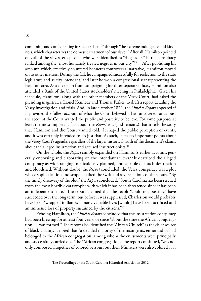combining and confederating in such a scheme" through "the extreme indulgence and kindness, which characterizes the domestic treatment of our slaves." After all, Hamilton pointed out, all of the slaves, except one, who were identified as "ringleaders" in the conspiracy ranked among the "most humanely treated negroes in our city."<sup>23</sup> After publishing his account, which effectively countered Bennett's controversial narrative, Hamilton moved on to other matters. During the fall, he campaigned successfully for reelection to the state legislature and as city intendant, and later he won a congressional seat representing the Beaufort area. As a diversion from campaigning for three separate offices, Hamilton also attended a Bank of the United States stockholders' meeting in Philadelphia. Given his schedule, Hamilton, along with the other members of the Vesey Court, had asked the presiding magistrates, Lionel Kennedy and Thomas Parker, to draft a report detailing the Vesey investigation and trials. And, in late October 1822, the *Official Report* appeared.24 It provided the fullest account of what the Court believed it had uncovered, or at least the account the Court wanted the public and posterity to believe. For some purposes at least, the most important fact about the *Report* was (and remains) that it tells the story that Hamilton and the Court wanted told. It shaped the public perception of events, and it was certainly intended to do just that. As such, it makes important points about the Vesey Court's agenda, regardless of the larger historical truth of the document's claims about the alleged insurrection and accused insurrectionists.<sup>25</sup>

On the whole, the *Report* simply expanded on Hamilton's earlier account, generally endorsing and elaborating on the intendant's views.<sup>26</sup> It described the alleged conspiracy as wide-ranging, meticulously planned, and capable of much destruction and bloodshed. Without doubt, the *Report* concluded, the Vesey conspiracy was a plot whose sophistication and scope justified the swift and severe actions of the Court. "By the timely discovery of the plot," the *Report* concluded, "South Carolina has been rescued from the most horrible catastrophe with which it has been threatened since it has been an independent state." The report claimed that the revolt "could not possibly" have succeeded over the long term, but before it was suppressed, Charleston would probably have been "wrapped in flames – many valuable lives [would] have been sacrificed and an immense loss of property sustained by the citizens."27

Echoing Hamilton, the *Official Report* concluded that the insurrection conspiracy had been brewing for at least four years, or since "about the time the African congregation . . . was formed." The report also identified the "African Church" as the chief source of black villainy. It noted that "a decided majority of the insurgents, either did or had belonged to the African congregation, among whom the enlistments were principally and successfully carried on." The "African congregation," the report continued, "was not only composed altogether of colored persons, but their Ministers were also colored . . . .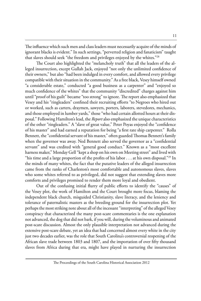The influence which such men and class leaders must necessarily acquire of the minds of ignorant blacks is evident." In such settings, "perverted religion and fanaticism" taught that slaves should seek "the freedom and privileges enjoyed by the whites."28

The Court also highlighted the "melancholy truth" that all the leaders of the alleged insurrection, except Gullah Jack, enjoyed "not only the unlimited confidence of their owners," but also "had been indulged in every comfort, and allowed every privilege compatible with their situation in the community." As a free black, Vesey himself owned "a considerable estate," conducted "a good business as a carpenter" and "enjoyed so much confidence of the whites" that the community "discredited" charges against him until "proof of his guilt" became "too strong" to ignore. The report also emphasized that Vesey and his "ringleaders" confined their recruiting efforts "to Negroes who hired out or worked, such as carters, draymen, sawyers, porters, laborers, stevedores, mechanics, and those employed in lumber yards," those "who had certain allotted hours at their disposal." Following Hamilton's lead, the *Report* also emphasized the unique characteristics of the other "ringleaders." A "slave of great value," Peter Poyas enjoyed the "confidence of his master" and had earned a reputation for being "a first rate ship carpenter." Rolla Bennett, the "confidential servant of his master," often guarded Thomas Bennett's family when the governor was away. Ned Bennett also served the governor as a "confidential servant" and was credited with "general good conduct." Known as a "most excellent harness maker," Monday Gell "kept a shop on his own on Meeting street" and lived with "his time and a large proportion of the profits of his labor  $\dots$  at his own disposal."<sup>29</sup> In the minds of many whites, the fact that the putative leaders of the alleged insurrection came from the ranks of Charleston's most comfortable and autonomous slaves, slaves who some whites referred to as privileged, did not suggest that extending slaves more comforts and privileges promised to render them more loyal and obedient.

Out of the confusing initial flurry of public efforts to identify the "causes" of the Vesey plot, the work of Hamilton and the Court brought more focus, blaming the independent black church, misguided Christianity, slave literacy, and the leniency and tolerance of paternalistic masters as the breeding ground for the insurrection plot. Yet perhaps the most striking note about all of the incessant "interpreting" of the alleged Vesey conspiracy that characterized the many post-scare commentaries is the one explanation not advanced, the dog that did not bark, if you will, during the voluminous and animated post-scare discussion. Almost the only plausible interpretation not advanced during the extensive post-scare debate, yet an idea that had concerned almost every white in the city just two decades earlier, was the role that South Carolina's controversial reopening of the African slave trade between 1803 and 1807, and the importation of over fifty thousand slaves from Africa during that era, might have played in nurturing the insurrection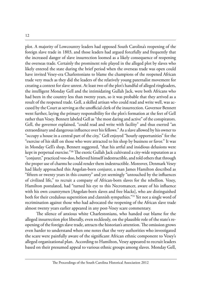plot. A majority of Lowcountry leaders had opposed South Carolina's reopening of the foreign slave trade in 1803, and those leaders had argued forcefully and frequently that the increased danger of slave insurrection loomed as a likely consequence of reopening the overseas trade. Certainly the prominent role played in the alleged plot by slaves who likely entered the state during the brief period when the overseas trade was open could have invited Vesey-era Charlestonians to blame the champions of the reopened African trade very much as they did the leaders of the relatively young paternalist movement for creating a context for slave unrest. At least two of the plot's handful of alleged ringleaders, the intelligent Monday Gell and the intimidating Gullah Jack, were both Africans who had been in the country less than twenty years, so it was probable that they arrived as a result of the reopened trade. Gell, a skilled artisan who could read and write well, was accused by the Court as serving as the unofficial clerk of the insurrection. Governor Bennett went further, laying the primary responsibility for the plot's formation at the feet of Gell rather than Vesey. Bennett labeled Gell as "the most daring and active" of the conspirators. Gell, the governor explained, "could read and write with facility" and thus exerted "an extraordinary and dangerous influence over his fellows." As a slave allowed by his owner to "occupy a house in a central part of the city," Gell enjoyed "hourly opportunities" for the "exercise of his skill on those who were attracted to his shop by business or favor." It was in Monday Gell's shop, Bennett suggested, "that his artful and insidious delusions were kept in perpetual exercise."<sup>30</sup> The exotic Gullah Jack cultivated a city-wide reputation as a "conjurer," practiced voo-doo, believed himself indestructible, and told others that through the proper use of charms he could render them indestructible. Moreover, Denmark Vesey had likely approached this Angolan-born conjurer, a man James Hamilton described as "fifteen or twenty years in this country" and yet seemingly "untouched by the influences of civilized life," to recruit a company of African-born slaves for the rebellion. Vesey, Hamilton postulated, had "turned his eye to this Necromancer, aware of his influence with his own countrymen [Angolan-born slaves and free blacks], who are distinguished both for their credulous superstition and clannish sympathies."31 Yet not a single word of recrimination against those who had advocated the reopening of the African slave trade almost twenty years earlier appeared in any post-Vesey scare commentary.

The silence of anxious white Charlestonians, who handed out blame for the alleged insurrection plot liberally, even recklessly, on the plausible role of the state's reopening of the foreign slave trade, attracts the historian's attention. The omission grows even harder to understand when one notes that the very authorities who investigated the scare were painfully aware of the significant African ethnic component to Vesey's alleged organizational plan. According to Hamilton, Vesey appeared to recruit leaders based on their presumed appeal to various ethnic groups among slaves. Monday Gell,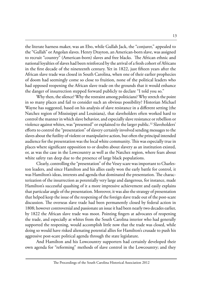the literate harness maker, was an Ebo, while Gullah Jack, the "conjurer," appealed to the "Gullah" or Angolan slaves. Henry Drayton, an American-born slave, was assigned to recruit "country" (American-born) slaves and free blacks. The African ethnic and national loyalties of slaves had been reinforced by the arrival of a fresh cohort of Africans in the first decade of the nineteenth century. Yet in 1822, just fifteen years after the African slave trade was closed in South Carolina, when one of their earlier prophecies of doom had seemingly come so close to fruition, none of the political leaders who had opposed reopening the African slave trade on the grounds that it would enhance the danger of insurrection stepped forward publicly to declare "I told you so."

Why then, the silence? Why the restraint among politicians? Why stretch the point in so many places and fail to consider such an obvious possibility? Historian Michael Wayne has suggested, based on his analysis of slave resistance in a different setting (the Natchez region of Mississippi and Louisiana), that slaveholders often worked hard to control the manner in which slave behavior, and especially slave resistance or rebellion or violence against whites, was "presented" or explained to the larger public.<sup>32</sup> Slaveholders' efforts to control the "presentation" of slavery certainly involved sending messages to the slaves about the futility of violent or manipulative action, but often the principal intended audience for the presentation was the local white community. This was especially true in places where significant opposition to or doubts about slavery as an institution existed, or, as was the case in the Lowcountry as well as the Natchez region, where fears about white safety ran deep due to the presence of large black populations.

Clearly, controlling the "presentation" of the Vesey scare was important to Charleston leaders, and since Hamilton and his allies easily won the early battle for control, it was Hamilton's ideas, interests and agenda that dominated the presentation. The characterization of the insurrection as potentially very large and dangerous, for instance, made Hamilton's successful quashing of it a more impressive achievement and easily explains that particular angle of the presentation. Moreover, it was also the strategy of presentation that helped keep the issue of the reopening of the foreign slave trade out of the post-scare discussion. The overseas slave trade had been permanently closed by federal action in 1808; however controversial and passionate an issue it had been nearly two decades earlier, by 1822 the African slave trade was moot. Pointing fingers at advocates of reopening the trade, and especially at whites from the South Carolina interior who had generally supported the reopening, would accomplish little now that the trade was closed, while doing so would have risked alienating potential allies for Hamilton's crusade to push his aggressive post-scare political agenda through the state legislature.

And Hamilton and his Lowcountry supporters had certainly developed their own agenda for "reforming" methods of slave control in the Lowcountry; and they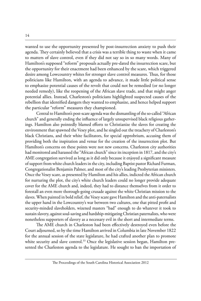wanted to use the opportunity presented by post-insurrection anxiety to push their agenda. They certainly believed that a crisis was a terrible thing to waste when it came to matters of slave control, even if they did not say so in so many words. Many of Hamilton's supposed "reform" proposals actually pre-dated the insurrection scare, but the opportunity for their enactment had been enhanced by the scare, which triggered desire among Lowcountry whites for stronger slave control measures. Thus, for those politicians like Hamilton, with an agenda to advance, it made little political sense to emphasize potential causes of the revolt that could not be remedied (or no longer needed remedy), like the reopening of the African slave trade, and that might anger potential allies. Instead, Charleston's politicians highlighted suspected causes of the rebellion that identified dangers they wanted to emphasize, and hence helped support the particular "reform" measures they championed.

Central to Hamilton's post-scare agenda was the dismantling of the so-called "African church" and generally ending the influence of largely unsupervised black religious gatherings. Hamilton also pointedly blamed efforts to Christianize the slaves for creating the environment that spawned the Vesey plot, and he singled out the treachery of Charleston's black Christians, and their white facilitators, for special opprobrium, accusing them of providing both the inspiration and venue for the creation of the insurrection plot. But Hamilton's concerns on these points were not new concerns. Charleston city authorities had monitored and harassed the "African church" since its inception in 1817, and the city's AME congregation survived as long as it did only because it enjoyed a significant measure of support from white church leaders in the city, including Baptist pastor Richard Furman, Congregationalist Benjamin Palmer, and most of the city's leading Presbyterian ministers. Once the Vesey scare, as presented by Hamilton and his allies, indicted the African church for nurturing the plot, the city's white church leaders could no longer provide adequate cover for the AME church and, indeed, they had to distance themselves from it order to forestall an even more thorough-going crusade against the white Christian mission to the slaves. When painted in bold relief, the Vesey scare gave Hamilton and the anti-paternalists the upper hand in the Lowcountry's war between two cultures, one that pitted profit and security-minded slaveholders, wizened masters "bad" enough to do whatever it took to sustain slavery, against soul-saving and hardship-mitigating Christian paternalists, who were nonetheless supporters of slavery as a necessary evil in the short and intermediate terms.

The AME church in Charleston had been effectively destroyed even before the Court adjourned, so by the time Hamilton arrived in Columbia in late November 1822 for the annual session of the state legislature, he had crafted another plan to promote white security and slave control.<sup>33</sup> Once the legislative session began, Hamilton presented the Charleston agenda to the legislature. He sought to ban the importation of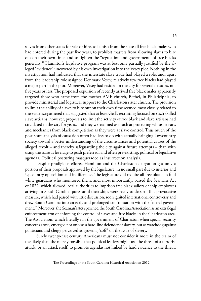slaves from other states for sale or hire, to banish from the state all free black males who had entered during the past five years, to prohibit masters from allowing slaves to hire out on their own time, and to tighten the "regulation and government" of free blacks generally.34 Hamilton's legislative program was at best only partially justified by the alleged "evidence" uncovered by his own investigation into the Vesey plot. Nothing in the investigation had indicated that the interstate slave trade had played a role, and, apart from the leadership role assigned Denmark Vesey, relatively few free blacks had played a major part in the plot. Moreover, Vesey had resided in the city for several decades, not five years or less. The proposed expulsion of recently arrived free black males apparently targeted those who came from the mother AME church, Bethel, in Philadelphia, to provide ministerial and logistical support to the Charleston sister church. The provision to limit the ability of slaves to hire out on their own time seemed most closely related to the evidence gathered that suggested that at least Gell's recruiting focused on such skilled slave artisans; however, proposals to limit the activity of free black and slave artisans had circulated in the city for years, and they were aimed as much at protecting white artisans and mechanics from black competition as they were at slave control. Thus much of the post-scare analysis of causation often had less to do with actually bringing Lowcountry society toward a better understanding of the circumstances and potential causes of the alleged revolt – and thereby safeguarding the city against future attempts – than with using the scare as leverage to push preferred, and often pre-existing, political or legislative agendas. Political posturing masqueraded as insurrection analysis.

Despite prodigious efforts, Hamilton and the Charleston delegation got only a portion of their proposals approved by the legislature, in no small part due to interior and Upcountry opposition and indifference. The legislature did require all free blacks to find white guardians who monitored them, and, most importantly, passed the Seaman's Act of 1822, which allowed local authorities to imprison free black sailors or ship employees arriving in South Carolina ports until their ships were ready to depart. This provocative measure, which had passed with little discussion, soon ignited international controversy and drew South Carolina into an early and prolonged confrontation with the federal government.<sup>35</sup> Moreover, the Seaman's Act spawned the South Carolina Association as an extralegal enforcement arm of enforcing the control of slaves and free blacks in the Charleston area. The Association, which literally ran the government of Charleston when special security concerns arose, emerged not only as a hard-line defender of slavery, but as watchdog against politicians and clergy perceived as growing "soft" on the issue of slavery.

Surely twenty-first century Americans must not consider it more in the realm of the likely than the merely possible that political leaders might use the threat of a terrorist attack, or an attack itself, to promote agendas not linked by hard evidence to the threat.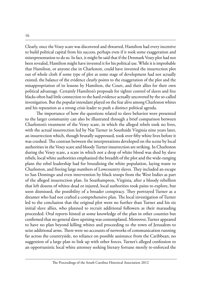Clearly, once the Vesey scare was discovered and thwarted, Hamilton had every incentive to build political capital from his success, perhaps even if it took some exaggeration and misrepresentation to do so. In fact, it might be said that if the Denmark Vesey plot had not been revealed, Hamilton might have invented it for his political use. While it is improbable that Hamilton, or anyone else in Charleston, could have invented the insurrection plot out of whole cloth if some type of plot at some stage of development had not actually existed, the balance of the evidence clearly points to the exaggeration of the plot and the misappropriation of its lessons by Hamilton, the Court, and their allies for their own political advantage. Certainly Hamilton's proposals for tighter control of slaves and free blacks often had little connection to the hard evidence actually uncovered by the so-called investigation. But the popular intendant played on the fear alive among Charleston whites and his reputation as a strong crisis leader to push a distinct political agenda.

The importance of how the questions related to slave behavior were presented to the larger community can also be illustrated through a brief comparison between Charleston's treatment of the Vesey scare, in which the alleged rebels took no lives, with the actual insurrection led by Nat Turner in Southside Virginia nine years later, an insurrection which, though brutally suppressed, took over fifty white lives before it was crushed. The contrast between the interpretations developed on the scene by local authorities in the Vesey scare and bloody Turner insurrection are striking. In Charleston during the Vesey scare, a scare in which not a drop of white blood was shed by slave rebels, local white authorities emphasized the breadth of the plot and the wide-ranging plans the rebel leadership had for brutalizing the white population, laying waste to Charleston, and freeing large numbers of Lowcountry slaves. They included an escape to San Domingo and even intervention by black troops from the West Indies as part of the alleged insurrection plan. In Southampton, Virginia, after a bloody rebellion that left dozens of whites dead or injured, local authorities took pains to explore, but soon dismissed, the possibility of a broader conspiracy. They portrayed Turner as a dreamer who had not crafted a comprehensive plan. The local investigation of Turner led to the conclusion that the original plot went no further than Turner and his six initial slave allies, who planned to recruit additional followers as their marauding proceeded. Oral reports hinted at some knowledge of the plan in other counties but confirmed that no general slave uprising was contemplated. Moreover, Turner appeared to have no plan beyond killing whites and proceeding to the town of Jerusalem to seize additional arms. There were no accounts of networks of communication running far across the countryside, no reliance on possible assistance from the Caribbean, no suggestion of a large plan to link up with other forces. Turner's alleged confession to an opportunistic local white attorney seeking literary fortune merely re-enforced the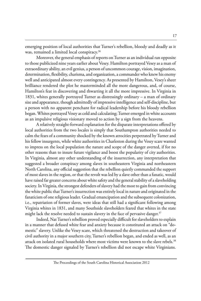emerging position of local authorities that Turner's rebellion, bloody and deadly as it was, remained a limited local conspiracy.<sup>36</sup>

Moreover, the general emphasis of reports on Turner as an individual ran opposite to those publicized nine years earlier about Vesey. Hamilton portrayed Vesey as a man of extraordinary ability, an evil genius, a person of uncommon courage, vision, imagination, determination, flexibility, charisma, and organization, a commander who knew his enemy well and anticipated almost every contingency. As presented by Hamilton, Vesey's sheer brilliance rendered the plot he masterminded all the more dangerous, and, of course, Hamilton's feat in discovering and thwarting it all the more impressive. In Virginia in 1831, whites generally portrayed Turner as distressingly ordinary – a man of ordinary size and appearance, though admittedly of impressive intelligence and self-discipline, but a person with no apparent penchant for radical leadership before his bloody rebellion began. Whites portrayed Vesey as cold and calculating; Turner emerged in white accounts as an impulsive religious visionary moved to action by a sign from the heavens.

A relatively straight-forward explanation for the disparate interpretations offered by local authorities from the two locales is simply that Southampton authorities needed to calm the fears of a community shocked by the known atrocities perpetrated by Turner and his fellow insurgents, while white authorities in Charleston during the Vesey scare wanted to impress on the local population the nature and scope of the danger averted, if for no other reasons than to insure future vigilance and boost the popularity of city authorities. In Virginia, almost any other understanding of the insurrection, any interpretation that suggested a broader conspiracy among slaves in southeastern Virginia and northeastern North Carolina, any official suggestion that the rebellion quietly commanded the support of most slaves in the region, or that the revolt was led by a slave other than a fanatic, would have raised far greater concerns about white safety and the general stability of a slaveholding society. In Virginia, the strongest defenders of slavery had the most to gain from convincing the white public that Turner's insurrection was entirely local in nature and originated in the fanaticism of one religious leader. Gradual emancipation and the subsequent colonization, i.e., repatriation of former slaves, were ideas that still had a significant following among Virginia whites in 1831, and many Southside slaveholders feared that whites in the state might lack the resolve needed to sustain slavery in the face of pervasive danger. $^{37}$ 

Indeed, Nat Turner's rebellion proved especially difficult for slaveholders to explain in a manner that defused white fear and anxiety because it constituted an attack on "domestic" slavery. Unlike the Vesey scare, which threatened the destruction and takeover of civil authority in a major southern city, Turner's rebellion began, and ended as well, as an attack on isolated rural households where most victims were known to the slave rebels.<sup>38</sup> The domestic danger signaled by Turner's rebellion did not escape white Virginians.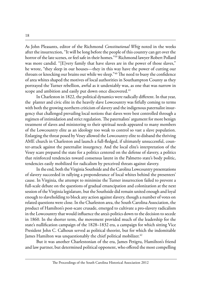As John Pleasants, editor of the Richmond *Constitutional Whig* noted in the weeks after the insurrection, "It will be long before the people of this country can get over the horror of the late scenes, or feel safe in their homes."39 Richmond lawyer Robert Pollard was more candid. "[E]very family that have slaves are in the power of those slaves," he wrote, "they sleep in our houses—they in this way have the power of cutting our throats or knocking our brains out while we sleep."40 The need to buoy the confidence of area whites shaped the motives of local authorities in Southampton County as they portrayed the Turner rebellion, awful as it undeniably was, as one that was narrow in scope and ambition and easily put down once discovered.<sup>41</sup>

In Charleston in 1822, the political dynamics were radically different. In that year, the planter and civic elite in the heavily slave Lowcountry was fitfully coming to terms with both the growing northern criticism of slavery and the indigenous paternalist insurgency that challenged prevailing local notions that slaves were best controlled through a regimen of intimidation and strict regulation. The paternalists' argument for more benign treatment of slaves and ministering to their spiritual needs appeared to many members of the Lowcountry elite as an ideology too weak to control so vast a slave population. Enlarging the threat posed by Vesey allowed the Lowcountry elite to disband the thriving AME church in Charleston and launch a full-fledged, if ultimately unsuccessful, counter-attack against the paternalist insurgency. And the local elite's interpretation of the Vesey scare prepared the state for a politics centered on the defense of slavery, a politics that reinforced tendencies toward consensus latent in the Palmetto state's body politic, tendencies easily mobilized for radicalism by perceived threats against slavery.

In the end, both the Virginia Southside and the Carolina Lowcountry presentations of slavery succeeded in rallying a preponderance of local whites behind the presenters' cause. In Virginia, the attempt to minimize the Turner insurrection failed to prevent a full-scale debate on the questions of gradual emancipation and colonization at the next session of the Virginia legislature, but the Southside did remain united enough and loyal enough to slaveholding to block any action against slavery, though a number of votes on related questions were close. In the Charleston area, the South Carolina Association, the product of Hamilton's post-scare crusade, emerged to cultivate a pro-slavery radicalism in the Lowcountry that would influence the area's politics down to the decision to secede in 1860. In the shorter term, the movement provided much of the leadership for the state's nullification campaign of the 1828–1832 era, a campaign for which sitting Vice President John C. Calhoun served as political theorist, but for which the indomitable James Hamilton was unquestionably the chief political mobilizer.<sup>42</sup>

But it was another Charlestonian of the era, James Petigru, Hamilton's friend and law partner, but determined political opponent, who offered the most compelling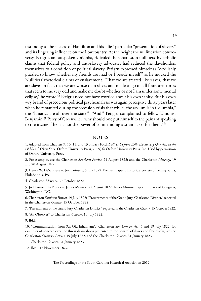testimony to the success of Hamilton and his allies' particular "presentation of slavery" and its lingering influence on the Lowcountry. At the height the nullification controversy, Petigru, an outspoken Unionist, ridiculed the Charleston nullifiers' hyperbolic claims that federal policy and anti-slavery advocates had reduced the slaveholders themselves to a condition of political slavery. Petigru expressed himself as "devilishly puzzled to know whether my friends are mad or I beside myself," as he mocked the Nullifiers' rhetorical claims of enslavement. "That we are treated like slaves, that we are slaves in fact, that we are worse than slaves and made to go on all fours are stories that seem to me very odd and make me doubt whether or not I am under some mental eclipse," he wrote.43 Petigru need not have worried about his own sanity. But his own wry brand of precocious political psychoanalysis was again perceptive thirty years later when he remarked during the secession crisis that while "the asylum is in Columbia," the "lunatics are all over the state." "And," Petigru complained to fellow Unionist Benjamin F. Perry of Greenville, "why should one put himself to the pains of speaking to the insane if he has not the power of commanding a straitjacket for them."44

#### **NOTES**

1. Adapted from Chapters 9, 10, 11, and 13 of Lacy Ford, *Deliver Us from Evil: The Slavery Question in the Old South* (New York: Oxford University Press, 2009) © Oxford University Press, Inc. Used by permission of Oxford University Press.

2. For examples, see the Charleston *Southern Patriot*, 21 August 1822; and the Charleston *Mercury*, 19 and 20 August 1822.

3. Henry W. DeSaussure to Joel Poinsett, 6 July 1822, Poinsett Papers, Historical Society of Pennsylvania, Philadelphia, PA.

4. Charleston *Mercury*, 30 October 1822.

5. Joel Poinsett to President James Monroe, 22 August 1822, James Monroe Papers, Library of Congress, Washington, DC.

6. Charleston *Southern Patriot*, 19 July 1822; "Presentments of the Grand Jury, Charleston District," reported in the Charleston *Gazette*, 15 October 1822.

7. "Presentments of the Grand Jury, Charleston District," reported in the Charleston *Gazette*, 15 October 1822.

8. "An Observer" to Charleston *Courier*, 10 July 1822.

9. Ibid.

10. "Communication from 'An Old Inhabitant'," Charleston *Southern Patriot*, 5 and 19 July 1822; for examples of concern over the threat dram shops presented to the control of slaves and free blacks, see the Charleston *Southern Patriot*, 19 July 1822, and the Charleston *Courier*, 31 January 1823.

11. Charleston *Courier*, 31 January 1823.

12. Ibid., 13 November 1822.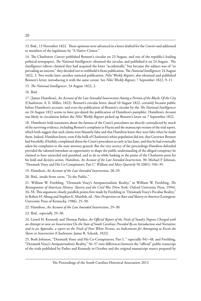13. Ibid., 13 November 1822. These opinions were advanced in a letter drafted for the *Courier* and addressed to members of the legislature by "A Native Citizen."

14. The Charleston *Courier* published Bennett's circular on 23 August, and one of the republic's leading political newspapers, *The National Intelligencer,* obtained the circular, and published it on 24 August. The *Intelligencer* editors claimed they had acquired the letter "accidentally," but because the subject was of "so pervading an interest," they decided not to withhold it from publication. The *National Intelligencer,* 24 August 1822, 2. Two weeks later, another national publication, *Niles' Weekly Register*, also obtained and published Bennett's letter, introducing it with the same caveat. See *Niles' Weekly Register,* 7 September 1822, 9–11.

15. *The National Intelligencer*, 24 August 1822, 2.

16. Ibid.

17. [James Hamilton], *An Account of the Late Intended Insurrection Among a Portion of the Blacks Of the City* (Charleston: A. E. Miller, 1822). Bennett's circular letter, dated 10 August 1822, certainly became public before Hamilton's account, and even the publication of Bennett's circular by the *The National Intelligencer* on 24 August 1822 seems to have pre-dated the publication of Hamilton's pamphlet. Hamilton's *Account* was likely in circulation before the *Niles' Weekly Register* picked up Bennett's letter on 7 September 1822.

18. Hamilton's bold statements about the fairness of the Court's procedures are directly contradicted by much of the surviving evidence, including Bennett's complaint to Hayne and the manuscript version of the trial report, which both suggest that such claims were blatantly false and that Hamilton knew they were false when he made them. Indeed, Hamilton knew, even if the bulk of Charleston's white population did not, that Governor Bennett had forcefully, if futilely, complained about the Court's procedures as early as late June, and that he had eventually taken his complaints to the state attorney general. But the very secrecy of the proceedings Hamilton defended provided the talented intendant an opportunity to shape the public understanding of the alleged conspiracy he claimed to have unraveled and punished, and to do so while basking in the praise of the Charleston press for his bold and decisive action. Hamilton, *An Account of the Late Intended Insurrection*, 30; Michael P. Johnson, "Denmark Vesey and His Co-Conspirators, Part I," *William and Mary Quarterly* 58 (2001): 936–39.

19. Hamilton, *An Account of the Late Intended Insurrection*, 28–29.

20. Ibid., inside front cover, "To the Public."

21. William W. Freehling, "Denmark Vesey's Antipaternalistic Reality," in William W. Freehling, *The Reintegration of American History: Slavery and the Civil War* (New York: Oxford University Press, 1994), 34–58. This argument closely parallels points first made by Freehling in "Denmark Vesey's Peculiar Reality," in Robert H. Abzug and Stephen E. Maizlish, ed., *New Perspectives on Race and Slavery in America* (Lexington: University Press of Kentucky, 1986), 25–50.

22. Hamilton, *An Account of the Late Intended Insurrection*, 29–30.

23. Ibid., especially 29–30.

24. Lionel H. Kennedy and Thomas Parker, *An Official Report of the Trials of Sundry Negroes Charged with an Attempt to raise an Insurrection On the State of South Carolina; Preceded By an Introduction and Narrative; and in an Appendix, a report on the Trials of Four White Persons, on Indictments for Attempting to Excite the Slaves to Insurrection* (Charleston: James R. Schenk, 1822).

25. Both Johnson, "Denmark Vesey and His Co-Conspirators, Part I, " especially 941–48, and Freehling, "Denmark Vesey's Antipaternalistic Reality," 56–57 note differences between the "official" public transcript of the trials published by Parker and Kennedy in October and the original manuscript source prepared by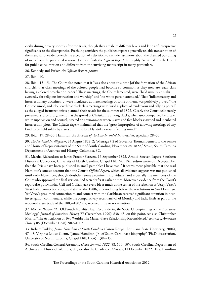clerks during or very shortly after the trials, though they attribute different levels and kinds of interpretive significance to the discrepancies. Freehling considers the published report a generally reliable transcription of the manuscript evidence with the exception of a decision to exclude testimony about the planned poisoning of wells from the published version. Johnson finds the *Official Report* thoroughly "sanitized" by the Court for public consumption and different from the surviving manuscript in many particulars.

26. Kennedy and Parker, *An Official Report*, *passim*.

27. Ibid., 40.

28. Ibid., 13–15. The Court also noted that it "was also about this time [of the formation of the African church], that class meetings of the colored people had become so common as they now are; each class having a colored preacher or leader." These meetings, the Court lamented, were "held usually at night . . . avowedly for religious instruction and worship" and "no white person attended." That "inflammatory and insurrectionary doctrines . . . were inculcated at these meetings or some of them, was positively proved," the Court claimed, and it believed that black class meetings were "used as places of rendezvous and rallying points" as the alleged insurrectionists planned their revolt for the summer of 1822. Clearly the Court deliberately presented a forceful argument that the spread of Christianity among blacks, when unaccompanied by proper white supervision and control, created an environment where slaves and free blacks spawned and incubated insurrection plots. The *Official Report* maintained that the "great impropriety of allowing meetings of any kind to be held solely by slaves . . . must forcibly strike every reflecting mind."

29. Ibid., 17, 28–30; Hamilton, *An Account of the Late Intended Insurrection*, especially 28–30.

30. *The National Intelligencer*, 24 August 1822, 2; "Message # 2 of Governor Thomas Bennett to the Senate and House of Representatives of the State of South Carolina, November 28, 1822," St828, South Carolina Department of Archives and History, Columbia, SC.

31. Martha Richardson to James Proctor Screven, 16 September 1822, Arnold-Screven Papers, Southern Historical Collection, University of North Carolina, Chapel Hill, NC. Richardson wrote on 16 September that the "trials have been published in small pamphlet I have read." It seems more plausible that she read Hamilton's concise account than the Court's *Official Report*, which all evidence suggests was not published until early November, though doubtless some prominent individuals, and especially the members of the Court who approved the final version, had seen drafts at earlier times. Moreover, evidence from the Court's report also put Monday Gell and Gullah Jack every bit as much at the center of the rebellion as Vesey. Vesey's West India connections origins dated to the 1780s, a period long before the revolutions in San Domingo. Yet Vesey's presumed connection to and contact with the Caribbean received significant attention in postinvestigation commentary, while the comparatively recent arrival of Monday and Jack, likely as part of the reopened slave trade of the 1803–1807 era, received little or no attention.

32. Michael Wayne, "An Old South Morality Play: Reconsidering the Social Underpinnings of the Proslavery Ideology," *Journal of American History* 77 (December, 1990): 838–63; on this point, see also Christopher Morris, "The Articulation of Two Worlds: The Master-Slave Relationship Reconsidered," *Journal of American History* 85 (December 1998): 982–1007.

33. Robert Tinkler, *James Hamilton of South Carolina* (Baton Rouge: Louisiana State University, 2004), 47–48; Virginia Louise Glenn, "James Hamilton, Jr., of South Carolina: a biography" (Ph.D. dissertation, University of North Carolina, Chapel Hill, 1964), 138–215.

34. South Carolina General Assembly, *House Journal, 1822*, 58, 100, 105, South Carolina Department of Archives and History, Columbia, SC; see also the Charleston *Mercury*, 11 December 1822. That Hamilton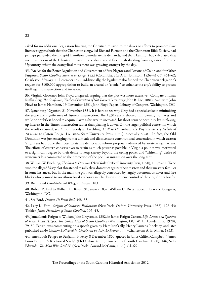asked for no additional legislation limiting the Christian mission to the slaves or efforts to promote slave literacy suggests both that the Charleston clergy, led Richard Furman and the Charleston Bible Society, had perhaps persuaded the intrepid Hamilton to moderate his demands, and that Hamilton had calculated that such restrictions of the Christian mission to the slaves would face tough sledding from legislators from the Upcountry, where the evangelical movement was growing stronger by the day.

35. "An Act for the Better Regulation and Government of Free Negroes and Persons of Color; and for Other Purposes, *South Carolina Statutes at Large, 1822* (Columbia, SC: A.H. Johnston, 1836–41), 7: 461–62; Charleston *Mercury*, 11 December 1822. Additionally, the legislature also funded the Charleston delegation's request for \$100,000 appropriation to build an arsenal or "citadel" to enhance the city's ability to protect itself against insurrection and invasion.

36. Virginia Governor John Floyd disagreed, arguing that the plot was more extensive. Compare Thomas Ruffin Gray, *The Confession, Trial and Execution of Nat Turner* (Petersburg: John B. Ege, 1881), 7–20 with John Floyd to James Hamilton, 19 November 1831, John Floyd Papers, Library of Congress, Washington, DC.

37. Lynchburg *Virginian*, 21 November 1831. It is hard to see why Gray had a special stake in minimizing the scope and significance of Turner's insurrection. The 1830 census showed him owning no slaves and while he doubtless hoped to acquire slaves as his wealth increased, his short-term opportunity lay in playing up interest in the Turner insurrection rather than playing it down. On the larger political context in which the revolt occurred, see Allison Goodyear Freehling, *Drift to Dissolution: The Virginia Slavery Debate of 1831–1832* (Baton Rouge: Louisiana State University Press, 1982), especially 36–81. In fact, the Old Dominion was just emerging from a difficult and divisive state constitutional convention in which eastern Virginians had done their best to stymie democratic reform proposals advanced by western egalitarians. The efforts of eastern conservatives to retain as much power as possible in Virginia politics was motivated to a significant degree by their desire to keep slavery beyond the taxing power and "whitening" desire of westerners less committed to the protection of the peculiar institution over the long term.

38. William W. Freehling, *The Road to Disunion* (New York: Oxford University Press, 1990), 1: 178–81. To be sure, the alleged Vesey plot threatened to rally slave domestics against their masters and their masters' families in some instances, but in the main the plot was allegedly concocted by largely autonomous slaves and free blacks who planned to overthrow local authority in Charleston and seize control of the city, if only briefly.

39. Richmond *Constitutional Whig*, 29 August 1831.

40. Robert Pollard to William C. Rives, 30 January 1832, William C. Rives Papers, Library of Congress, Washington, DC.

41. See Ford, *Deliver Us From Evil*, 348–53.

42. Lacy K. Ford, *Origins of Southern Radicalism* (New York: Oxford University Press, 1988), 126–53; Tinkler, *James Hamilton of South Carolina*, 105–45.

43. James Louis Petigru to William John Grayson, c. 1832, in James Petigru Carson, *Life, Letters and Speeches of James Louis Petigru: The Union Man of South Carolina* (Washington, DC: W. H. Lowdermilk, 1920), 79–80. Petigru was commenting on a speech given by Hamilton's ally, Henry Laurens Pinckney, and later published as *An Oration Delivered in Charleston on July the Fourth* . . . . (Charleston: A. E. Miller, 1833).

44. James Louis Petigru to Benjamin F. Perry, 8 December 1860, quoted in Julius Griffen Campbell, "James Louis Petigru: A Rhetorical Study" (Ph.D. dissertation, University of South Carolina, 1960), 146; Sally Edwards, *The Man Who Said No* (New York: Coward-McCann, 1970), 64–66.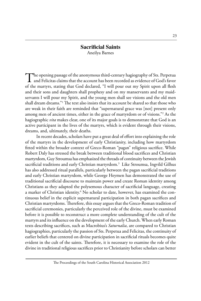#### **Sacrificial Saints** Aneilya Barnes

 $\blacksquare$  The opening passage of the anonymous third-century hagiography of Sts. Perpetua  $\blacksquare$  and Felicitas claims that the account has been recorded as evidence of God's favor of the martyrs, stating that God declared, "I will pour out my Spirit upon all flesh and their sons and daughters shall prophesy and on my manservants and my maidservants I will pour my Spirit, and the young men shall see visions and the old men shall dream dreams."1 The text also insists that its account be shared so that those who are weak in their faith are reminded that "supernatural grace was [not] present only among men of ancient times, either in the grace of martyrdom or of visions."2 As the hagiographic *vita* makes clear, one of its major goals is to demonstrate that God is an active participant in the lives of the martyrs, which is evident through their visions, dreams, and, ultimately, their deaths.

In recent decades, scholars have put a great deal of effort into explaining the role of the martyrs in the development of early Christianity, including how martyrdom fitted within the broader context of Greco-Roman "pagan" religious sacrifice. While Robert Daly has stressed the break between traditional blood sacrifices and Christian martyrdom, Guy Stroumsa has emphasized the threads of continuity between the Jewish sacrificial traditions and early Christian martyrdom.<sup>3</sup> Like Stroumsa, Ingvild Gilhus has also addressed ritual parallels, particularly between the pagan sacrificial traditions and early Christian martyrdom, while George Heymen has demonstrated the use of traditional sacrificial discourse to maintain power and create Roman identity among Christians as they adapted the polysemous character of sacrificial language, creating a marker of Christian identity.<sup>4</sup> No scholar to date, however, has examined the continuous belief in the explicit supernatural participation in both pagan sacrifices and Christian martyrdoms. Therefore, this essay argues that the Greco-Roman tradition of sacrificial ceremonies, particularly the perceived role of the divine, must be examined before it is possible to reconstruct a more complete understanding of the cult of the martyrs and its influence on the development of the early Church. When early Roman texts describing sacrifices, such as Macrobius's *Saturnalia*, are compared to Christian hagiographies, particularly the passion of Sts. Perpetua and Felicitas, the continuity of earlier beliefs that centered on divine participation in sacrificial rituals becomes quite evident in the cult of the saints. Therefore, it is necessary to examine the role of the divine in traditional religious sacrifices prior to Christianity before scholars can better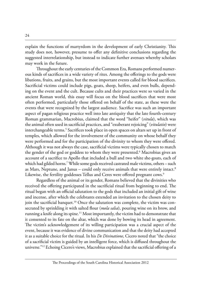explain the functions of martyrdom in the development of early Christianity. This study does not, however, presume to offer any definitive conclusions regarding the suggested interrelationship, but instead to indicate further avenues whereby scholars may work in the future.

Throughout the early centuries of the Common Era, Romans performed numerous kinds of sacrifices in a wide variety of rites. Among the offerings to the gods were libations, fruits, and grains, but the most important events called for blood sacrifices. Sacrificial victims could include pigs, goats, sheep, heifers, and even bulls, depending on the event and the cult. Because cults and their practices were so varied in the ancient Roman world, this essay will focus on the blood sacrifices that were most often performed, particularly those offered on behalf of the state, as these were the events that were recognized by the largest audience. Sacrifice was such an important aspect of pagan religious practice well into late antiquity that the late fourth-century Roman grammarian, Macrobius, claimed that the word "heifer" (*vitula*), which was the animal often used in sacrificial practices, and "exuberant rejoicing" (*vitulatio*) were interchangeable terms.<sup>5</sup> Sacrifices took place in open spaces on altars set up in front of temples, which allowed for the involvement of the community on whose behalf they were performed and for the participation of the divinity to whom they were offered. Although it was not always the case, sacrificial victims were typically chosen to match the gender of the god or goddess to whom they were presented.<sup>6</sup> Macrobius gives an account of a sacrifice to Apollo that included a bull and two white she-goats, each of which had gilded horns.<sup>7</sup> While some gods received castrated male victims, others – such as Mars, Neptune, and Janus – could only receive animals that were entirely intact.<sup>8</sup> Likewise, the fertility goddesses Tellus and Ceres were offered pregnant cows.<sup>9</sup>

Regardless of the animal or its gender, Romans believed that the divinities who received the offering participated in the sacrificial ritual from beginning to end. The ritual began with an official salutation to the gods that included an initial gift of wine and incense, after which the celebrants extended an invitation to the chosen deity to join the sacrificial banquet.<sup>10</sup> Once the salutation was complete, the victim was consecrated by sprinkling it with salted flour (*mola salsa*), pouring wine on its brow, and running a knife along its spine.<sup>11</sup> Most importantly, the victim had to demonstrate that it consented to its fate on the altar, which was done by bowing its head in agreement. The victim's acknowledgement of its willing participation was a crucial aspect of the event, because it was evidence of divine communication and that the deity had accepted it as a suitable choice for the ritual. In his *De Divinatione*, Cicero noted that "the choice of a sacrificial victim is guided by an intelligent force, which is diffused throughout the universe."<sup>12</sup> Echoing Cicero's views, Macrobius explained that the sacrificial offering of a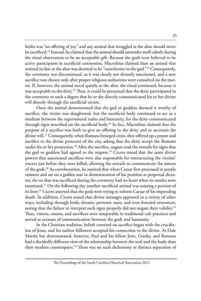heifer was "an offering of joy," and any animal that struggled at the altar should never be sacrificed.<sup>13</sup> Instead, he claimed that the animal should surrender itself calmly during the ritual observances to be an acceptable gift. Because the gods were believed to be active participants in sacrificial ceremonies, Macrobius claimed than an animal that resisted its fate at the altar was deemed to be "unwelcome to the god."14 Consequently, the ceremony was discontinued, as it was clearly not divinely sanctioned, and a new sacrifice was chosen only after proper religious authorities were consulted on the matter. If, however, the animal stood quietly at the altar, the ritual continued, because it was acceptable to the deity.<sup>15</sup> Thus, it could be presumed that the deity participated in the ceremony to such a degree that he or she directly communicated his or her divine will directly through the sacrificial victim.

Once the animal demonstrated that the god or goddess deemed it worthy of sacrifice, the victim was slaughtered, but the sacrificial body continued to act as a medium between the supernatural realm and humanity, for the deity communicated through signs inscribed on the sacrificial body.16 In fact, Macrobius claimed that the purpose of a sacrifice was both to give an offering to the deity and to ascertain the divine will.17 Consequently, when Romans besieged cities, they offered up a prayer and sacrifice to the divine protector of the city, asking that the deity accept the Romans under his or her protection.<sup>18</sup> After the sacrifice, augurs read the entrails for signs that the god or goddess had agreed to the request.<sup>19</sup> Cicero noted that the same divine powers that sanctioned sacrifices were also responsible for restructuring the victims' viscera just before they were killed, allowing the entrails to communicate the omens of the gods.20 As corroboration, he insisted that when Caesar first processed in purple raiment and sat on a golden seat in demonstration of his position as perpetual dictator, the ox that was sacrificed during the ceremony had no heart when its insides were examined.<sup>21</sup> On the following day another sacrificial animal was missing a portion of its liver.<sup>22</sup> Cicero asserted that the gods were trying to inform Caesar of his impending death. In addition, Cicero stated that divine messages appeared in a variety of other ways, including through birds, dreams, portents, stars, and even frenzied utterances, noting that the failure to interpret such signs properly did not negate their validity.<sup>23</sup> Thus, visions, omens, and sacrifices were inseparable in traditional cult practices and served as avenues of communication between the gods and humanity.

In the Christian tradition, beliefs centered on sacrifice began with the crucifixion of Jesus, and his earliest followers accepted his connection to the divine. As Dale Martin has demonstrated, however, Paul and his fellow Jews, Greeks, and Romans had a decidedly different view of the relationship between the soul and the body than their modern counterparts.<sup>24</sup> There was no such dichotomy or distinct separation of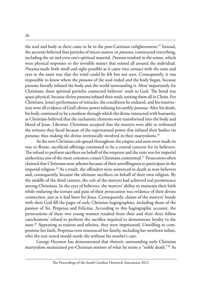the soul and body as there came to be in the post-Cartesian enlightenment.<sup>25</sup> Instead, the ancients believed that particles of micro-matter, or *pneuma*, constructed everything, including the air and even one's spiritual material. *Pneuma* resulted in the senses, which were physical responses to the invisible matter that existed all around the individual. *Pneuma* made both smell and sight possible as it came into contact with the nose and eyes in the same way that the wind could be felt but not seen. Consequently, it was impossible to know where the *pneuma* of the soul ended and the body began, because *pneuma* literally infused the body and the world surrounding it. Most importantly for Christians, these spiritual particles connected believers' souls to God. The bond was quasi-physical, because divine *pneuma* infused their souls, uniting them all in Christ. For Christians, Jesus's performance of miracles, the crucifixion he endured, and his resurrection were all evidence of God's divine power infusing his earthly *pneuma*. After his death, his body continued to be a medium through which the divine interacted with humanity, as Christians believed that the eucharistic elements were transformed into the body and blood of Jesus. Likewise, Christians accepted that the martyrs were able to withstand the tortures they faced because of the supernatural power that infused their bodies via *pneuma*, thus making the divine intrinsically involved in their martyrdoms.<sup>26</sup>

As the new Christian cult spread throughout the empire and soon even made its way to Rome, sacrificial offerings continued to be a central concern for its believers. The refusal to perform sacrifices on behalf of the emperor and the state was for imperial authorities one of the most common crimes Christians committed.27 Prosecutors often claimed that Christians were atheists because of their unwillingness to participate in the imperial religion.<sup>28</sup> As a result, the offenders were sentenced to death as non-believers and, consequently, became the ultimate sacrifices on behalf of their own religion. By the middle of the third century, the cult of the martyrs had achieved real prominence among Christians. In the eyes of believers, the martyrs' ability to maintain their faith while enduring the torture and pain of their persecution was evidence of their divine connection, just as it had been for Jesus. Consequently, claims of the martyrs' bonds with their God fill the pages of early Christian hagiographies, including those of the passion of Sts. Perpetua and Felicitas. According to this hagiographic account, the persecutions of these two young women resulted from their and their three fellow catechumens' refusal to perform the sacrifice required to demonstrate loyalty to the state.<sup>29</sup> Appearing as traitors and atheists, they were imprisoned. Unwilling to compromise her faith, Perpetua even renounced her family, including her newborn infant, who the text noted would surely die without his mother's care.

George Heymen has demonstrated that rhetoric surrounding early Christian martyrdom maintained pre-Christian notions of what he terms a "noble death."30 As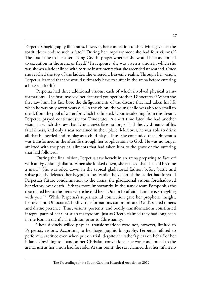Perpetua's hagiography illustrates, however, her connection to the divine gave her the fortitude to endure such a fate.<sup>31</sup> During her imprisonment she had four visions.<sup>32</sup> The first came to her after asking God in prayer whether she would be condemned to execution in the arena or freed.<sup>33</sup> In response, she was given a vision in which she was shown a ladder lined with torture instruments that she ascended unscathed. Once she reached the top of the ladder, she entered a heavenly realm. Through her vision, Perpetua learned that she would ultimately have to suffer in the arena before entering a blessed afterlife.

Perpetua had three additional visions, each of which involved physical transformations. The first involved her deceased younger brother, Dinocrates.<sup>34</sup> When she first saw him, his face bore the disfigurements of the disease that had taken his life when he was only seven years old. In the vision, the young child was also too small to drink from the pool of water for which he thirsted. Upon awakening from this dream, Perpetua prayed continuously for Dinocrates. A short time later, she had another vision in which she saw that Dinocrates's face no longer had the vivid marks of his fatal illness, and only a scar remained in their place. Moreover, he was able to drink all that he needed and to play as a child plays. Thus, she concluded that Dinocrates was transformed in the afterlife through her supplications to God. He was no longer afflicted with the physical ailments that had taken him to the grave or the suffering that had followed.

During the final vision, Perpetua saw herself in an arena preparing to face off with an Egyptian gladiator. When she looked down, she realized that she had become a man.<sup>35</sup> She was oiled down in the typical gladiatorial fashion before battle and subsequently defeated her Egyptian foe. While the vision of the ladder had foretold Perpetua's future condemnation to the arena, the gladiatorial visions foreshadowed her victory over death. Perhaps more importantly, in the same dream Pomponius the deacon led her to the arena where he told her, "Do not be afraid. I am here, struggling with you."<sup>36</sup> While Perpetua's supernatural connection gave her prophetic insight, her own and Dinocrates's bodily transformations communicated God's sacred omens and divine presence. Thus, visions, portents, and bodily transformations constituted integral parts of her Christian martyrdom, just as Cicero claimed they had long been in the Roman sacrificial tradition prior to Christianity.

These divinely willed physical transformations were not, however, limited to Perpetua's visions. According to her hagiographic biography, Perpetua refused to perform a sacrifice even when put on trial, despite her father's pleas on behalf of her infant. Unwilling to abandon her Christian convictions, she was condemned to the arena, just as her vision had foretold. At this point, the text claimed that her infant no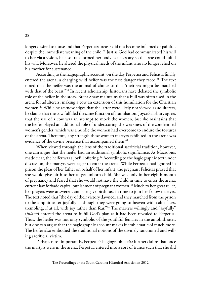longer desired to nurse and that Perpetua's breasts did not become inflamed or painful, despite the immediate weaning of the child.<sup>37</sup> Just as God had communicated his will to her via a vision, he also transformed her body as necessary so that she could fulfill his will. Moreover, he altered the physical needs of the infant who no longer relied on his mother for sustenance.

According to the hagiographic account, on the day Perpetua and Felicitas finally entered the arena, a charging wild heifer was the first danger they faced.<sup>38</sup> The text noted that the heifer was the animal of choice so that "their sex might be matched with that of the beast."39 In recent scholarship, historians have debated the symbolic role of the heifer in the story. Brent Shaw maintains that a bull was often used in the arena for adulterers, making a cow an extension of this humiliation for the Christian women.<sup>40</sup> While he acknowledges that the latter were likely not viewed as adulterers, he claims that the cow fulfilled the same function of humiliation. Joyce Salisbury agrees that the use of a cow was an attempt to mock the women, but she maintains that the heifer played an additional role of underscoring the weakness of the condemned women's gender, which was a hurdle the women had overcome to endure the tortures of the arena. Therefore, any strength these women martyrs exhibited in the arena was evidence of the divine presence that accompanied them.<sup>41</sup>

When viewed through the lens of the traditional sacrificial tradition, however, one can argue that the heifer had an additional symbolic significance. As Macrobius made clear, the heifer was a joyful offering.<sup>42</sup> According to the hagiographic text under discussion, the martyrs were eager to enter the arena. While Perpetua had ignored in prison the pleas of her father on behalf of her infant, the pregnant Felicitas prayed that she would give birth to her as-yet unborn child. She was only in her eighth month of pregnancy and feared that she would not have the child in time to enter the arena; current law forbade capital punishment of pregnant women.43 Much to her great relief, her prayers were answered, and she gave birth just in time to join her fellow martyrs. The text noted that "the day of their victory dawned, and they marched from the prison to the amphitheater joyfully as though they were going to heaven with calm faces, trembling, if at all, with joy rather than fear."<sup>44</sup> The martyrs willingly and "joyfully" (*hilares*) entered the arena to fulfill God's plan as it had been revealed to Perpetua. Thus, the heifer was not only symbolic of the youthful females in the amphitheater, but one can argue that the hagiographic account makes it emblematic of much more. The heifer also embodied the traditional notions of the divinely sanctioned and willing sacrificial victim.

Perhaps most importantly, Perpetua's hagiographic *vita* further claims that once the martyrs were in the arena, Perpetua entered into a sort of trance such that she did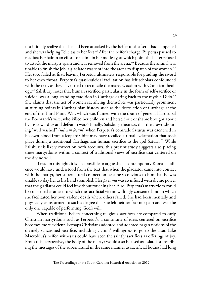not initially realize that she had been attacked by the heifer until after it had happened and she was helping Felicitas to her feet.<sup>45</sup> After the heifer's charge, Perpetua paused to readjust her hair in an effort to maintain her modesty, at which point the heifer refused to attack the martyrs again and was removed from the arena.<sup>46</sup> Because the animal was unable to finish the job, a gladiator was sent into the arena to dispatch of the women. $47$ He, too, failed at first, leaving Perpetua ultimately responsible for guiding the sword to her own throat. Perpetua's quasi-suicidal facilitation has left scholars confounded with the text, as they have tried to reconcile the martyr's action with Christian theology.48 Salisbury notes that human sacrifice, particularly in the form of self-sacrifice or suicide, was a long-standing tradition in Carthage dating back to the mythic Dido.<sup>49</sup> She claims that the act of women sacrificing themselves was particularly prominent at turning points in Carthaginian history such as the destruction of Carthage at the end of the Third Punic War, which was framed with the death of general Hasdrubal the Boeotarch's wife, who killed her children and herself out of shame brought about by his cowardice and defeat in war.<sup>50</sup> Finally, Salisbury theorizes that the crowd shouting "well washed" (*salvum lotum*) when Perpetua's comrade Saturus was drenched in his own blood from a leopard's bite may have recalled a ritual exclamation that took place during a traditional Carthaginian human sacrifice to the god Saturn.<sup>51</sup> While Salisbury is likely correct on both accounts, this present study suggests also placing these martyrdoms within a context of traditional views of sacrifice that centered on the divine will.

If read in this light, it is also possible to argue that a contemporary Roman audience would have understood from the text that when the gladiator came into contact with the martyr, her supernatural connection became so obvious to him that he was unable to slay her as his hand trembled. Her *pneuma* was so infused with divine power that the gladiator could feel it without touching her. Also, Perpetua's martyrdom could be construed as an act to which the sacrificial victim willingly consented and in which she facilitated her own violent death where others failed. She had been mentally and physically transformed to such a degree that she felt neither fear nor pain and was the only one capable of performing God's will.

When traditional beliefs concerning religious sacrifices are compared to early Christian martyrdoms such as Perpetua's, a continuity of ideas centered on sacrifice becomes more evident. Perhaps Christians adopted and adapted pagan notions of the divinely sanctioned sacrifice, including victims' willingness to go to the altar. Like Macrobius's heifer, witnesses could have seen the saintly sacrifices as offerings of joy. From this perspective, the body of the martyr would also be used as a slate for inscribing the messages of the supernatural in the same manner as sacrificial bodies had long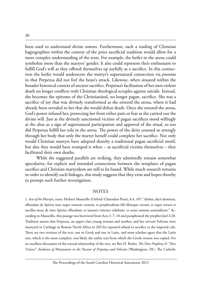been used to understand divine omens. Furthermore, such a reading of Christian hagiographies within the context of the prior sacrificial tradition would allow for a more complex understanding of the texts. For example, the heifer in the arena could symbolize more than the martyrs' gender. It also could represent their enthusiasm to fulfill God's will as they offered themselves up joyfully as a sacrifice. In this connection the heifer would underscore the martyr's supernatural connection via *pneuma* in that Perpetua did not feel the beast's attack. Likewise, when situated within the broader historical context of ancient sacrifice, Perpetua's facilitation of her own violent death no longer conflicts with Christian theological scruples against suicide. Instead, she becomes the epitome of the Christianized, no longer pagan, sacrifice. She was a sacrifice of joy that was divinely transformed as she entered the arena, where it had already been revealed to her that she would defeat death. Once she entered the arena, God's power infused her, protecting her from either pain or fear as she carried out the divine will. Just as the divinely sanctioned victims of pagan sacrifices stood willingly at the altar as a sign of supernatural participation and approval of the ritual, so too did Perpetua fulfill her role in the arena. The power of the deity coursed so strongly through her body that only the martyr herself could complete her sacrifice. Not only would Christian martyrs have adopted thereby a traditional pagan sacrificial motif, but also they would have trumped it when – as sacrificial victims themselves – they facilitated their own deaths.

While the suggested parallels are striking, they admittedly remain somewhat speculative, for explicit and intended connections between the templates of pagan sacrifice and Christian martyrdom are still to be found. While much research remains in order to identify such linkages, this study suggests that they exist and hopes thereby to prompt such further investigation.

#### NOTES

1. *Acts of the Martyrs*, trans. Herbert Musurillo (Oxford: Clarendon Press), 8.4, 107: "diebus, dicit dominus, effundam de Spiritu meo super omnem carnem, et prophetabunt filii filiaeque eorum; et super seruos et ancillas meas de meo Spiritu effundam; et iuuenes visiones videbunt, et senes somnia somniabunt." According to Musurillo, this passage was borrowed from Acts 2: 7–18 and paraphrased the prophet Joel 2:28. Tradition asserts that Perpetua, an upper-class young woman and mother, and her servant Felicitas were martyred in Carthage in Roman North Africa in 203 for repeated refusal to sacrifice to the imperial cult. There are two versions of the text, one in Greek and one in Latin, and most scholars agree that the Latin text, which is the most complete, was likely the earlier text from which the Greek version was copied. For an excellent discussion of the textual relationship of the two, see Rex D. Butler, *The New Prophecy & "New Visions": Evidence of Montanism in the Passion of Perpetua and Felicitas* (Washington, DC: The Catholic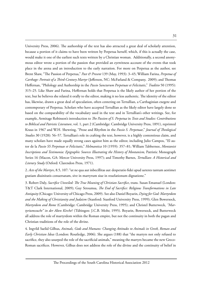University Press, 2006). The authorship of the text has also attracted a great deal of scholarly attention, because a portion of it claims to have been written by Perpetua herself, which, if this is actually the case, would make it one of the earliest such texts written by a Christian woman. Additionally, a second anonymous editor wrote a portion of the passion that provided an eyewitness account of the events that took place in the arena and an introduction to the early narration. For more on Perpetua as the author, see Brent Shaw, "The Passion of Perpetua," *Past & Present* 139 (May, 1993): 3–45; William Farina, *Perpetua of Carthage: Portrait of a Third-Century Martyr* (Jefferson, NC: McFarland & Company, 2009); and Thomas Heffernan, "Philology and Authorship in the *Passio Sanctarum Perpetuae et Felicitatis*," *Traditio* 50 (1995): 315–25. Like Shaw and Farina, Heffernan holds that Perpetua is the likely author of her portion of the text, but he believes she related it orally to the editor, making it no less authentic. The identity of the editor has, likewise, drawn a great deal of speculation, often centering on Tertullian, a Carthaginian exegete and contemporary of Perpetua. Scholars who have accepted Tertullian as the likely editor have largely done so based on the comparability of the vocabulary used in the text and in Tertullian's other writings. See, for example, Armitage Robinson's introduction to *The Passion of S. Perpetua* in *Texts and Studies: Contributions to Biblical and Patristic Literature*, vol. 1, part 2 (Cambridge: Cambridge University Press, 1891), reprinted Kraus in 1967 and W.H. Shewring, "Prose and Rhythm in the *Passio S. Perpetuae*," *Journal of Theological Studies* 30 (1928): 56–57. Tertullian's role in crafting the text, however, is a highly contentious claim, and many scholars have made equally strong cases against him as the editor, including Julio Campos, "El autor de la *Passio SS Perpetuae et Felicitatis*," *Helmantica* 10 (1959): 357–81; William Tabbernee, *Montanist Inscriptions and Testimonia: Epigraphic Sources Illustrating the History of Montanism,* Patristic Monograph Series 16 (Macon, GA: Mercer University Press, 1997); and Timothy Barnes, *Tertullian: A Historical and Literary Study* (Oxford: Clarendon Press, 1971).

2. *Acts of the Martyrs*, 8.5, 107: "ut ne qua aut inbecillitas aut desperatio fidei apud ueteres tantum aestimet gratiam diuinitatis conuersatam, sive in martyrum siue in reuelationum dignatione."

3. Robert Daly, *Sacrifice Unveiled: The True Meaning of Christian Sacrifice*, trans. Susan Emanuel (London: T&T Clark International, 2009); Guy Stroumsa, *The End of Sacrifice: Religious Transformations in Late Antiquity* (Chicago: University of Chicago Press, 2009). See also Daniel Boyarin, *Dying for God: Martyrdom and the Making of Christianity and Judaism* (Stanford: Stanford University Press, 1999); Glen Bowersock, *Martyrdom and Rome* (Cambridge: Cambridge University Press, 1995); and Christel Butterweck, *"Martyriumssucht" in der Alten Kirche*? (Tübingen: J.C.B. Mohr, 1995). Boyarin, Bowersock, and Butterweck all address the role of martyrdom within the Roman empire, but not the continuity in both the pagan and Christian traditions of the role of the divine.

4. Ingvild Saelid Gilhus, *Animals, Gods and Humans: Changing Attitudes to Animals in Greek, Roman and Early Christian Ideas* (London: Routledge, 2006). She argues (188) that "the martyrs not only refused to sacrifice, they also usurped the role of the sacrificial animals," meaning the martyrs became the new Greco-Roman sacrifices. However, Gilhus does not address the role of the divine and the continuity of belief in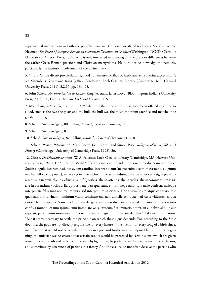supernatural involvement in both the pre-Christian and Christian sacrificial traditions. See also George Heymen, *The Power of Sacrifice: Roman and Christian Discourses in Conflict* (Washington, DC: The Catholic University of America Press, 2007), who is only interested in pointing out the break or differences between the earlier Greco-Roman practices and Christian martyrdoms. He does not acknowledge the parallels, particularly the intrinsic involvement of the divine in each.

5. " . . . ut 'vitula' dixerit pro vitulatione, quod nomen esse sacrificii ob laetitiam facti superius expressimus"; see Macrobius, *Saturnalia*, trans. Jeffrey Henderson, Loeb Classical Library (Cambridge, MA: Harvard University Press, 2011), 3.2.15, pp. 194–95.

6. John Scheid, *An Introduction to Roman Religion*, trans. Janet Lloyd (Bloomington: Indiana University Press, 2003), 80; Gilhus, *Animals, Gods and Humans*, 115.

7. Macrobius, *Saturnalia*, 1.29, p. 119. While more than one animal may have been offered at a time to a god, such as the two she-goats and the bull, the bull was the most important sacrifice and matched the gender of the god.

8. Scheid, *Roman Religion*, 80; Gilhus, *Animals, Gods and Humans*, 115.

9. Scheid, *Roman Religion*, 81.

10. Scheid. *Roman Religion*, 82; Gilhus, *Animals, Gods and Humans*, 116–18.

11. Scheid. *Roman Religion*, 83; Mary Beard, John North, and Simon Price, *Religions of Rome, Vol. 1: A History* (Cambridge: University of Cambridge Press, 1998), 36.

12. Cicero, *De Divinatione*, trans. W. A. Falconer, Loeb Classical Library (Cambridge, MA: Harvard University Press, 1923), 1.52.118, pp. 350–53: "Sed distinguendum videtur quonam modo. Nam non placet Stoicis singulis iecorum fissis aut avium cantibus interesse deum (neque enim decorum est nec dis dignum nec fieri ullo pacto potest), sed ita a principio inchoatum esse mundum, ut certis rebus certa signa praecurrerent, alia in extis, alia in avibus, alia in fulgoribus, alia in ostentis, alia in stellis, alia in somniantium visis, alia in furentium vocibus. Ea quibus bene percepta sunt, ei non saepe falluntur; male coniecta maleque interpretata falsa sunt non rerum vitio, sed interpretum inscientia. Hoc autem posito atque concesso, esse quandam vim divinam hominum vitam continentem, non difficile est, quae fieri certe videmus, ea qua ratione fiant suspicari. Nam et ad hostiam deligendam potest dux esse vis quaedam sentiens, quae est toto confusa mundo, et tum ipsum, cum immolare velis, extorum fieri mutatio potest, ut aut absit aliquid aut supersit; parvis enim momentis multa natura aut adfingit aut mutat aut detrahit." Falconer's translation: "But it seems necessary to settle the principle on which these signs depends. For, according to the Stoic doctrine, the gods are not directly responsible for every fissure in the liver or for every song of a bird; since, manifestly, that would not be seemly or proper in a god and furthermore is impossible. But, in the beginning, the universe was so created that certain results would be preceded by certain signs, which are given sometimes by entrails and by birds, sometimes by lightnings, by portents, and by stars, sometimes by dreams, and sometimes by utterances of persons in a frenzy. And these signs do not often deceive the persons who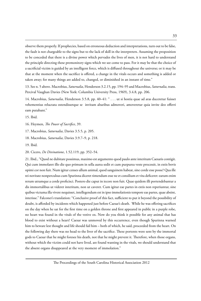observe them properly. If prophecies, based on erroneous deduction and interpretations, turn out to be false, the fault is not chargeable to the signs but to the lack of skill in the interpreters. Assuming the proposition to be conceded that there is a divine power which pervades the lives of men, it is not hard to understand the principle directing these premonitory signs which we see come to pass. For it may be that the choice of a sacrificial victim is guided by an intelligent force, which is diffused throughout the universe; or it may be that at the moment when the sacrifice is offered, a change in the vitals occurs and something is added or taken away; for many things are added to, changed, or diminished in an instant of time."

13. See n. 5 above. Macrobius, *Saturnalia*, Henderson 3.2.15, pp. 194–95 and Macrobius, *Saturnalia*, trans. Percival Vaughan Davies (New York: Columbia University Press, 1969), 3.4.8, pp. 206.

14. Macrobius, *Saturnalia*, Henderson 3.5.8, pp. 40–41: " . . . ut si hostia quae ad aras duceretur fuisset vehementius reluctata ostendissetque se invitam altaribus admoveri, amoveretur quia invite deo offerri eam putabant."

15. Ibid.

16. Heymen, *The Power of Sacrifice*, 39.

17. Macrobius, *Saturnalia*, Davies 3.5.5, p. 205.

18. Macrobius, *Saturnalia*, Davies 3.9.7–9, p. 218.

19. Ibid.

20. Cicero, *De Divinatione*, 1.52.119, pp. 352–54.

21. Ibid., "Quod ne dubitare possimus, maximo est argumento quod paulo ante interitum Caesaris contigit. Qui cum immolaret illo die quo primum in sella aurea sedit et cum purpurea veste processit, in extis bovis opimi cor non fuit. Num igitur censes ullum animal, quod sanguinem habeat, sine corde esse posse? Qua ille rei novitate nonperculsus cum Spurinna diceret timendum esse ne et consilium et vita deficeret: earum enim rerum utramque a corde proficisci. Postero die caput in iecore non fuit. Quae quidem illi portendebantur a dis immortalibus ut videret interitum, non ut caveret. Cum igitur eae partes in extis non reperiuntur, sine quibus victuma illa vivere nequisset, intellegendum est in ipso immolationis tempore eas partes, quae absint, interisse." Falconer's translation: "Conclusive proof of this fact, sufficient to put it beyond the possibility of doubt, is afforded by incidents which happened just before Caesar's death. While he was offering sacrifices on the day when he sat for the first time on a golden throne and first appeared in public in a purple robe, no heart was found in the vitals of the votive ox. Now do you think it possible for any animal that has blood to exist without a heart? Caesar was unmoved by this occurrence, even though Spurinna warned him to beware lest thought and life should fail him – both of which, he said, proceeded from the heart. On the following day there was no head to the liver of the sacrifice. These portents were sent by the immortal gods to Caesar that he might foresee his death, not that he might prevent it. Therefore, when those organs, without which the victim could not have lived, are found wanting in the vitals, we should understand that the absent organs disappeared at the very moment of immolation."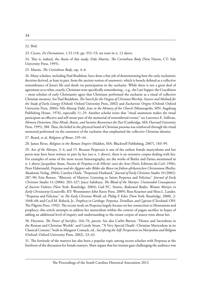22. Ibid.

23. Cicero, *De Divinatione*, 1.52.118, pp. 352–53; see texts in n. 12 above.

24. This is, indeed, the thesis of this study. Dale Martin, *The Corinthian Body* (New Haven, CT: Yale University Press, 1995).

25. Martin, *The Corinthian Body*, esp. 4–6.

26. Many scholars, including Paul Bradshaw, have done a fine job of demonstrating how the early eucharistic doctrine derived, at least in part, from the ancient notion of *anamnesis*, which is loosely defined as a collective remembrance of Jesus's life and death via participation in the eucharist. While there is not a great deal of agreement as to what, exactly, Christians were specifically remembering – e.g., the Last Supper, the Crucifixion – most scholars of early Christianity agree that Christians performed the eucharist as a ritual of collective Christian memory. See Paul Bradshaw, *The Search for the Origins of Christian Worship: Sources and Methods for the Study of Early Liturgy* (Oxford: Oxford University Press, 2002) and *Eucharistic Origins* (Oxford: Oxford University Press, 2004); Nils Alstrup Dahl, *Jesus in the Memory of the Church* (Minneapolis, MN: Augsburg Publishing House, 1976), especially 11–29. Another scholar notes that "ritual anamnesis makes the ritual participant an effective and self-aware part of the memorial of remembered events;" see Lawrence E. Sullivan, *Memory Distortion: How Minds, Brains, and Societies Reconstruct the Past* (Cambridge, MA: Harvard University Press, 1995), 388. Thus, the belief in the physical bond of Christian *pneuma* was reinforced through the ritual memorial performed via the *anamnesis* of the eucharist that emphasized the collective Christian identity.

27. Beard, et al, *Religions of Rome*, 239–44.

28. James Rives, *Religion in the Roman Empire* (Malden, MA: Blackwell Publishing, 2007), 183–99.

29. *Acts of the Martyrs*, 3, 6, and 15. Because Perpetua's is one of the earliest female martyrdoms and her *passio* may have been written in part by her (see n. 1 above), there is an extensive corpus dealing with her. For examples of some of the most recent historiography, see the works of Butler and Farina mentioned in n. 1 above; Jacqueline Amat, *Passion de Perpétue et de Félicité: suivi des Actes* (Paris: Editions du Cerf, 1996); Peter Habermehl, *Perpetua und der Ägypter oder Bilder des Bösen im frühen afrikanischen Christentum* (Berlin: Akademie Verlag, 2004); Carolyn Osiek, "Perpetua's Husband," *Journal of Early Christian Studies* 10 (2002): 287–90; Erin Ronsse, "Rhetoric of Martyrs: Listening to Saints Perpetua and Felicitas," *Journal of Early Christian Studies* 14 (2006): 283–327; Joyce Salisbury, *The Blood of the Martyrs: Unintended Consequences of Ancient Violence* (New York: Routledge, 2004); Gail P.C. Streete, *Redeemed Bodies: Women Martyrs in Early Christianity* (Louisville, KY: Westminster John Knox Press, 2009); Ross Kraemer and Shira L. Lander, "Perpetua and Felicitas," in *The Early Christian World*, ed. Philip F. Esler (New York: Routledge, 2000), 2: 1048–68; and Cecil M. Robeck, Jr., *Prophecy in Carthage: Perpetua, Tertullian, and Cyprian* (Cleveland, OH: The Pilgrim Press, 1992). The recent work on Perpetua largely focuses on her connection to Montanism and prophecy; this article attempts to address her martyrdom within the context of pagan sacrifice in hopes of adding an additional level of inquiry and understanding to the extant corpus of source texts about her.

30. Heymen, *The Power of Sacrifice*, 164–76, *passim*. See also Carlin Barton, "Honor and Sacredness in the Roman and Christian Worlds" and Carole Straw, "'A Very Special Death': Christian Martyrdom in its Classical Context," both in Margaret Comack, ed., *Sacrificing the Self: Perspectives on Martyrdom and Religion* (Oxford: Oxford University Press, 2002), 23–43.

31. The fortitude of the martyrs has also been a popular topic among recent scholars with Perpetua at the forefront of the discussion for female martyrs. Shaw argues that her intense gaze challenging the audience was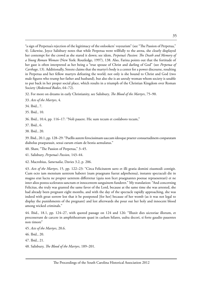35

32. For more on dreams in early Christianity, see Salisbury, *The Blood of the Martyrs*, 75–90.

- 33. *Acts of the Martyrs*, 4.
- 34. Ibid., 7.
- 35. Ibid., 10.
- 36. Ibid., 10.4, pp. 116–17: "Noli pauere. Hic sum tecum et conlaboro tecum,"
- 37. Ibid., 6.

38. Ibid., 20.

39. Ibid., 20.1, pp. 128–29: "Puellis autem ferocissimam uaccam ideoque praeter consuetudinem conparatam diabolus praeparauit, sexui earum etiam de bestia aemulatus."

- 40. Shaw, "The Passion of Perpetua," 3–45.
- 41. Salisbury, *Perpetua's Passion*, 143–44.
- 42. Macrobius, *Saturnalia*, Davies 3.2, p. 206.

43. *Acts of the Martyrs*, 15, pp. 122–23: "Circa Felicitatem uero et illi gratia domini eiusmodi contigit. Cum octo iam mensium uentrem haberet (nam praegnans fuerat adprehensa), instante spectaculi die in magno erat luctu ne propter uentrem differretur (quia non licet praegnantes poenae repraesentari) et ne inter alios postea sceleratos sanctum et innocentem sanguinem funderet." My translation: "And concerning Felicitas, she truly was granted the same favor of the Lord, because at the same time she was arrested, she had already been pregnant eight months, and with the day of the spectacle rapidly approaching, she was indeed with great sorrow lest that it be postponed [for her] because of her womb (as it was not legal to display the punishments of the pregnant) and lest afterwards she pour out her holy and innocent blood among wicked criminals."

44. Ibid., 18.1, pp. 124–27, with quoted passage on 124 and 126: "Illuxit dies uictoriae illorum, et processerunt de carcere in amphitheatrum quasi in caelum hilares, uultu decori, si forte gaudio pauentes non timore"

- 45. *Acts of the Martyrs*, 20.6.
- 46. Ibid., 20.
- 47. Ibid., 21.
- 48. Salisbury, *The Blood of the Martyrs*, 189–201.

<sup>&</sup>quot;a sign of Perpetua's rejection of the legitimacy of the onlookers' voyeurism" (see "The Passion of Perpetua," 4). Likewise, Joyce Salisbury notes that while Perpetua went willfully to the arena, she clearly displayed her contempt for the crowd as she stared it down; see idem, *Perpetua's Passion: The Death and Memory of a Young Roman Woman* (New York: Routledge, 1997), 138. Also, Farina points out that the fortitude of her gaze is often interpreted as her being a "true spouse of Christ and darling of God" (see *Perpetua of Carthage*, 13). Additionally, Streete claims that the martyr's body is a center for a power discourse, resulting in Perpetua and her fellow martyrs defeating the world; not only is she bound to Christ and God (two male figures who trump her father and husband), but also she is an unruly woman whom society is unable to put back in her proper social place, which results in a triumph of the Christian Kingdom over Roman Society (*Redeemed Bodies*, 64–72).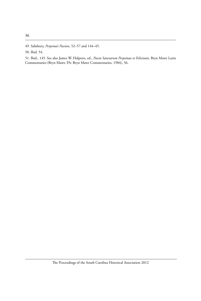51. Ibid., 145. See also James W. Halporn, ed., *Passio Sanctarum Perpetuae et Felicitatis,* Bryn Mawr Latin Commentaries (Bryn Mawr, PA: Bryn Mawr Commentaries, 1984), 56.

<sup>49.</sup> Salisbury, *Perpetua's Passion*, 52–57 and 144–45.

<sup>50.</sup> Ibid. 54.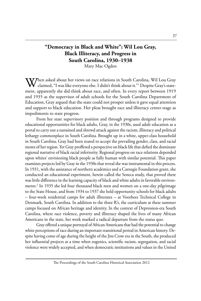# **"Democracy in Black and White": Wil Lou Gray, Black Illiteracy, and Progress in South Carolina, 1930–1938**

Mary Mac Ogden

When asked about her views on race relations in South Carolina, Wil Lou Gray claimed, "I was like everyone else. I didn't think about it." Despite Gray's statement, apparently she did think about race, and often. In every report between 1919 and 1935 as the supervisor of adult schools for the South Carolina Department of Education, Gray argued that the state could not prosper unless it gave equal attention and support to black education. Her pleas brought race and illiteracy center-stage as impediments to state progress.

From her state supervisory position and through programs designed to provide educational opportunities for black adults, Gray, in the 1930s, used adult education as a portal to carry out a sustained and shrewd attack against the racism, illiteracy and political lethargy commonplace in South Carolina. Brought up in a white, upper-class household in South Carolina, Gray had been reared to accept the prevailing gender, class, and racial mores of her region. Yet Gray proffered a perspective on black life that defied the dominant regional narrative of black racial inferiority. Regional progress on race relations depended upon whites' envisioning black people as fully human with similar potential. This paper examines projects led by Gray in the 1930s that reveal she was instrumental in this process. In 1931, with the assistance of northern academics and a Carnegie Foundation grant, she conducted an educational experiment, herein called the Seneca study, that proved there was little difference in the learning capacity of black and white adults in favorable environments.2 In 1935 she led four thousand black men and women on a one-day pilgrimage to the State House, and from 1934 to 1937 she held opportunity schools for black adults – four-week residential camps for adult illiterates – at Voorhees Technical College in Denmark, South Carolina. In addition to the three R's, the curriculum at these summer camps focused on African heritage and identity. In the context of Depression-era South Carolina, where race violence, poverty and illiteracy shaped the lives of many African Americans in the state, her work marked a radical departure from the status quo.

Gray offered a unique portrayal of African Americans that had the potential to change white perceptions of race during an important transitional period in American history. Despite having come of age during the height of the Jim Crow era in the South, she produced her influential projects at a time when eugenics, scientific racism, segregation, and racial violence were widely accepted, and when democratic institutions and values in the United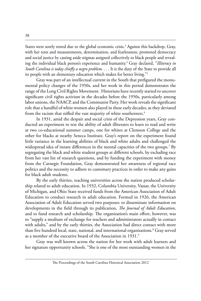States were sorely tested due to the global economic crisis.<sup>3</sup> Against this backdrop, Gray, with her tests and measurements, determination, and fearlessness, promoted democracy and social justice by casting aside stigmas assigned collectively to black people and revealing the individual black person's experience and humanity.<sup>4</sup> Gray declared, "*Illiteracy in South Carolina is today chiefly a negro problem*. . . . It is the duty of the State to provide all its people with an elementary education which makes for better living."5

Gray was part of an intellectual current in the South that prefigured the monumental policy changes of the 1950s, and her work in this period demonstrates the range of the Long Civil Rights Movement. Historians have recently started to uncover significant civil rights activism in the decades before the 1950s, particularly among labor unions, the NAACP, and the Communist Party. Her work reveals the significant role that a handful of white women also played in these early decades, as they deviated from the racism that stifled the vast majority of white southerners.<sup>6</sup>

In 1931, amid the despair and social crisis of the Depression years, Gray conducted an experiment to test the ability of adult illiterates to learn to read and write at two co-educational summer camps, one for whites at Clemson College and the other for blacks at nearby Seneca Institute. Gray's report on the experiment found little variance in the learning abilities of black and white adults and challenged the widespread idea of innate differences in the mental capacities of the two groups.7 By segregating the black and white student groups at different schools, by excluding race from her vast list of research questions, and by funding the experiment with money from the Carnegie Foundation, Gray demonstrated her awareness of regional race politics and the necessity to adhere to customary practices in order to make any gains for black adult students.

By the early thirties, teaching universities across the nation produced scholarship related to adult education. In 1932, Columbia University, Vassar, the University of Michigan, and Ohio State received funds from the American Association of Adult Education to conduct research in adult education. Formed in 1926, the American Association of Adult Education served two purposes: to disseminate information on developments in the field through its publication, *The Journal of Adult Education*, and to fund research and scholarship. The organization's main effort, however, was to "supply a medium of exchange for teachers and administrators actually in contact with adults," and by the early thirties, the Association had direct contact with more than five hundred local, state, national, and international organizations.<sup>8</sup> Gray served as a member of the executive board of the Association in 1931.<sup>9</sup>

Gray was well known across the nation for her work with adult learners and her signature opportunity schools. "She is one of the most outstanding women in the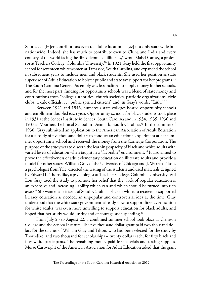South. . . . [H]er contributions even to adult education is [*sic*] not only state wide but nationwide. Indeed, she has much to contribute even to China and India and every country of the world facing the dire dilemma of illiteracy," wrote Mabel Carney, a professor at Teachers College, Columbia University.<sup>10</sup> In 1921 Gray held the first opportunity school for seventeen white women at Tamassee, South Carolina, and expanded the school in subsequent years to include men and black students. She used her position as state supervisor of Adult Education to bolster public and state tax support for her programs.<sup>11</sup> The South Carolina General Assembly was less inclined to supply money for her schools, and for the most part, funding for opportunity schools was a blend of state money and contributions from "college authorities, church societies, patriotic organizations, civic clubs, textile officials, . . . public spirited citizens" and, in Gray's words, "faith." 12

Between 1921 and 1946, numerous state colleges hosted opportunity schools and enrollment doubled each year. Opportunity schools for black students took place in 1931 at the Seneca Institute in Seneca, South Carolina and in 1934, 1935, 1936 and 1937 at Voorhees Technical School in Denmark, South Carolina.13 In the summer of 1930, Gray submitted an application to the American Association of Adult Education for a subsidy of five thousand dollars to conduct an educational experiment at her summer opportunity school and received the money from the Carnegie Corporation. The purpose of the study was to discern the learning capacity of black and white adults with varied levels of education when taught in a "favorable" environment.<sup>14</sup> It also aimed to prove the effectiveness of adult elementary education on illiterate adults and provide a model for other states. William Gray of the University of Chicago and J. Warren Tilton, a psychologist from Yale, directed the testing of the students and used materials designed by Edward L. Thorndike, a psychologist at Teachers College, Columbia University. Wil Lou Gray used the study to promote her belief that the "lack of popular education is an expensive and increasing liability which can and which should be turned into rich assets." She wanted all citizens of South Carolina, black or white, to receive tax supported literacy education as needed, an unpopular and controversial idea at the time. Gray understood that the white state government, already slow to support literacy education for white adults, was even more unwilling to support education for black adults, and hoped that her study would justify and encourage such spending.<sup>15</sup>

From July 23 to August 22, a combined summer school took place at Clemson College and the Seneca Institute. The five thousand dollar grant paid two thousand dollars for the salaries of William Gray and Tilton, who had been selected for the study by Thorndike, and two thousand for scholarships – twenty dollars each, for fifty black and fifty white participants. The remaining money paid for materials and testing supplies. Morse Cartwright of the American Association for Adult Education asked that the grant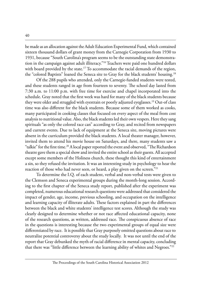be made as an allocation against the Adult Education Experimental Fund, which contained sixteen thousand dollars of grant money from the Carnegie Corporation from 1930 to 1931, because "South Carolina's program seems to be the outstanding state demonstration in the campaign against adult illiteracy."<sup>16</sup> Teachers were paid one hundred dollars with board provided by the state.<sup>17</sup> To accommodate the racial demands of the region, the "colored Baptists" loaned the Seneca site to Gray for the black students' housing.<sup>18</sup>

Of the 288 pupils who attended, only the Carnegie-funded students were tested, and these students ranged in age from fourteen to seventy. The school day lasted from 7:30 a.m. to 11:00 p.m. with free time for exercise and chapel incorporated into the schedule. Gray noted that the first week was hard for many of the black students because they were older and struggled with eyestrain or poorly adjusted eyeglasses.<sup>19</sup> Out-of class time was also different for the black students. Because some of them worked as cooks, many participated in cooking classes that focused on every aspect of the meal from cost analysis to nutritional value. Also, the black students led their own vespers. Here they sang spirituals "as only the colored race can" according to Gray, and recited from newspapers and current events. Due to lack of equipment at the Seneca site, moving pictures were absent in the curriculum provided the black students. A local theater manager, however, invited them to attend his movie house on Saturdays, and there, many students saw a "talkie" for the first time.<sup>20</sup> A local paper reported the event and observed, "The Richardson theatre gave them a special show and invited the entire school as their guests. All accepted except some members of the Holiness church, these thought this kind of entertainment a sin, so they refused the invitation. It was an interesting study in psychology to hear the reaction of those who had never seen, or heard, a play given on the screen."<sup>21</sup>

To determine the I.Q. of each student, verbal and non-verbal tests were given to the Clemson and Seneca experimental groups during the month-long session. According to the first chapter of the Seneca study report, published after the experiment was completed, numerous educational research questions were addressed that considered the impact of gender, age, income, previous schooling, and occupation on the intelligence and learning capacity of illiterate adults. These factors explained in part the differences between the black and white students' intelligence test scores. Although the study was clearly designed to determine whether or not race affected educational capacity, none of the research questions, as written, addressed race. The conspicuous absence of race in the questions is interesting because the two experimental groups of equal size were differentiated by race. It is possible that Gray purposely omitted questions about race to neutralize potential controversy about the study locally. It was not until the end of the report that Gray debunked the myth of racial difference in mental capacity, concluding that there was "little difference between the learning ability of whites and Negroes."<sup>22</sup>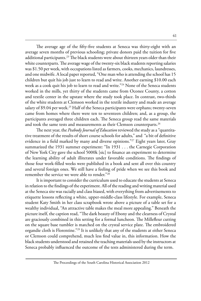The average age of the fifty-five students at Seneca was thirty-eight with an average seven months of previous schooling; private donors paid the tuition for five additional participants.<sup>23</sup> The black students were about thirteen years older than their white counterparts. The average wage of the twenty-six black students reporting salaries was \$1.50 per week, with occupations listed as farmers, cooks, mechanics, laundresses, and one midwife. A local paper reported, "One man who is attending the school has 15 children but quit his job just to learn to read and write. Another earning \$10.00 each week as a cook quit his job to learn to read and write."<sup>24</sup> None of the Seneca students worked in the mills, yet thirty of the students came from Oconee County, a cotton and textile center in the upstate where the study took place. In contrast, two-thirds of the white students at Clemson worked in the textile industry and made an average salary of \$9.04 per week.<sup>25</sup> Half of the Seneca participants were orphans; twenty-seven came from homes where there were ten to seventeen children; and, as a group, the participants averaged three children each. The Seneca group read the same materials and took the same tests and measurements as their Clemson counterparts.<sup>26</sup>

The next year, the *Peabody Journal of Education* reviewed the study as a "quantitative treatment of the results of short course schools for adults," and "a bit of definitive evidence in a field marked by many and diverse opinions."27 Eight years later, Gray summarized the 1931 summer experiment: "In 1931 . . . the Carnegie Corporation of New York City gave the school 5000k [sic] to finance an experiment to determine the learning ability of adult illiterates under favorable conditions. The findings of those four work-filled weeks were published in a book and sent all over this country and several foreign ones. We still have a feeling of pride when we see this book and remember the service we were able to render."28

It is important to consider the curriculum used to educate the students at Seneca in relation to the findings of the experiment. All of the reading and writing material used at the Seneca site was racially and class biased, with everything from advertisements to etiquette lessons reflecting a white, upper-middle-class lifestyle. For example, Seneca student Katy Smith in her class scrapbook wrote above a picture of a table set for a wealthy individual, "An attractive table makes the meal more appealing." Beneath the picture itself, the caption read, "The dark beauty of Ebony and the clearness of Crystal are graciously combined in this setting for a formal luncheon. The Millefleur cutting on the square base tumbler is matched on the crystal service plate. The embroidered organdie cloth is Florentine."29 It is unlikely that any of the students at either Seneca or Clemson could comprehend, much less find value in, this information. How the black students understood and retained the teaching materials used by the instructors at Seneca probably influenced the outcome of the tests administered during the term.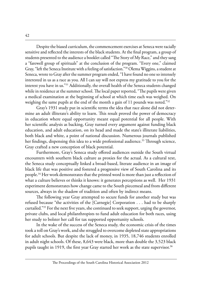Despite the biased curriculum, the commencement exercises at Seneca were racially sensitive and reflected the interests of the black students. At the final program, a group of students presented to the audience a booklet called "The Story of My Race," and they sang a "farewell group of spirituals" at the conclusion of the program. "Every one," claimed Gray, "left the Seneca Institute with a feeling of satisfaction."30 Olema Wiggins, a student at Seneca, wrote to Gray after the summer program ended, "I have found no one so intensely interested in us as a race as you. All I can say will not express my gratitude to you for the interest you have in us."31 Additionally, the overall health of the Seneca students changed while in residence at the summer school. The local paper reported, "The pupils were given a medical examination at the beginning of school at which time each was weighed. On weighing the same pupils at the end of the month a gain of 11 pounds was noted."32

Gray's 1931 study put in scientific terms the idea that race alone did not determine an adult illiterate's ability to learn. This result proved the power of democracy in education where equal opportunity meant equal potential for all people. With her scientific analysis as backing, Gray turned every argument against funding black education, and adult education, on its head and made the state's illiterate liabilities, both black and white, a point of national discussion. Numerous journals published her findings, dispensing this idea to a wide professional audience.<sup>33</sup> Through science, Gray crafted a new conception of black potential.

Furthermore, Gray's Seneca study offered audiences outside the South virtual encounters with southern black culture as proxies for the actual. As a cultural text, the Seneca study conceptually linked a broad-based, literate audience in an image of black life that was positive and fostered a progressive view of South Carolina and its people.<sup>34</sup> Her work demonstrates that the printed word is more than just a reflection of what a culture believes or thinks it knows: it generates perceptions as well. Her 1931 experiment demonstrates how change came to the South piecemeal and from different sources, always in the shadow of tradition and often by indirect means.

The following year Gray attempted to secure funds for another study but was refused because "the activities of the [Carnegie] Corporation . . . had to be sharply curtailed."35 For the next five years, she continued to seek support, urging the governor, private clubs, and local philanthropists to fund adult education for both races, using her study to bolster her call for tax supported opportunity schools.

In the wake of the success of the Seneca study, the economic crisis of the times took a toll on Gray's work, and she struggled to overcome depleted state appropriations for adult schools. But despite the lack of money, in 1935, 18,746 students enrolled in adult night schools. Of these, 8,643 were black, more than double the 3,523 black pupils taught in 1919, the first year Gray started her work as the state supervisor. $36$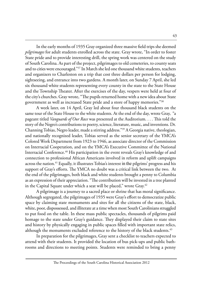In the early months of 1935 Gray organized three massive field trips she deemed *pilgrimages* for adult students enrolled across the state. Gray wrote, "In order to foster State pride and to provide interesting drill, the spring work was centered on the study of South Carolina. As part of the project, pilgrimages to old cemeteries, to county seats and to cities were encouraged."37 In March she led one thousand white students, teachers and organizers to Charleston on a trip that cost three dollars per person for lodging, sightseeing, and entrance into two gardens. A month later, on Sunday 7 April, she led six thousand white students representing every county in the state to the State House and the Township Theater. After the exercises of the day, vespers were held at four of the city's churches. Gray wrote, "The pupils returned home with a new idea about State government as well as increased State pride and a store of happy memories."38

A week later, on 14 April, Gray led about four thousand black students on the same tour of the State House to the white students. At the end of the day, wrote Gray, "a pageant titled *Vanguards of Our Race* was presented at the Auditorium. . . . This told the story of the Negro's contributions to poetry, science, literature, music, and inventions. Dr. Channing Tobias, Negro leader, made a stirring address."39 A Georgia native, theologian, and nationally recognized leader, Tobias served as the senior secretary of the YMCA's Colored Work Department from 1923 to 1946, as associate director of the Commission on Interracial Cooperation, and on the YMCA's Executive Committee of the National Interracial Conference.<sup>40</sup> His participation in the event reveals Gray's knowledge of and connection to professional African Americans involved in reform and uplift campaigns across the nation.41 Equally, it illustrates Tobias's interest in the pilgrims' progress and his support of Gray's efforts. The YMCA no doubt was a critical link between the two. At the end of the pilgrimages, both black and white students brought a penny to Columbia as an expression of their appreciation. "The contribution will be invested in a tree planted in the Capital Square under which a seat will be placed," wrote Gray.<sup>42</sup>

A pilgrimage is a journey to a sacred place or shrine that has moral significance. Although segregated, the pilgrimages of 1935 were Gray's effort to democratize public space by claiming state monuments and sites for all the citizens of the state, black, white, poor, dispossessed, and illiterate at a time when most South Carolinians struggled to put food on the table. In these mass public spectacles, thousands of pilgrims paid homage to the state under Gray's guidance. They displayed their claim to state sites and history by physically engaging in public spaces filled with important state relics, although the monuments excluded reference to the history of the black students.<sup>43</sup>

In preparation for the pilgrimages, Gray sent a checklist to teachers expected to attend with their students. It provided the location of bus pick-ups and public bathrooms and directions to meeting points. Students were reminded to bring a penny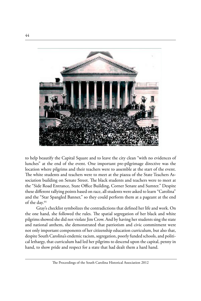

to help beautify the Capital Square and to leave the city clean "with no evidences of lunches" at the end of the event. One important pre-pilgrimage directive was the location where pilgrims and their teachers were to assemble at the start of the event. The white students and teachers were to meet at the piazza of the State Teachers Association building on Senate Street. The black students and teachers were to meet at the "Side Road Entrance, State Office Building, Corner Senate and Sumter." Despite these different rallying points based on race, all students were asked to learn "Carolina" and the "Star Spangled Banner," so they could perform them at a pageant at the end of the day.<sup>44</sup>

Gray's checklist symbolizes the contradictions that defined her life and work. On the one hand, she followed the rules. The spatial segregation of her black and white pilgrims showed she did not violate Jim Crow. And by having her students sing the state and national anthem, she demonstrated that patriotism and civic commitment were not only important components of her citizenship education curriculum, but also that, despite South Carolina's endemic racism, segregation, poorly funded schools, and political lethargy, that curriculum had led her pilgrims to descend upon the capital, penny in hand, to show pride and respect for a state that had dealt them a hard hand.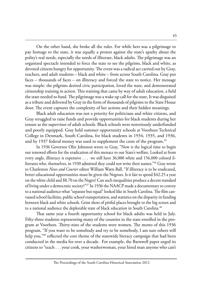On the other hand, she broke all the rules. For while hers was a pilgrimage to pay homage to the state, it was equally a protest against the state's apathy about the polity's real needs, especially the needs of illiterate, black adults. The pilgrimage was an organized spectacle intended to force the state to see the pilgrims, black and white, as devoted citizens hungry for opportunity. The event was a radical act carried out by Gray, teachers, and adult students – black and white – from across South Carolina. Gray put faces – thousands of faces – on illiteracy and forced the state to notice. Her message was simple: the pilgrims desired civic participation, loved the state, and demonstrated citizenship training in action. This training that came by way of adult education, a field the state needed to fund. The pilgrimage was a wake up call for the state, It was disguised as a tribute and delivered by Gray in the form of thousands of pilgrims to the State House door. The event captures the complexity of her actions and their hidden meanings.

Black adult education was not a priority for politicians and white citizens, and Gray struggled to raise funds and provide opportunities for black students during her tenure as the supervisor of adult schools. Black schools were notoriously underfunded and poorly equipped. Gray held summer opportunity schools at Voorhees Technical College in Denmark, South Carolina, for black students in 1934, 1935, and 1936, and by 1937 federal money was used to supplement the costs of the program.<sup>45</sup>

In 1936 Governor Olin Johnston wrote to Gray, "Now is the logical time to begin our renewed efforts for the eradication of this menace to our State's welfare. Looked at from every angle, illiteracy is expensive . . . we still have 36,000 white and 156,000 colored illiterates who, themselves, in 1930 admitted they could not write their names."46 Gray wrote to Charleston *News and Courier* editor William Watts Ball, "If illiteracy is to be eradicated, better educational opportunities must be given the Negroes. Is it fair to spend \$42.25 a year on the white child and \$8.70 on the Negro? Can such inequalities produce a decent standard of living under a democratic society?"47 In 1936 the NAACP made a documentary to convey to a national audience what "separate but equal" looked like in South Carolina. The film canvassed school facilities, public school transportation, and statistics on the disparity in funding between black and white schools. Grim shots of pitiful places brought to the big screen and to a national audience the deplorable state of black education in South Carolina.<sup>48</sup>

That same year a fourth opportunity school for black adults was held in July. Fifty-three students representing many of the counties in the state enrolled in the program at Voorhees. Thirty-nine of the students were women. The motto of this 1936 program, "If you want to be somebody and try to be somebody, I am sure others will help you,"49 reflected the core theme of the statewide literacy campaign that had been conducted in the media for over a decade. For example, the Barnwell paper urged its citizens to "teach . . . your cook, your washerwoman, your hired man anyone who can't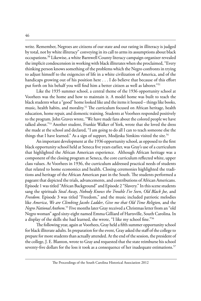write. Remember, Negroes are citizens of our state and our rating in illiteracy is judged by total, not by white illiteracy" conveying in its call to arms its assumptions about black occupations.<sup>50</sup> Likewise, a white Barnwell County literacy campaign organizer revealed the implicit condescension in working with black illiterates when she proclaimed, "Every thinking person knows something of the problems which the Negro confronts in trying to adjust himself to the exigencies of life in a white civilization of America, and of the handicaps growing out of his position here . . . I do believe that because of this effort put forth on his behalf you will find him a better citizen as well as laborer."<sup>51</sup>

Like the 1935 summer school, a central theme of the 1936 opportunity school at Voorhees was the home and how to maintain it. A model home was built to teach the black students what a "good" home looked like and the items it housed – things like books, music, health habits, and morality.<sup>52</sup> The curriculum focused on African heritage, health education, home repair, and domestic training. Students at Voorhees responded positively to the program. John Graves wrote, "We have made fans about the colored people we have talked about."53 Another student, Frankie Walker of York, wrote that she loved the dress she made at the school and declared, "I am going to do all I can to teach someone else the things that I have learned." As a sign of support, Modjeska Simkins visited the site.<sup>54</sup>

An important development at the 1936 opportunity school, as opposed to the first black opportunity school held at Seneca five years earlier, was Gray's use of a curriculum that highlighted the African American experience. Although African heritage was a component of the closing program at Seneca, the core curriculum reflected white, upper class values. At Voorhees in 1936, the curriculum addressed practical needs of students that related to home economics and health. Closing ceremonies highlighted the traditions and heritage of the African American past in the South. The students performed a pageant that depicted the trials, advancements, and contributions of African Americans. Episode 1 was titled "African Background" and Episode 2 "Slavery." In this scene students sang the spirituals *Steal Away*, *Nobody Knows the Trouble I've Seen*, *Old Black Joe,* and *Freedom.* Episode 3 was titled "Freedom," and the music included patriotic melodies like *America*, *We are Climbing Jacobs Ladder*, *Give me that Old Time Religion,* and the *Negro National Anthem*. 55 Five months later Gray received a Christmas letter from an "old Negro woman" aged sixty-eight named Emma Gilliard of Hartsville, South Carolina. In a display of the skills she had learned, she wrote, "I like my school fine."56

The following year, again at Voorhees, Gray held a fifth summer opportunity school for black illiterate adults. In preparation for the event, Gray asked the staff of the college to prepare for more students than actually attended. At the end of the session, the president of the college, J. E. Blanton, wrote to Gray and requested that the state reimburse his school seventy-five dollars for the loss it took as a consequence of her inadequate estimations.<sup>57</sup>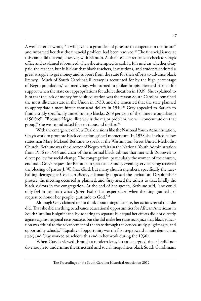A week later he wrote, "It will give us a great deal of pleasure to cooperate in the future" and informed her that the financial problem had been resolved.<sup>58</sup> The financial issues at this camp did not end, however, with Blanton. A black teacher returned a check to Gray's office and explained it bounced when she attempted to cash it. It is unclear whether Gray paid the teacher, but it is clear that black teachers, institutions, and students endured a great struggle to get money and support from the state for their efforts to advance black literacy. "Much of South Carolina's illiteracy is accounted for by the high percentage of Negro population," claimed Gray, who turned to philanthropist Bernard Baruch for support when the state cut appropriations for adult education in 1939. She explained to him that the lack of money for adult education was the reason South Carolina remained the most illiterate state in the Union in 1930, and she lamented that the state planned to appropriate a mere fifteen thousand dollars in 1940.<sup>59</sup> Gray appealed to Baruch to fund a study specifically aimed to help blacks, 26.9 per cent of the illiterate population (156,065). "Because Negro illiteracy is the major problem, we will concentrate on that group," she wrote and asked for ten thousand dollars.<sup>60</sup>

With the emergence of New Deal divisions like the National Youth Administration, Gray's work to promote black education gained momentum. In 1938 she invited fellow statesman Mary McLeod Bethune to speak at the Washington Street United Methodist Church. Bethune was the director of Negro Affairs in the National Youth Administration from 1936 to 1944 and chair of the informal black cabinet that met with Roosevelt to direct policy for social change. The congregation, particularly the women of the church, endorsed Gray's request for Bethune to speak at a Sunday evening service. Gray received the blessing of pastor J. W. Shackford, but many church members, specifically the racebaiting demagogue Coleman Blease, adamantly opposed the invitation. Despite their protest, the meeting occurred as planned, and Gray asked the ushers to treat kindly the black visitors in the congregation. At the end of her speech, Bethune said, "she could only feel in her heart what Queen Esther had experienced when the king granted her request to honor her people, gratitude to God."61

Although Gray claimed not to think about things like race, her actions reveal that she did. That she did anything to advance educational opportunities for African Americans in South Carolina is significant. By adhering to separate but equal her efforts did not directly agitate against regional race practice, but she did make her state recognize that black education was critical to the advancement of the state through the Seneca study, pilgrimages, and opportunity schools.62 Equality of opportunity was the first step toward a more democratic state, and Gray worked to achieve this end in her work during the 1930s.

When Gray is viewed through a modern lens, it can be argued that she did not do enough to undermine the structural and social inequalities black South Carolinians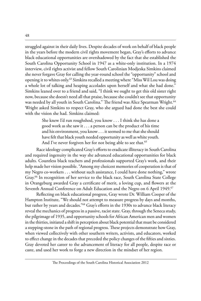struggled against in their daily lives. Despite decades of work on behalf of black people in the years before the modern civil rights movement began, Gray's efforts to advance black educational opportunities are overshadowed by the fact that she established the South Carolina Opportunity School in 1947 as a white-only institution. In a 1974 interview, civil rights activist and fellow South Carolinian Modjeska Simkins claimed she never forgave Gray for calling the year-round school the "opportunity" school and opening it to whites only.<sup>63</sup> Simkins recalled a meeting where "Miss Wil Lou was doing a whole lot of talking and heaping accolades upon herself and what she had done." Simkins leaned over to a friend and said, "I think we ought to get this old sister right now, because she doesn't need all that praise, because she couldn't see that opportunity was needed by all youth in South Carolina." The friend was Alice Spearman Wright.<sup>64</sup> Wright asked Simkins to respect Gray, who she argued had done the best she could with the vision she had. Simkins claimed:

> She knew I'd run roughshod, you know . . . I think she has done a good work as she saw it . . . a person can be the product of his time and his environment, you know . . . it seemed to me that she should have felt that black youth needed opportunity as well as white youth. And I've never forgiven her for not being able to see that.<sup>65</sup>

Race ideology complicated Gray's efforts to eradicate illiteracy in South Carolina and required ingenuity in the way she advanced educational opportunities for black adults. Countless black teachers and professionals supported Gray's work, and their help made her vision possible. "Among my choicest memories of cooperation is that of my Negro co-workers . . . without such assistance, I could have done nothing," wrote Gray.66 In recognition of her service to the black race, South Carolina State College in Orangeburg awarded Gray a certificate of merit, a loving cup, and flowers at the Seventh Annual Conference on Adult Education and the Negro on 6 April 1949.<sup>67</sup>

Reflecting on black educational progress, Gray wrote Dr. William Cooper of the Hampton Institute, "We should not attempt to measure progress by days and months, but rather by years and decades."68 Gray's efforts in the 1930s to advance black literacy reveal the mechanics of progress in a passive, racist state. Gray, through the Seneca study, the pilgrimage of 1935, and opportunity schools for African American men and women in the thirties, initiated a shift in perception about black potential that must be considered a stepping-stone in the path of regional progress. These projects demonstrate how Gray, when viewed collectively with other southern writers, activists, and educators, worked to effect change in the decades that preceded the policy changes of the fifties and sixties. Gray devoted her career to the advancement of literacy for all people, despite race or caste, and used her work to forge a new direction in the mindset of her region.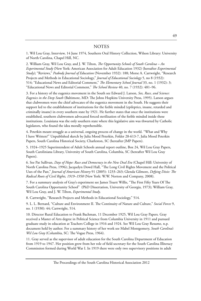#### **NOTES**

1. Wil Lou Gray, Interview, 14 June 1974, Southern Oral History Collection, Wilson Library: University of North Carolina, Chapel Hill, NC.

2. William Gray, Wil Lou Gray, and J. W. Tilton, *The Opportunity Schools of South Carolina – An Experimental Study* (New York: American Association for Adult Education 1932) (hereafter *Experimental Study)*; "Reviews," *Peabody Journal of Education* (November 1932): 188; Morse A. Cartwright, "Research Projects and Methods in Educational Sociology," *Journal of Educational Sociology* 5, no 8 (1932): 514; "Educational News and Editorial Comment," *The Elementary School Journal* 33, no. 1 (1932): 3; "Educational News and Editorial Comment," *The School Review* 40, no. 7 (1932): 481–96.

3. For a history of the eugenics movement in the South see Edward J. Larson, *Sex, Race, and Science: Eugenics in the Deep South* (Baltimore, MD: The Johns Hopkins University Press, 1995). Larson argues that clubwomen were the chief advocates of the eugenics movement in the South. He suggests their support led to the establishment of institutions for the feeble minded (epileptics, insane, retarded and criminally insane) in every southern state by 1921. He further states that once the institutions were established, southern clubwomen advocated forced sterilization of the feeble minded inside these institutions. Louisiana was the only southern state where this legislative aim was thwarted by Catholic legislators, who found the idea morally reprehensible.

4. Peterkin meant struggle as a universal, ongoing process of change in the world. "What and Why I have Written?" Unpublished sketch by Julia Mood Peterkin, Folder 28-613-7, Julia Mood Peterkin Papers, South Carolina Historical Society, Charleston, SC (hereafter JMP Papers).

5. 1924–1925 Superintendent of Adult Schools annual report outline, Box 24, Wil Lou Gray Papers, South Caroliniana Library, University of South Carolina, Columbia, SC (hereafter Wil Lou Gray Papers).

6. See Pat Sullivan, *Days of Hope: Race and Democracy in the New Deal Era* (Chapel Hill: University of North Carolina Press, 1996); Jacquelyn Dowd Hall, "The Long Civil Rights Movement and the Political Uses of the Past," *Journal of American History* 91 (2005): 1233–263; Glenda Gilmore, *Defying Dixie: The Radical Roots of Civil Rights, 1919–1950* (New York: W.W. Norton and Company, 2008).

7. For a summary analysis of Gray's experiment see James Truett Willis, "The First Fifty Years Of The South Carolina Opportunity School" (PhD Dissertation, University of Georgia, 1973); William Gray, Wil Lou Gray, and J. W. Tilton, *Experimental Study*.

8. Cartwright, "Research Projects and Methods in Educational Sociology," 514.

9. L. L. Bernard, "Culture and Environment II. The Continuity of Nature and Culture," *Social Forces* 9, no. 1 (1930): 44; Cartwright, 514.

10. Director Rural Education to Frank Bachman, 11 December 1925, Wil Lou Gray Papers. Gray received a Master of Arts degree in Political Science from Columbia University in 1911 and pursued graduate study in education at Teachers College in 1916 and 1924. See Wil Lou Gray Resume, n.p. document held by author. For a summary history of her work see Mabel Montgomery, *South Carolina's Wil Lou Gray* (Columbia, SC: The Vogue Press, 1964).

11. Gray served as the supervisor of adult education for the South Carolina Department of Education from 1919 to 1947. Her position grew from her role of field secretary for the South Carolina Illiteracy Commission formed during World War I. In 1919 there were only two supervisory positions in adult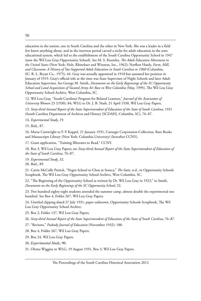education in the nation, one in South Carolina and the other in New York. She was a leader in a field few knew anything about, and in the interwar period carved a niche for adult education in the state educational system, which led to the establishment of the South Carolina Opportunity School in 1947 (now the Wil Lou Gray Opportunity School). See M. S. Knowles, *The Adult Education Movement in the United States* (New York: Holt, Rhinehart and Winston, Inc., 1962); Norfleet Hardy, *Farm, Mill, and Classroom*: *A History of Tax-Supported Adult Education in South Carolina to 1960* (Columbia, SC: R. L. Bryan Co., 1975), 44. Gray was actually appointed in 1918 but assumed her position in January of 1919. Gray's official title at the time was State Supervisor of Night Schools and later Adult Education Supervisor. See George M. Smith, *Documents on the Early Beginnings of the SC Opportunity School and Land Acquisition of Vacated Army Air Base in West Columbia (*May, 1999*)*, The Wil Lou Gray Opportunity School Archive, West Columbia, SC.

12. Wil Lou Gray, "South Carolina's Program for Belated Learners," *Journal of the Association of University Women* 23 (1930): 84; WLG to Dr. J. B. Nash, 21 April 1930, Wil Lou Gray Papers.

13. *Sixty-third Annual Report of the State Superintendent of Education of the State of South Carolina*, 1931 (South Carolina Department of Archives and History [SCDAH], Columbia, SC), 76–87.

14. *Experimental Study*, 19.

15. Ibid., 87.

16. Morse Cartwright to F. P. Keppel, 21 January 1931, Carnegie Corporation Collection, Rare Books and Manuscripts Library (New York: Columbia University) (hereafter CCNY).

17. Grant application, "Training Illiterates to Read," CCNY.

18. Box 3, Wil Lou Gray Papers; see *Sixty-third Annual Report of the State Superintendent of Education of the State of South Carolina*, 76–87.

19. *Experimental Study*, 32. 20. Ibid., 89.

21. Carrie McCully Patrick, "Negro School to Close at Seneca," *The State*, n.d., in Opportunity Schools Scrapbook, The Wil Lou Gray Opportunity School Archive, West Columbia, SC.

22. "The Beginning of the Opportunity School as written by Dr. Wil Lou Gray in 1923," in Smith, *Documents on the Early Beginnings of the SC Opportunity School*, 32.

23. Two hundred eighty-eight students attended the summer camp, almost double the experimental one hundred. See Box 4, Folder 267, Wil Lou Gray Papers.

24. Untitled clipping dated 27 July 1931, paper unknown, Opportunity Schools Scrapbook, The Wil Lou Gray Opportunity School Archive.

25. Box 2, Folder 137, Wil Lou Gray Papers.

26. *Sixty-third Annual Report of the State Superintendent of Education of the State of South Carolina*, 76–87.

27. "Reviews," *Peabody Journal of Education* (November 1932): 188.

28. Box 4, Folder 267, Wil Lou Gray Papers.

29. Box 24, Wil Lou Gray Papers.

30. *Experimental Study*, 90.

31. Olema Wiggins to WLG, 19 August 1931, Box 3, Wil Lou Gray Papers.

The Proceedings of the South Carolina Historical Association 2012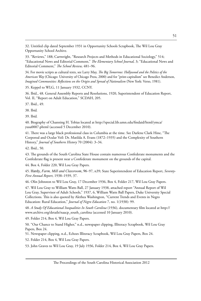32. Untitled clip dated September 1931 in Opportunity Schools Scrapbook, The Wil Lou Gray Opportunity School Archive.

33. "Reviews," 188; Cartwright, "Research Projects and Methods in Educational Sociology," 514; "Educational News and Editorial Comment," *The Elementary School Journal,* 3; "Educational News and Editorial Comment," *The School Review,* 481–96.

34. For movie scripts as cultural texts, see Larry May, *The Big Tomorrow: Hollywood and the Politics of the American Way* (Chicago: University of Chicago Press, 2000) and for "print-capitalism" see Benedict Anderson, *Imagined Communities: Reflections on the Origin and Spread of Nationalism* (New York: Verso, 1981).

35. Keppel to WLG, 11 January 1932, CCNY.

36. Ibid., 48. General Assembly Reports and Resolutions, 1920, Superintendent of Education Report, Vol. II, "Report on Adult Education," SCDAH, 205.

37. Ibid., 49.

38. Ibid*.*

39. Ibid*.*

40. Biography of Channing H. Tobias located at http://special.lib.umn.edu/findaid/html/ymca/ yusa0007.phtml (accessed 5 December 2010).

41. There was a large black professional class in Columbia at the time. See Darlene Clark Hine, "The Corporeal and Ocular Veil: Dr. Matilda A. Evans (1872–1935) and the Complexity of Southern History," *Journal of Southern History* 70 (2004): 3–34.

42. Ibid., 50.

43. The grounds of the South Carolina State House contain numerous Confederate monuments and the Confederate flag is present near a Confederate monument on the grounds of the capital.

44. Box 4, Folder 220, Wil Lou Gray Papers.

45. Hardy, *Farm, Mill and Classroom*, 96–97, n39; State Superintendent of Education Report, *Seventy-First Annual Report*, 1938–1939, 37.

46. Olin Johnston to Wil Lou Gray, 17 December 1936, Box 4, Folder 217, Wil Lou Gray Papers.

47. Wil Lou Gray to William Watts Ball, 27 January 1938, attached report "Annual Report of Wil Lou Gray, Supervisor of Adult Schools," 1937, 6, William Watts Ball Papers, Duke University Special Collections. This is also quoted by Alethea Washington, "Current Trends and Events in Negro Education: Rural Education," *Journal of Negro Education* 7, no. 1(1938): 99.

48. *A Study Of Educational Inequalities In South Carolina* (1936), documentary film located at http:// www.archive.org/details/naacp\_south\_carolina (accessed 10 January 2010).

49. Folder 214, Box 4, Wil Lou Gray Papers.

50. "Our Chance to Stand Higher," n.d., newspaper clipping, Illiteracy Scrapbook, Wil Lou Gray Papers, Box 24.

51. Newspaper clipping, n.d., Echoes Illiteracy Scrapbook, Wil Lou Gray Papers, Box 24.

52. Folder 214, Box 4, Wil Lou Gray Papers.

53. John Graves to Wil Lou Gray, 19 July 1936, Folder 214, Box 4, Wil Lou Gray Papers.

The Proceedings of the South Carolina Historical Association 2012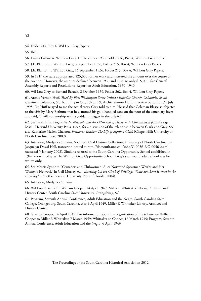54. Folder 214, Box 4, Wil Lou Gray Papers.

55. Ibid.

56. Emma Gillard to Wil Lou Gray, 10 December 1936, Folder 216, Box 4, Wil Lou Gray Papers.

57. J.E. Blanton to Wil Lou Gray, 3 September 1936, Folder 215, Box 4, Wil Lou Gray Papers.

58. J.E. Blanton to Wil Lou Gray, 16 September 1936, Folder 215, Box 4, Wil Lou Gray Papers.

59. In 1919 the state appropriated \$25,000 for her work and increased the amount over the course of the twenties. However, the amount declined between 1930 and 1940 to only \$15,000. See General Assembly Reports and Resolutions, Report on Adult Education, 1930–1940.

60. Wil Lou Gray to Bernard Baruch, 2 October 1939, Folder 262, Box 4, Wil Lou Gray Papers.

61. Archie Vernon Huff*, Tried By Fire: Washington Street United Methodist Church, Columbia, South Carolina* (Columbia, SC: R. L. Bryan Co., 1975)*,* 99; Archie Vernon Huff, interview by author, 31 July 1995. Dr. Huff relayed to me the actual story Gray told to him. He said that Coleman Blease so objected to the visit by Mary Bethune that he slammed his gold handled cane on the floor of the sanctuary foyer and said, "I will not worship with a goddamn nigger in the pulpit."

62. See Leon Fink, *Progressive Intellectuals and the Dilemmas of Democratic Commitment (*Cambridge, Mass.: Harvard University Press, 1997) for a discussion of the relationship between Clark and Gray. See also Katherine Mellen Charron, *Freedom's Teacher: The Life of Septima Clark* (Chapel Hill: University of North Carolina Press, 2009).

63. Interview, Modjeska Simkins, Southern Oral History Collection, University of North Carolina, by Jacquelyn Dowd Hall, transcript located at http://docsouth.unc.edu/sohp/G-0056-2/G-0056-2.xml (accessed 5 January 2008). Simkins referred to the South Carolina Opportunity School established in 1947 known today as The Wil Lou Gray Opportunity School. Gray's year round adult school was for whites only.

64. See Marcia Synnott, "Crusaders and Clubwomen: Alice Norwood Spearman Wright and Her Women's Network" in Gail Murray, ed., *Throwing Off the Cloak of Privilege: White Southern Women in the Civil Rights Era* (Gainesville: University Press of Florida, 2004).

65. Interview, Modjeska Simkins.

66. Wil Lou Gray to Dr. William Cooper, 14 April 1949, Miller F. Whittaker Library, Archives and History Center, South Carolina State University, Orangeburg, SC.

67. Program, Seventh Annual Conference, Adult Education and the Negro, South Carolina State College, Orangeburg, South Carolina, 6 to 9 April 1949, Miller F. Whittaker Library, Archives and History Center.

68. Gray to Cooper, 14 April 1949. For information about the organization of the tribute see William Cooper to Miller F. Whittaker, 7 March 1949; Whittaker to Cooper, 16 March 1949; Program, Seventh Annual Conference, Adult Education and the Negro, 6 April 1949.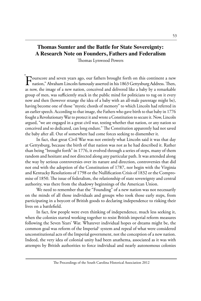## **Thomas Sumter and the Battle for State Sovereignty: A Research Note on Founders, Fathers and Federalism**

Thomas Lynwood Powers

Fourscore and seven years ago, our fathers brought forth on this continent a new nation," Abraham Lincoln famously asserted in his 1863 Gettysburg Address. Then, as now, the image of a new nation, conceived and delivered like a baby by a remarkable group of men, was sufficiently stuck in the public mind for politicians to tug on it every now and then (however strange the idea of a baby with an all-male parentage might be), having become one of those "mystic chords of memory" to which Lincoln had referred in an earlier speech. According to that image, the Fathers who gave birth to that baby in 1776 fought a Revolutionary War to protect it and wrote a Constitution to secure it. Now, Lincoln argued, "we are engaged in a great civil war, testing whether that nation, or any nation so conceived and so dedicated, can long endure." The Constitution apparently had not saved the baby after all. Out of somewhere had come forces seeking to dismember it. "

In fact, that great Civil War was not entirely what Lincoln said it was that day at Gettysburg, because the birth of that nation was not as he had described it. Rather than being "brought forth" in 1776, it evolved through a series of steps, many of them random and hesitant and not directed along any particular path. It was attended along the way by serious controversies over its nature and direction, controversies that did not end with the adoption of the Constitution of 1787, nor begin with the Virginia and Kentucky Resolutions of 1798 or the Nullification Crisis of 1832 or the Compromise of 1850. The issue of federalism, the relationship of state sovereignty and central authority, was there from the shadowy beginnings of the American Union.

We need to remember that the "Founding" of a new nation was not necessarily on the minds of all those individuals and groups who took those early steps, from participating in a boycott of British goods to declaring independence to risking their lives on a battlefield.

In fact, few people were even thinking of independence, much less seeking it, when the colonies started working together to resist British imperial reform measures following the Seven Years' War. Whatever individual hopes or dreams might be, the common goal was reform of the Imperial<sup>1</sup> system and repeal of what were considered unconstitutional acts of the Imperial government, not the conception of a new nation. Indeed, the very idea of colonial unity had been anathema, associated as it was with attempts by British authorities to force individual and nearly autonomous colonies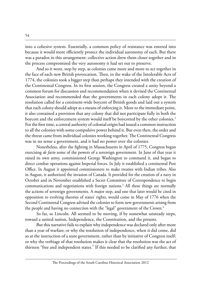into a cohesive system. Essentially, a common policy of resistance was entered into because it would more efficiently protect the individual autonomy of each. But there was a paradox in this arrangement: collective action drew them closer together and in the process compromised the very autonomy it had set out to preserve.

And so it went, step by step, as colonies came more and more to act together in the face of each new British provocation. Then, in the wake of the Intolerable Acts of 1774, the colonies took a bigger step than perhaps they intended with the creation of the Continental Congress. In its first session, the Congress created a unity beyond a common forum for discussion and recommendation when it devised the Continental Association and recommended that the governments in each colony adopt it. The resolution called for a continent-wide boycott of British goods and laid out a system that each colony should adopt as a means of enforcing it. More to the immediate point, it also contained a provision that any colony that did not participate fully in both the boycott and the enforcement system would itself be boycotted by the other colonies.<sup>2</sup> For the first time, a central authority of colonial origin had issued a common instruction to all the colonies with some compulsive power behind it. But even then, the order and the threat came from individual colonies working together. The Continental Congress was in no sense a government, and it had no power over the colonies.

Nonetheless, after the fighting in Massachusetts in April of 1775, Congress began exercising *de facto* some of the powers of a sovereign government. In June of that year it raised its own army, commissioned George Washington to command it, and began to direct combat operations against Imperial forces. In July it established a continental Post Office. In August it appointed commissioners to make treaties with Indian tribes. Also in August, it authorized the invasion of Canada. It provided for the creation of a navy in October and in November established a Secret Committee of Correspondence to begin communications and negotiations with foreign nations.3 All these things are normally the actions of sovereign governments. A major step, and one that later would be cited in opposition to evolving theories of states' rights, would come in May of 1776 when the Second Continental Congress advised the colonies to form new governments arising from the people and having no connection with the "legal" government of the Crown.<sup>4</sup>

So far, so Lincoln. All seemed to be moving, if by somewhat unsteady steps, toward a united nation, Independence, the Constitution, and the present.

But this narrative fails to explain why independence was declared only after more than a year of warfare; or why the resolution of independence, when it did come, did so at the instruction of a state government, rather than by initiative of Congress itself; or why the verbiage of that resolution makes it clear that the resolution was the act of thirteen "free and independent states." If this needed to be clarified any further, that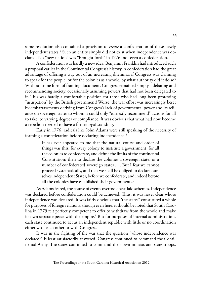same resolution also contained a provision to *create* a confederation of these newly independent states.5 Such an entity simply did not exist when independence was declared. No "new nation" was "brought forth" in 1776, not even a confederation.

A confederation was hardly a new idea. Benjamin Franklin had introduced such a proposal earlier in the Continental Congress's history. A confederation had the great advantage of offering a way out of an increasing dilemma: if Congress was claiming to speak for the people, or for the colonies as a whole, by what authority did it do so? Without some form of framing document, Congress remained simply a debating and recommending society, occasionally assuming powers that had not been delegated to it. This was hardly a comfortable position for those who had long been protesting "usurpation" by the British government! Worse, the war effort was increasingly beset by embarrassments deriving from Congress's lack of governmental power and its reliance on sovereign states to whom it could only "earnestly recommend" actions for all to take, to varying degrees of compliance. It was obvious that what had now become a rebellion needed to have a firmer legal standing.

Early in 1776, radicals like John Adams were still speaking of the necessity of forming a confederation before declaring independence.<sup>6</sup>

> It has ever appeared to me that the natural course and order of things was this: for every colony to institute a government; for all the colonies to confederate, and define the limits of the continental Constitution; then to declare the colonies a sovereign state, or a number of confederated sovereign states . . . But I fear we cannot proceed systematically, and that we shall be obliged to declare ourselves independent States, before we confederate, and indeed before all the colonies have established their governments.<sup>7</sup>

As Adams feared, the course of events overtook best-laid schemes. Independence was declared before confederation could be achieved. Thus, it was never clear whose independence was declared. It was fairly obvious that "the states" constituted a whole for purposes of foreign relations, though even here, it should be noted that South Carolina in 1779 felt perfectly competent to offer to withdraw from the whole and make its own separate peace with the empire.<sup>8</sup> But for purposes of internal administration, each state continued to act as an independent republic with little or no coordination either with each other or with Congress.

It was in the fighting of the war that the question "whose independence was declared?" is least satisfactorily answered. Congress continued to command the Continental Army. The states continued to command their own militias and state troops,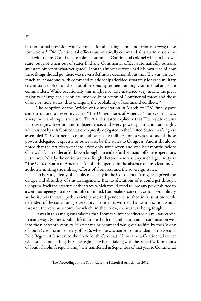but no formal provision was ever made for allocating command priority *among* these formations.9 Did Continental officers automatically command all state forces on the field with them? Could a state colonel outrank a Continental colonel while in his own state, but not when out of state? Did any Continental officer automatically outrank any state officer of whatever grade? Though almost everyone had his own idea of how these things should go, there was never a definitive decision about this. The war was very much an *ad hoc* one, with command relationships decided separately for each military circumstance, often on the basis of personal agreements among Continental and state commanders. While occasionally this might not have mattered very much, the great majority of large-scale conflicts involved joint action of Continental forces and those of one or more states, thus enlarging the probability of command conflicts.<sup>10</sup>

The adoption of the Articles of Confederation in March of 1781 finally gave some structure to the entity called "The United States of America," but even this was a very loose and vague structure. The Articles stated explicitly that "Each state retains its sovereignty, freedom and independence, and every power, jurisdiction and right, which is not by this Confederation expressly delegated to the United States, in Congress assembled."11 Continental command over state military forces was not one of those powers delegated, expressly or otherwise, by the states to Congress. And it should be noted that the Articles went into effect only some seven-and-one-half months before Cornwallis's surrender at Yorktown brought an end to further major offensive operations in the war. Nearly the entire war was fought before there was any such legal entity as "The United States of America." All of it happened in the absence of any clear line of authority uniting the military efforts of Congress and the sovereign states.

To be sure, plenty of people, especially in the Continental Army, recognized the danger and absurdity of this arrangement. But no alterations of it could get through Congress, itself the creature of the states, which would stand to lose any power shifted to a common agency. So the stand-off continued. Nationalists, sure that centralized military authority was the only path to victory and independence, seethed in frustration; while defenders of the continuing sovereignty of the states worried that centralization would threaten the very autonomy for which, in their view, the war was being fought.

It was in this ambiguous miasma that Thomas Sumter conducted his military career. In many ways, Sumter's public life illustrates both this ambiguity and its continuation well into the nineteenth century. His first major command was given to him by the Colony of South Carolina in February of 1776, when he was named commandant of the Second Rifle Regiment (also called the Sixth South Carolina). He became a Continental officer while still commanding the same regiment when it (along with the other five formations of South Carolina's regular army) was transferred in September of that year to Continental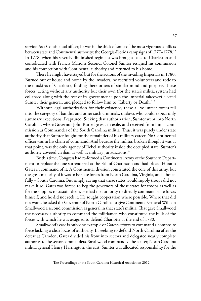service. As a Continental officer, he was in the thick of some of the most vigorous conflicts between state and Continental authority: the Georgia-Florida campaigns of 1777–1778.<sup>12</sup> In 1778, when his severely diminished regiment was brought back to Charleston and consolidated with Francis Marion's Second, Colonel Sumter resigned his commission and his connection with Continental authority and returned to his home.

There he might have stayed but for the actions of the invading Imperials in 1780. Burned out of house and home by the invaders, he recruited volunteers and rode to the outskirts of Charlotte, finding there others of similar mind and purpose. These forces, acting without any authority but their own (for the state's militia system had collapsed along with the rest of its government upon the Imperial takeover) elected Sumter their general, and pledged to follow him to "Liberty or Death."13

Without legal authorization for their existence, these all-volunteer forces fell into the category of bandits and other such criminals, outlaws who could expect only summary executions if captured. Seeking that authorization, Sumter went into North Carolina, where Governor John Rutledge was in exile, and received from him a commission as Commander of the South Carolina militia. Thus, it was purely under state authority that Sumter fought for the remainder of his military career. No Continental officer was in his chain of command. And because the militia, broken though it was at that point, was the only agency of Rebel authority inside the occupied state, Sumter's authority covered civilian as well as military jurisdictions.<sup>14</sup>

By this time, Congress had re-formed a Continental Army of the Southern Department to replace the one surrendered at the Fall of Charleston and had placed Horatio Gates in command of it. A Continental division constituted the core of this army, but the great majority of it was to be state forces from North Carolina, Virginia, and – hopefully – South Carolina. But simply saying that these states would supply troops did not make it so. Gates was forced to beg the governors of those states for troops as well as for the supplies to sustain them. He had no authority to directly command state forces himself, and he did not seek it. He sought cooperation where possible. Where that did not work, he asked the Governor of North Carolina to give Continental General William Smallwood a second commission as general in that state's militia. That gave Smallwood the necessary authority to command the militiamen who constituted the bulk of the forces with which he was assigned to defend Charlotte at the end of 1780.

Smallwood's case is only one example of Gates's efforts to command a composite force lacking a clear locus of authority. In seeking to defend North Carolina after the defeat at Camden, Gates divided his front into sectors and delegated nearly complete authority to the sector commanders. Smallwood commanded the center; North Carolina militia general Henry Harrington, the east. Sumter was allocated responsibility for the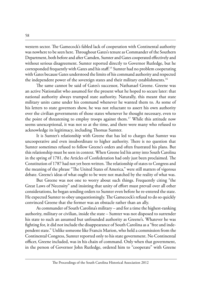western sector. The Gamecock's fabled lack of cooperation with Continental authority was nowhere to be seen here. Throughout Gates's tenure as Commander of the Southern Department, both before and after Camden, Sumter and Gates cooperated effectively and without serious disagreement. Sumter reported directly to Governor Rutledge, but he corresponded frequently with Gates and his staff.15 Sumter had no problem cooperating with Gates because Gates understood the limits of his command authority and respected the independent power of the sovereign states and their military establishments.<sup>16</sup>

The same cannot be said of Gates's successor, Nathanael Greene. Greene was an active Nationalist who assumed for the present what he hoped to secure later: that national authority always trumped state authority. Naturally, this meant that state military units came under his command whenever he wanted them to. As some of his letters to state governors show, he was not reluctant to assert his own authority over the civilian governments of those states whenever he thought necessary, even to the point of threatening to employ troops against them.<sup>17</sup> While this attitude now seems unexceptional, it was not so at the time, and there were many who refused to acknowledge its legitimacy, including Thomas Sumter.

It is Sumter's relationship with Greene that has led to charges that Sumter was uncooperative and even insubordinate to higher authority. There is no question that Sumter sometimes refused to follow Greene's orders and often frustrated his plans. But this relationship must be seen in context. When Greene led his army into South Carolina in the spring of 1781, the Articles of Confederation had only just been proclaimed. The Constitution of 1787 had not yet been written. The relationship of states to Congress and the meaning of the phrase "The United States of America," were still matters of vigorous debate. Greene's ideas of what ought to be were not matched by the reality of what was.

But Greene was not one to worry about such things. Frequently citing "the Great Laws of Necessity" and insisting that unity of effort must prevail over all other considerations, he began sending orders to Sumter even before he re-entered the state. He expected Sumter to obey unquestioningly. The Gamecock's refusal to do so quickly convinced Greene that the former was an obstacle rather than an ally.

As commander of South Carolina's military – and for a time the highest-ranking authority, military or civilian, inside the state – Sumter was not disposed to surrender his state to such an assumed but unfounded authority as Greene's. Whatever he was fighting for, it did not include the disappearance of South Carolina as a "free and independent state." Unlike someone like Francis Marion, who held a commission from the Continental Congress, Sumter reported only to his state government. No Continental officer, Greene included, was in his chain of command. Only when that government, in the person of Governor John Rutledge, ordered him to "cooperate" with Greene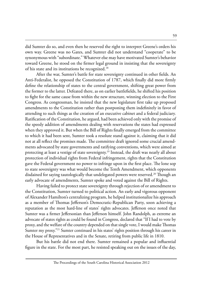did Sumter do so, and even then he reserved the right to interpret Greene's orders his own way. Greene was no Gates, and Sumter did not understand "cooperate" to be synonymous with "subordinate." Whatever else may have motivated Sumter's behavior toward Greene, he stood on the firmer legal ground in insisting that the sovereignty of his state and its institutions be recognized.<sup>18</sup>

After the war, Sumter's battle for state sovereignty continued in other fields. An Anti-Federalist, he opposed the Constitution of 1787, which finally did more firmly define the relationship of states to the central government, shifting great power from the former to the latter. Defeated there, as on earlier battlefields, he shifted his position to fight for the same cause from within the new structure, winning election to the First Congress. As congressman, he insisted that the new legislature first take up proposed amendments to the Constitution rather than postponing them indefinitely in favor of attending to such things as the creation of an executive cabinet and a federal judiciary. Ratification of the Constitution, he argued, had been achieved only with the promise of the speedy addition of amendments dealing with reservations the states had expressed when they approved it. But when the Bill of Rights finally emerged from the committee to which it had been sent, Sumter took a resolute stand against it, claiming that it did not at all reflect the promises made. The committee draft ignored some crucial amendments advocated by state governments and ratifying conventions, which were aimed at protecting at least a vestige of state sovereignty.<sup>19</sup> Instead, the draft was nearly all about protection of individual rights from Federal infringement, rights that the Constitution gave the Federal government no power to infringe upon in the first place. The lone sop to state sovereignty was what would become the Tenth Amendment, which opponents disdained for saying tautologically that undelegated powers were reserved.<sup>20</sup> Though an early advocate of amendments, Sumter spoke and voted against the Bill of Rights.

Having failed to protect state sovereignty through rejection of or amendment to the Constitution, Sumter turned to political action. An early and vigorous opponent of Alexander Hamilton's centralizing program, he helped institutionalize his approach as a member of Thomas Jefferson's Democratic-Republican Party, soon achieving a reputation as the most hard-line of states' rights advocates. Jefferson once noted that Sumter was a firmer Jeffersonian than Jefferson himself. John Randolph, as extreme an advocate of states rights as could be found in Congress, declared that "If I had to vote by proxy, and the welfare of the country depended on that single vote, I would make Thomas Sumter my proxy."<sup>21</sup> Sumter continued in his states' rights position through his career in the House of Representatives and in the Senate, retiring from public life in 1810.

But his battle did not end there. Sumter remained a popular and influential figure in the state. For the most part, he resisted speaking out on the issues of the day,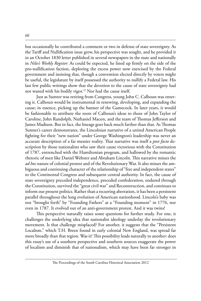but occasionally he contributed a comment or two in defense of state sovereignty. As the Tariff and Nullification issue grew, his perspective was sought, and he provided it in an October 1830 letter published in several newspapers in the state and nationally in *Niles's Weekly Register.* As could be expected, he lined up firmly on the side of the pro-nullification faction, deploring the excess power now exercised by the Federal government and insisting that, though a convention elected directly by voters might be useful, the legislature by itself possessed the authority to nullify a Federal law. His last few public writings show that the devotion to the cause of state sovereignty had not waned with his bodily vigor.<sup>22</sup> Nor had the cause itself.

Just as Sumter was retiring from Congress, young John C. Calhoun was entering it. Calhoun would be instrumental in renewing, developing, and expanding the cause; in essence, picking up the banner of the Gamecock. In later years, it would be fashionable to attribute the roots of Calhoun's ideas to those of John Taylor of Caroline, John Randolph, Nathaniel Macon, and the team of Thomas Jefferson and James Madison. But in fact, the lineage goes back much farther than that. As Thomas Sumter's career demonstrates, the Lincolnian narrative of a united American People fighting for their "new nation" under George Washington's leadership was never an accurate description of a far messier reality. That narrative was itself a *post facto* description by those nationalists who saw their cause victorious with the Constitution of 1787, entrenched with the Hamiltonian program, and hallowed by the romantic rhetoric of men like Daniel Webster and Abraham Lincoln. This narrative misses the *ad hoc* nature of colonial protest and of the Revolutionary War. It also misses the ambiguous and continuing character of the relationship of "free and independent states" to the Continental Congress and subsequent central authority. In fact, the cause of state sovereignty preceded independence, preceded confederation, endured through the Constitution, survived the "great civil war" and Reconstruction, and continues to inform our present politics. Rather than a recurring aberration, it has been a persistent parallel throughout the long evolution of American nationhood. Lincoln's baby was not "brought forth" by "Founding Fathers" at a "Founding moment" in 1776, nor even in 1787. It evolved out of an anti-government protest. And it was twins!

This perspective naturally raises some questions for further study. For one, it challenges the underlying idea that nationalist ideology underlay the revolutionary movement. Is that challenge misplaced? For another, it suggests that the "Persistent Localism," which T.H. Breen found in early colonial New England, was spread far more broadly than that region. Was it? This possibility leads naturally to another: does this essay's use of a southern perspective and southern sources exaggerate the power of localism and diminish that of nationalism, which may have been far stronger in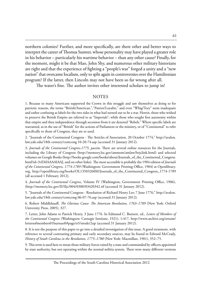northern colonies? Further, and more specifically, are there other and better ways to interpret the career of Thomas Sumter, whose personality may have played a greater role in his behavior – particularly his wartime behavior – than any other cause? Finally, for the moment, might it be that Mao, John Shy, and numerous other military historians are right and that the experience of fighting a "people's war" forged a unity and a "new nation" that overcame localism, only to split again in controversies over the Hamiltonian program? If the latter, then Lincoln may not have been so far wrong after all.

The water's fine. The author invites other interested scholars to jump in!

### **NOTES**

1. Because so many Americans supported the Crown in this struggle and saw themselves as doing so for patriotic reasons, the terms "British/American,","Patriot/Loyalist," and even "Whig/Tory" seem inadequate and rather confusing as labels for the two sides in what had turned out to be a war. Herein, those who wished to preserve the British Empire are referred to as "Imperials"; while those who sought first autonomy within that empire and then independence through secession from it are denoted "Rebels." Where specific labels are warranted, as in the use of "British" for the actions of Parliament or the ministry, or of "Continental" to refer specifically to those of Congress, they are so used.

2. "Journals of the Continental Congress - The Articles of Association, 20 October 1774," http://avalon. law.yale.edu/18th century/contcong 10-20-74.asp (accessed 31 January 2012).

3. *Journals of the Continental Congress,1775, passim*. There are several online resources for the Journals, including the Library of Congress (http://memory.loc.gov/ammem/amlaw/lwjclink.html) and selected volumes on Google Books (http://books.google.com/books/about/Journals\_of\_the\_Continental\_Congress. html?id=3vEMAAAAIAAJ, and on other links). The most accessible is probably the 1904 edition of *Journals of the Continental Congress, 1774-1789* (Washington: Government Printing Office, 1904) at Openlibrary. org, http://openlibrary.org/books/OL13503260M/Journals\_of\_the\_Continental\_Congress\_1774-1789 (all accessed 1 February 2012).

4. *Journals of the Continental Congress,* Volume IV (Washington, Government Printing Office, 1906), (http://memory.loc.gov/II/IIjc/004/0300/03420342.tif (accessed 31 January 2012).

5. "Journals of the Continental Congress - Resolution of Richard Henry Lee; 7 June 1776," http://avalon. law.yale.edu/18th century/contcong 06-07-76.asp (accessed 31 January 2012).

6. Robert Middlekauff, *The Glorious Cause: The American Revolution, 1763–1789* (New York: Oxford University Press, 2005), 327.

7. Letter, John Adams to Patrick Henry, 3 June 1776. In Edmund C. Burnett, ed., *Letters of Members of the Continental Congress* (Washington: Carnegie Institute, 1921), 1:417*,* http://www.archive.org/stream/ lettersofmembers01burnuoft#page/n5/mode/2up (accessed 31 January 2012).

8. It is not the purpose of this paper to go into a detailed investigation of this issue. A good treatment, with reference to several contrasting primary and early secondary sources, may be found in Edward McCrady, *History of South Carolina in the Revolution, 1775–1780* (New York: Macmillan, 1901), 352–75.

9. This term is used here to mean those military forces raised by a state and commanded by officers appointed by state authority, but not operating within the normal militia system. There were many different versions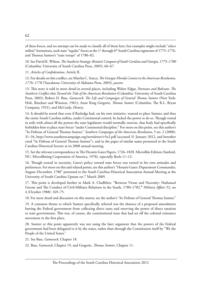of these forces, and no attempt can be made to classify all of them here, but examples might include "select militia" formations, such state "regular" forces as the 1<sup>st</sup> through 6<sup>th</sup> South Carolina regiments of 1775–1776, and Thomas Sumter's "state troops" of 1780–82.

10. See David K. Wilson, *The Southern Strategy: Britain's Conquest of South Carolina and Georgia, 1775–1780* (Columbia: University of South Carolina Press, 2005), 66–67.

11. *Articles of Confederation*, Article II.

12. For details on this conflict, see Martha C. Searcy, *The Georgia-Florida Contest in the American Revolution, 1776–1778* (Tuscaloosa: University of Alabama Press, 2003), *passim.*

13. This story is told in more detail in several places, including Walter Edgar, *Partisans and Redcoats: The Southern Conflict that Turned the Tide of the American Revolution* (Columbia: University of South Carolina Press, 2003); Robert D. Bass, *Gamecock: The Life and Campaigns of General Thomas Sumter* (New York: Holt, Rinehart and Winston, 1961); Anne King Gregorie, *Thomas Sumter* (Columbia: The R.L. Bryan Company, 1931); and McCrady, *History*.

14. It should be noted that even if Rutledge had, on his own initiative, wanted to place Sumter, and thus the entire South Carolina militia, under Continental control, he lacked the power to do so. Though vested in exile with *almost* all the powers the state legislature would normally exercise, that body had specifically forbidden him to place state forces "under Continental discipline." For more on this point, see this author's "In Defense of General Thomas Sumter," *Southern Campaigns of the American Revolution*, 5 no. 2 (2008): 31–34, http://www.southerncampaign.org/newsletter/v5n2.pdf (accessed 31 January 2012, and hereafter cited "In Defense of General Thomas Sumter"), and in the paper of similar name presented to the South Carolina Historical Society at its 2008 annual meeting.

15. See the relevant correspondence in The Horatio Gates Papers, 1726–1828. Microfilm Edition (Sanford, NC: Microfilming Corporation of America, 1978), especially Reels 11–12.

16. Though rooted in necessity, Gates's policy toward state forces was rooted in his own attitudes and preferences. For more on this and related points, see this author's "Horatio Gates: Department Commander, August–December, 1780" presented to the South Carolina Historical Association Annual Meeting at the University of South Carolina Upstate on 7 March 2009.

17. This point is developed further in Mark A. Clodfelter, "Between Virtue and Necessity: Nathanael Greene and The Conduct of Civil-Military Relations in the South, 1780–1782,**"** *Military Affairs* 52, no 4 (October 1988): 169–75.

18. For more detail and discussion on this matter, see the author's "In Defense of General Thomas Sumter."

19. A common theme to which Sumter specifically referred was the absence of a proposed amendment barring the Federal government from collecting direct taxes and reserving the power of direct taxation to state governments. This was, of course, the constitutional issue that had set off the colonial resistance movement in the first place.

20. Sumter at this point apparently was not using the later argument that the powers of the Federal government had been delegated to it by the states, rather than through the Constitution itself by "We the People of the United States."

21. See Bass, *Gamecock*, Chapter 18.

22. Bass, *Gamecock*, Chapter 19, and Gregorie, *Thomas Sumter*, Chapter 11.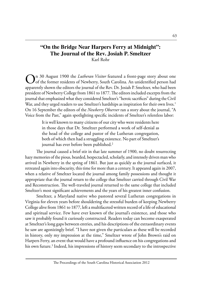### **"On the Bridge Near Harpers Ferry at Midnight": The Journal of the Rev. Josiah P. Smeltzer** Karl Rohr

On 30 August 1900 the *Lutheran Visitor* featured a front-page story about one<br>of the former residents of Newberry, South Carolina. An unidentified person had apparently shown the editors the journal of the Rev. Dr. Josiah P. Smeltzer, who had been president of Newberry College from 1861 to 1877. The editors included excerpts from the journal that emphasized what they considered Smeltzer's "heroic sacrifices" during the Civil War, and they urged readers to use Smeltzer's hardships as inspiration for their own lives.<sup>1</sup> On 16 September the editors of the *Newberry Observer* ran a story about the journal, "A Voice from the Past," again spotlighting specific incidents of Smeltzer's relentless labor:

> It is well known to many citizens of our city who were residents here in those days that Dr. Smeltzer performed a work of self-denial as the head of the college and pastor of the Lutheran congregation, both of which then had a struggling existence. No part of Smeltzer's journal has ever before been published.<sup>2</sup>

The journal caused a brief stir in that late summer of 1900, no doubt resurrecting hazy memories of the pious, bearded, bespectacled, scholarly, and intensely driven man who arrived in Newberry in the spring of 1861. But just as quickly as the journal surfaced, it retreated again into obscurity, this time for more than a century. It appeared again in 2007, when a relative of Smeltzer located the journal among family possessions and thought it appropriate that the journal return to the college that Smeltzer carried through Civil War and Reconstruction. The well-traveled journal returned to the same college that included Smeltzer's most significant achievements and the years of his greatest inner confusion.

Smeltzer, a Maryland native who pastored several Lutheran congregations in Virginia for eleven years before shouldering the stressful burden of keeping Newberry College alive from 1861 to 1877, left a multifaceted written record of a life of educational and spiritual service. Few have ever known of the journal's existence, and those who saw it probably found it curiously constructed. Readers today can become exasperated at Smeltzer's long gaps between entries, and his descriptions of the extraordinary events he saw are agonizingly brief. "I have not given the particulars as these will be recorded in history, only my impression at the time," Smeltzer wrote of John Brown's raid on Harpers Ferry, an event that would have a profound influence on his congregations and his own future.<sup>3</sup> Indeed, his impressions of history seem secondary to the introspective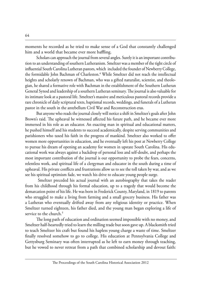moments he recorded as he tried to make sense of a God that constantly challenged him and a world that became ever more baffling.

Scholars can approach the journal from several angles. Surely it is an important contribution to an understanding of southern Lutheranism. Smeltzer was a member of the tight circle of influential South Carolina Lutheran pastors, which included the founder of Newberry College, the formidable John Bachman of Charleston.<sup>4</sup> While Smeltzer did not reach the intellectual heights and scholarly renown of Bachman, who was a gifted naturalist, scientist, and theologian, he shared a formative role with Bachman in the establishment of the Southern Lutheran General Synod and leadership of a southern Lutheran seminary. The journal is also valuable for its intimate look at a pastoral life. Smeltzer's massive and meticulous pastoral records provide a rare chronicle of daily scriptural texts, baptismal records, weddings, and funerals of a Lutheran pastor in the south in the antebellum Civil War and Reconstruction eras.

But anyone who reads the journal closely will notice a shift in Smeltzer's goals after John Brown's raid. The upheaval he witnessed affected his future path, and he became ever more immersed in his role as an educator. An exacting man in spiritual and educational matters, he pushed himself and his students to succeed academically, despite serving communities and parishioners who taxed his faith in the progress of mankind. Smeltzer also worked to offer women more opportunities in education, and he eventually left his post at Newberry College to pursue his dream of opening an academy for women in upstate South Carolina. His educational work was always against a backdrop of personal loss and self-doubt, and perhaps the most important contribution of the journal is our opportunity to probe the fears, concerns, relentless work, and spiritual life of a clergyman and educator in the south during a time of upheaval. His private conflicts and frustrations allow us to see the toll taken by war, and as we see his spiritual optimism fade, we watch his drive to educate young people surge.

 Smeltzer preceded his actual journal with an autobiography that takes the reader from his childhood through his formal education, up to a tragedy that would become the demarcation point of his life. He was born in Frederick County, Maryland, in 1819 to parents who struggled to make a living from farming and a small grocery business. His father was a Lutheran who eventually drifted away from any religious identity or practice. When Smeltzer turned eighteen, his father died, and the young man began exploring a life of service to the church.<sup>5</sup>

The long path of education and ordination seemed impossible with no money, and Smeltzer half-heartedly tried to learn the milling trade but soon gave up. A blacksmith tried to teach Smeltzer his craft but found his hapless young charge a waste of time. Smeltzer finally resolved somehow to go to college. His education at Pennsylvania College and Gettysburg Seminary was often interrupted as he left to earn money through teaching, but he vowed to never retreat from a path that combined scholarship and devout faith: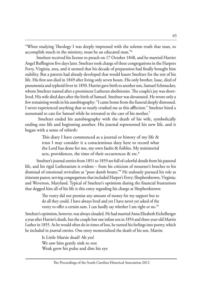"When studying Theology I was deeply impressed with the solemn truth that man, to accomplish much in the ministry, must be an educated man."<sup>6</sup>

Smeltzer received his license to preach on 17 October 1848, and he married Harriet Angel Buffington five days later. Smeltzer took charge of three congregations in the Harpers Ferry, Virginia, area, and it seemed that his decade of preparation had finally brought him stability. But a pattern had already developed that would haunt Smeltzer for the rest of his life. His first son died in 1849 after living only seven hours. His only brother, Isaac, died of pneumonia and typhoid fever in 1850. Harriet gave birth to another son, Samuel Schmucker, whom Smeltzer named after a prominent Lutheran abolitionist. The couple's joy was shortlived. His wife died days after the birth of Samuel. Smeltzer was devastated. He wrote only a few remaining words in his autobiography: "I came home from the funeral deeply distressed. I never experienced anything that so nearly crushed me as this affliction." Smeltzer hired a nursemaid to care for Samuel while he retreated to the care of his mother.<sup>7</sup>

 Smeltzer ended his autobiography with the death of his wife, symbolically ending one life and beginning another. His journal represented his new life, and it began with a sense of rebirth:

> This diary I have commenced as a journal or history of my life & trust I may consider it a conscientious duty here to record what the Lord has done for me, my own faults & foibles. My ministerial acts, providences, the time of their occurrences  $\&$  etc.<sup>8</sup>

Smeltzer's journal entries from 1851 to 1859 are full of colorful details from his pastoral life, and his rigid Lutheranism is evident – from his criticism of mourner's benches to his dismissal of emotional revivalists as "poor dumb brutes."<sup>9</sup> He zealously pursued his role as itinerant pastor, serving congregations that included Harper's Ferry; Shepherdstown, Virginia; and Weverton, Maryland. Typical of Smeltzer's optimism during the financial frustrations that dogged him all of his life is this entry regarding his charge at Shepherdstown:

> The vestry did not promise any amount of money for my support but to do all they could. I have always lived and yet I have never yet asked of the vestry to offer a certain sum. I can hardly say whether I am right or no.<sup>10</sup>

Smeltzer's optimism, however, was always clouded. He had married Anna Elizabeth Eichelberger a year after Harriet's death, but the couple lost one infant son in 1854 and three-year-old Martin Luther in 1855. As he would often do in times of loss, he turned his feelings into poetry, which he included in journal entries. One entry memorialized the death of his son, Martin:

> Is Little Martie dead? Ah yes! We saw him gently sink to rest Weak grew his pulse and dim his eye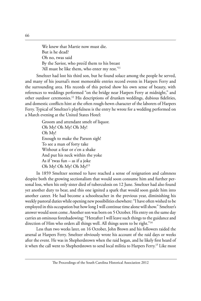We knew that Martie now must die. But is he dead? Oh no, twas said By the Savior, who pres'd them to his breast 'All must be like them, who enter my rest.'<sup>11</sup>

Smeltzer had lost his third son, but he found solace among the people he served, and many of his journal's most memorable entries record events in Harpers Ferry and the surrounding area. His records of this period show his own sense of beauty, with references to weddings performed "on the bridge near Harpers Ferry at midnight," and other outdoor ceremonies.<sup>12</sup> His descriptions of drunken weddings, dubious fidelities, and domestic conflicts hint at the often rough-hewn character of the laborers of Harpers Ferry. Typical of Smeltzer's playfulness is the entry he wrote for a wedding performed on a March evening at the United States Hotel:

> Groom and attendant smelt of liquor. Oh My! Oh My! Oh My! Oh My! Enough to make the Parson sigh! To see a man of forty take Without a fear or e'en a shake And put his neck within the yoke As if 'twas fun – as if a joke Oh My! Oh My! Oh My!<sup>13</sup>

In 1859 Smeltzer seemed to have reached a sense of resignation and calmness despite both the growing sectionalism that would soon consume him and further personal loss, when his only sister died of tuberculosis on 12 June. Smeltzer had also found yet another duty to bear, and this one ignited a spark that would soon guide him into another career. He had become a schoolteacher in the previous year, diminishing his weekly pastoral duties while opening new possibilities elsewhere: "I have often wished to be employed in this occupation but how long I will continue time alone will show." Smeltzer's answer would soon come. Another son was born on 5 October. His entry on the same day carries an ominous foreshadowing: "Hereafter I will leave such things to the guidance and direction of Him who orders all things well. All things seem to be right."<sup>14</sup>

Less than two weeks later, on 16 October, John Brown and his followers raided the arsenal at Harpers Ferry. Smeltzer obviously wrote his account of the raid days or weeks after the event. He was in Shepherdstown when the raid began, and he likely first heard of it when the call went to Shepherdstown to send local militia to Harpers Ferry.<sup>15</sup> Like most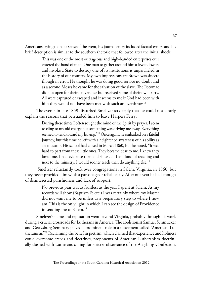Americans trying to make sense of the event, his journal entry included factual errors, and his brief description is similar to the southern rhetoric that followed after the initial shock:

> This was one of the most outrageous and high-handed enterprises ever entered the hand of man. One man to gather around him a few followers and invoke a State to destroy one of its institutions is unparalleled in the history of our country. My own impressions are Brown was sincere though in error. He thought he was doing good service no doubt and as a second Moses he came for the salvation of the slave. The Potomac did not open for their deliverance but received some of their own party. All were captured or escaped and it seems to me if God had been with him they would not have been met with such an overthrow.<sup>16</sup>

The events in late 1859 disturbed Smeltzer so deeply that he could not clearly explain the reasons that persuaded him to leave Harpers Ferry:

> During these times I often sought the mind of the Spirit by prayer. I seem to cling to my old charge but something was driving me away. Everything seemed to tend toward my leaving."<sup>17</sup> Once again, he embarked on a fateful journey, but this time he left with a heightened awareness of his ability as an educator. His school had closed in March 1860, but he noted, "It was hard to part from these little ones. They became dear to me. I knew they loved me. I had evidence then and since . . . I am fond of teaching and next to the ministry, I would sooner teach than do anything else.<sup>18</sup>

 Smeltzer reluctantly took over congregations in Salem, Virginia, in 1860, but they never provided him wiith a parsonage or reliable pay. After one year he had enough of disinterested parishioners and lack of support:

> No previous year was as fruitless as the year I spent at Salem. As my records will show (Baptism & etc.) I was certainly where my Master did not want me to be unless as a preparatory step to where I now am. This is the only light in which I can see the design of Providence in sending me to Salem.<sup>19</sup>

Smeltzer's name and reputation went beyond Virginia, probably through his work during a crucial crossroads for Lutherans in America. The abolitionist Samuel Schmucker and Gettysburg Seminary played a prominent role in a movement called "American Lutheranism."<sup>20</sup> Reclaiming the belief in pietism, which claimed that experience and holiness could overcome creeds and doctrines, proponents of American Lutheranism doctrinally clashed with Lutherans calling for stricter observance of the Augsburg Confession.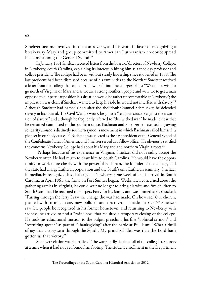Smeltzer became involved in the controversy, and his work in favor of recognizing a break-away Maryland group committed to American Lutheranism no doubt spread his name among the General Synod.<sup>21</sup>

In January 1861 Smeltzer received letters from the board of directors of Newberry College, in Newberry, South Carolina, explaining its interest in hiring him as a theology professor and college president. The college had been without steady leadership since it opened in 1858. The last president had been dismissed because of his family ties to the North.<sup>22</sup> Smeltzer received a letter from the college that explained how he fit into the college's plans: "We do not wish to go north of Virginia or Maryland as we are a strong southern people and were we to get a man opposed to our peculiar position his situation would be rather uncomfortable at Newberry"; the implication was clear: if Smeltzer wanted to keep his job, he would not interfere with slavery.<sup>23</sup> Although Smeltzer had named a son after the abolitionist Samuel Schmucker, he defended slavery in his journal. The Civil War, he wrote, began as a "religious crusade against the institution of slavery," and although he frequently referred to "this wicked war," he made it clear that he remained committed to the southern cause. Bachman and Smeltzer represented a growing solidarity around a distinctly southern synod, a movement in which Bachman called himself "a pioneer in our holy cause." <sup>24</sup> Bachman was elected as the first president of the General Synod of the Confederate States of America, and Smeltzer served as a fellow officer. He obviously satisfied the concerns Newberry College had about his Maryland and northern Virginia roots.<sup>25</sup>

 Perhaps because of his experience in Virginia, Smeltzer did not readily accept the Newberry offer. He had much to draw him to South Carolina. He would have the opportunity to work more closely with the powerful Bachman, the founder of the college, and the state had a large Lutheran population and the South's only Lutheran seminary. Smeltzer immediately recognized his challenge at Newberry. One week after his arrival in South Carolina in April 1861, the firing on Fort Sumter began. Weeks later, concerned about the gathering armies in Virginia, he could wait no longer to bring his wife and five children to South Carolina. He returned to Harpers Ferry for his family and was immediately shocked: "Passing through the ferry I saw the change the war had made. Oh how sad! Our church, planted with so much care, now polluted and destroyed. It made me sick."<sup>26</sup> Smeltzer saw few people he recognized in his former hometown, and returning to Newberry with sadness, he arrived to find a "swine pox" that required a temporary closing of the college. He took his educational mission to the pulpit, preaching his first "political sermon" and "recruiting speech" as part of "Thanksgiving" after the battle at Bull Run: "What a thrill of joy that victory sent through the South. My principal idea was that the Lord hath gotten us that victory."<sup>27</sup>

Smeltzer's elation was short-lived. The war rapidly depleted all of the college's resources at a time when it had not yet found firm footing. The student enrollment in the Department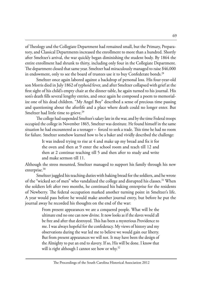of Theology and the Collegiate Department had remained small, but the Primary, Preparatory, and Classical Departments increased the enrollment to more than a hundred. Shortly after Smeltzer's arrival, the war quickly began diminishing the student body. By 1864 the entire enrollment had shrunk to thirty, including only four in the Collegiate Department. The department closed that same year. Smeltzer had miraculously managed to raise \$46,000 in endowment, only to see the board of trustees use it to buy Confederate bonds.<sup>28</sup>

Smeltzer once again labored against a backdrop of personal loss. His four-year-old son Morris died in July 1862 of typhoid fever, and after Smeltzer collapsed with grief at the first sight of his child's empty chair at the dinner table, he again turned to his journal. His son's death fills several lengthy entries, and once again he composed a poem to memorialize one of his dead children. "My Angel Boy" described a sense of precious time passing and questioning about the afterlife and a place where death could no longer enter. But Smeltzer had little time to grieve.<sup>29</sup>

The college had suspended Smeltzer's salary late in the war, and by the time Federal troops occupied the college in November 1865, Smeltzer was destitute. He found himself in the same situation he had encountered as a teenager – forced to seek a trade. This time he had no room for failure. Smeltzer somehow learned how to be a baker and vividly described the challenge:

> It was indeed trying to rise at 4 and make up my bread and fix it for the oven and then at 9 enter the school room and teach till 12 and then at 2 continue teaching till 5 and then after to study and write and make sermon till 11.

Although the stress mounted, Smeltzer managed to support his family through his new enterprise.<sup>30</sup>

Smeltzer juggled his teaching duties with baking bread for the soldiers, and he wrote of the "wicked set of men" who vandalized the college and disrupted his classes.<sup>31</sup> When the soldiers left after two months, he continued his baking enterprise for the residents of Newberry. The federal occupation marked another turning point in Smeltzer's life. A year would pass before he would make another journal entry, but before he put the journal away he recorded his thoughts on the end of the war:

> From present appearances we are a conquered people. What will be the ultimate end no one can now divine. It now looks as if the slaves would all be free and after that destroyed. This has been a mysterious Providence to me. I was always hopeful for the confederacy. My views of history and my observations during the war led me to believe we would gain our liberty. But from present appearances we will not. It may have been the design of the Almighty to put an end to slavery. If so, His will be done. I know that will is right although I cannot see how or why.<sup>32</sup>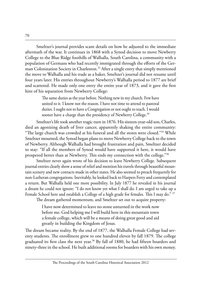Smeltzer's journal provides scant details on how he adjusted to the immediate aftermath of the war. It continues in 1868 with a Synod decision to move Newberry College to the Blue Ridge foothills of Walhalla, South Carolina, a community with a population of Germans who had recently immigrated through the efforts of the German Colonization Society in Charleston.<sup>33</sup> After a single entry that simply mentioned the move to Walhalla and his trade as a baker, Smeltzer's journal did not resume until four years later. His entries throughout Newberry's Walhalla period to 1877 are brief and scattered. He made only one entry the entire year of 1873, and it gave the first hint of his separation from Newberry College:

> The same duties as the year before. Nothing new in my church. Few have united to it. I know not the reason. I have not time to attend to pastoral duties. I ought not to have a Congregation or not ought to teach. I would sooner have a charge than the presidency of Newberry College.<sup>34</sup>

Smeltzer's life took another tragic turn in 1876. His sixteen-year-old son, Charles, died an agonizing death of liver cancer, apparently shaking the entire community: "The large church was crowded at his funeral and all the stores were closed."<sup>35</sup> While Smeltzer mourned, the Synod began plans to move Newberry College back to the town of Newberry. Although Walhalla had brought frustration and pain, Smeltzer decided to stay: "If all the members of Synod would have supported it here, it would have prospered better than at Newberry. This ends my connection with the college."36

Smeltzer never again wrote of his decision to leave Newberry College. Subsequent journal entries clearly show a sense of relief and mention his travels through beautiful mountain scenery and new contacts made in other states. He also seemed to preach frequently for non-Lutheran congregations. Inevitably, he looked back to Harpers Ferry and contemplated a return. But Walhalla held one more possibility. In July 1877 he revealed in his journal a dream he could not ignore: "I do not know yet what I shall do. I am urged to take up a Female School here and establish a College of a high grade for females. This I may do." 37

The dream gathered momentum, and Smeltzer set out to acquire property:

I have now determined to leave no stone unturned in the work now before me. God helping me I will build here in this mountain town a female college, which will be a means of doing great good and aid greatly in building the Kingdom of Jesus.

The dream became reality. By the end of 1877, the Walhalla Female College had seventy students. The enrollment grew to one hundred eleven by fall 1879. The college graduated its first class the next year.<sup>38</sup> By fall of 1880, he had fifteen boarders and ninety-three in the school. He built additional rooms for boarders with his own money.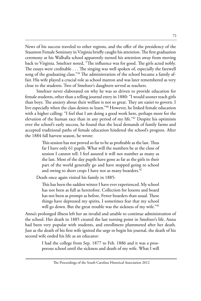News of his success traveled to other regions, and the offer of the presidency of the Staunton Female Seminary in Virginia briefly caught his attention. The first graduation ceremony at his Walhalla school apparently turned his attention away from moving back to Virginia. Smeltzer noted, "The influence was for good. The girls acted nobly. The essays were creditable . . . The singing was well spoken of, especially the farewell song of the graduating class."<sup>39</sup> The administration of the school became a family affair. His wife played a crucial role as school matron and was later remembered as very close to the students. Two of Smeltzer's daughters served as teachers.

Smeltzer never elaborated on why he was so driven to provide education for female students, other than a telling journal entry in 1880: "I would sooner teach girls than boys. The anxiety about their welfare is not so great. They are easier to govern. I live especially when the class desires to learn."<sup>40</sup> However, he linked female education with a higher calling: "I feel that I am doing a good work here, perhaps more for the elevation of the human race than in any period of my life."<sup>41</sup> Despite his optimism over the school's early success, he found that the local demands of family farms and accepted traditional paths of female education hindered the school's progress. After the 1884 fall harvest season, he wrote:

> This session has not proved so far to be as profitable as the last. Thus far I have only 61 pupils. What will the numbers be at the close of session I cannot tell. I feel assured it will not number as many as the last. Most of the day pupils have gone as far as the girls in their part of the world generally go and have stopped going to school and owing to short crops I have not as many boarders.<sup>42</sup>

Death once again visited his family in 1885:

This has been the saddest winter I have ever experienced. My school has not been as full as heretofore. Collection for lessons and board has not been as prompt as before. Fewer boarders than usual. These things have depressed my spirits, I sometimes fear that my school will go down. But the great trouble was the sickness of my wife."43

Anna's prolonged illness left her an invalid and unable to continue administration of the school. Her death in 1885 created the last turning point in Smeltzer's life. Anna had been very popular with students, and enrollment plummeted after her death. Just as the death of his first wife ignited the urge to begin his journal, the death of his second wife ended his life as an educator:

> I had the college from Sep. 1877 to Feb. 1886 and it was a prosperous school until the sickness and death of my wife. What I will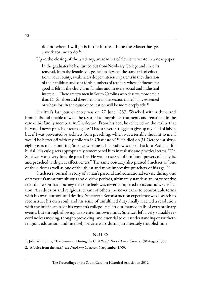do and where I will go is in the future. I hope the Master has yet a work for me to do.<sup>44</sup>

Upon the closing of the academy, an admirer of Smeltzer wrote in a newspaper:

In the graduates he has turned out from Newberry College and since its removal, from the female college, he has elevated the standards of education in our county, awakened a deeper interest in parents in the education of their children and sent forth numbers of teachers whose influence for good is felt in the church, in families and in every social and industrial interest. . . There are few men in South Carolina who deserve more credit than Dr. Smeltzer and there are none in this section more highly esteemed or whose loss in the cause of education will be more deeply felt.<sup>45</sup>

Smeltzer's last journal entry was on 27 June 1887. Wracked with asthma and bronchitis and unable to walk, he resorted to morphine treatments and remained in the care of his family members in Charleston. From his bed, he reflected on the reality that he would never preach or teach again: "I had a severe struggle to give up my field of labor, but if I was prevented by sickness from preaching, which was a terrible thought to me, I would be better off with my children in Charleston."46 He died on 31 October at sixtyeight years old. Honoring Smeltzer's request, his body was taken back to Walhalla for burial. His eulogizers appropriately remembered him in realistic and practical terms: "Dr. Smeltzer was a very forcible preacher. He was possessed of profound powers of analysis, and preached with great effectiveness." The same obituary also praised Smeltzer as "one of the oldest as well as one of the ablest and most impressive preachers of his age."<sup>47</sup>

Smeltzer's journal, a story of a man's pastoral and educational service during one of America's most tumultuous and divisive periods, ultimately stands as an introspective record of a spiritual journey that one feels was never completed to its author's satisfaction. An educator and religious servant of others, he never came to comfortable terms with his own purpose and destiny. Smeltzer's Reconstruction experience was a search to reconstruct his own soul, and his sense of unfulfilled duty finally reached a resolution with the brief success of his women's college. He left out many details of extraordinary events, but through allowing us to enter his own mind, Smeltzer left a very valuable record no less moving, thought-provoking, and essential to our understanding of southern religion, education, and intensely private wars during an intensely troubled time.

#### NOTES

- 1. John W. Horine, "The Seminary During the Civil War," *The Lutheran Observer*, 30 August 1900.
- 2. "A Voice from the Past," *The Newberry Observer*, 6 September 1900.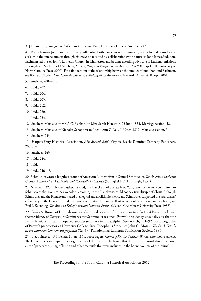3. J.P. Smeltzer, *The Journal of Josiah Pearce Smeltzer*, Newberry College Archive, 243.

4. Pennsylvanian John Bachman, a very influential Lutheran scholar and minister, also achieved considerable acclaim in the antebellum era through his essays on race and his collaborations with naturalist John James Audubon. Bachman led the St. John's Lutheran Church in Charleston and became a leading advocate of Lutheran missions among slaves. See Lester D. Stephens, *Science*, *Race, and Religion in the American South* (Chapel Hill: University of North Carolina Press, 2000). For a fine account of the relationship between the families of Audubon and Bachman, see Richard Rhodes, *John James Audubon: The Making of an American* (New York: Alfred A. Knopf, 2004).

- 5. Smeltzer, 200–201.
- 6. Ibid., 202.
- 7. Ibid., 204.
- 8. Ibid., 205.
- 9. Ibid., 212.
- 10. Ibid., 220.
- 11. Ibid., 233.

12. Smeltzer, Marriage of Mr. A.C. Fishback to Miss Sarah Hetewole, 23 June 1854, Marriage section, 52.

- 13. Smeltzer, Marriage of Nicholas Schoppert to Phebe Ann O'Dell, 5 March 1857, Marriage section, 54.
- 14. Smeltzer, 243.

15. Harpers Ferry Historical Association, *John Brown's Raid* (Virginia Beach: Donning Company Publishers, 2009), 42.

- 16. Smeltzer, 243.
- 17. Ibid., 244.
- 18. Ibid.
- 19. Ibid., 246–47.

20. Schmucker wrote a lengthy account of American Lutheranism in Samuel Schmucker, *The American Lutheran Church, Historically, Doctrinally, and Practically Delineated* (Springfield: D. Harbaugh, 1851).

21. Smeltzer, 242. Only one Lutheran synod, the Franckean of upstate New York, remained wholly committed to Schmucker's abolitionism. A slaveholder, according to the Franckeans, could not be a true disciple of Christ. Although Schmucker and the Franckeans shared theological and abolitionist views, and Schmucker supported the Franckeans' efforts to join the General Synod, the two never united. For an excellent account of Schmucker and abolition, see Paul P. Kuenning, *The Rise and Fall of American Lutheran Pietism* (Macon, GA: Mercer University Press, 1988).

22. James A. Brown of Pennsylvania was dismissed because of his northern ties. In 1864 Brown took over the presidency of Gettysburg Seminary after Schmucker resigned. Brown's presidency was so divisive that the Pennsylvania Ministerium opened another seminary in Philadelphia. See Gritsch, 191–92. For a biography of Brown's predecessor at Newberry College, Rev. Theophilus Stork, see John G. Morris, *The Stork Family in the Lutheran Church: Biographical Sketches* (Philadelphia: Lutheran Publication Society, 1886).

23. T.S. Boinset to J.P. Smeltzer, 21 Jan. 1861, Loose Papers, *Journal of Rev. J.P. Smeltzer*, 33 (hereafter Loose Papers). The Loose Papers accompany the original copy of the journal. The family that donated the journal also turned over a set of papers consisting of letters and other materials that were included in the bound volume of the journal.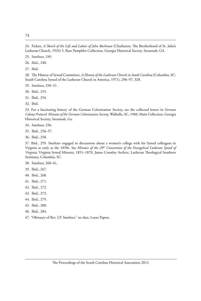24. Ficken, *A Sketch of the Life and Labors of John Bachman* (Charleston: The Brotherhood of St. John's Lutheran Church, 1924) 5. Rare Pamphlet Collection, Georgia Historical Society, Savannah, GA.

25. Smeltzer, 249.

26. Ibid., 248.

27. Ibid.

28. The History of Synod Committee, *A History of the Lutheran Church in South Carolina* (Columbia, SC: South Carolina Synod of the Lutheran Church in America, 1971), 296–97, 328.

29. Smeltzer, 250–51.

30. Ibid., 255.

31. Ibid., 254.

32. Ibid.

33. For a fascinating history of the German Colonization Society, see the collected letters in *German Colony Protocol: Minutes of the German Colonization Society*, Walhalla, SC, 1960, Main Collection, Georgia Historical Society, Savannah, Ga.

34. Smeltzer, 256.

35. Ibid., 256–57.

36. Ibid., 258.

37. Ibid., 259. Smeltzer engaged in discussions about a women's college with his Synod colleagues in Virginia as early as the 1850s. See *Minutes of the 29th Convention of the Evangelical Lutheran Synod of Virginia*, Virginia Synod Minutes, 1851–1870, James Crumley Archive, Lutheran Theological Southern Seminary, Columbia, SC.

38. Smeltzer, 260–61.

39. Ibid., 267.

- 40. Ibid., 268.
- 41. Ibid., 271.
- 42. Ibid., 272.
- 43. Ibid., 273.
- 44. Ibid., 279.
- 45. Ibid., 280.
- 46. Ibid., 284.

47. "Obituary of Rev. J.P. Smeltzer," no date, Loose Papers.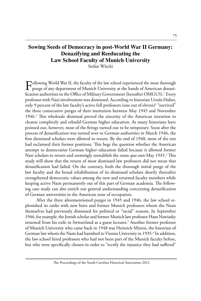# **Sowing Seeds of Democracy in post-World War II Germany: Denazifying and Reeducating the Law School Faculty of Munich University**

Stefan Wiecki

Following World War II, the faculty of the law school experienced the most thorough<br>purge of any department of Munich University at the hands of American denazification authorities in the Office of Military Government (hereafter OMGUS).<sup>1</sup> Every professor with Nazi involvement was dismissed. According to historian Ursula Huber, only 9 percent of the law faculty's active full professors (one out of eleven)<sup>2</sup> "survived" the three consecutive purges of their institution between May 1945 and November 1946.3 This wholesale dismissal proved the sincerity of the American intention to cleanse completely and rebuild German higher education. As many historians have pointed out, however, most of the firings turned out to be temporary. Soon after the process of denazification was turned over to German authorities in March 1946, the first dismissed scholars were allowed to return. By the end of 1948, most of the rest had reclaimed their former positions. This begs the question whether the American attempt to democratize German higher education failed because it allowed former Nazi scholars to return and seemingly reestablish the status quo ante May 1945.<sup>4</sup> This study will show that the return of most dismissed law professors did not mean that denazification had failed. On the contrary, both the thorough initial purge of the law faculty and the broad rehabilitation of its dismissed scholars shortly thereafter strengthened democratic values among the new and returned faculty members while keeping active Nazis permanently out of this part of German academia. The following case study can also enrich our general understanding concerning denazification of German universities in the American zone of occupation.

After the three aforementioned purges in 1945 and 1946, the law school replenished its ranks with new hires and former Munich professors whom the Nazis themselves had previously dismissed for political or "racial" reasons. In September 1946, for example, the Jewish scholar and former Munich law professor Hans Nawiasky returned from his exile in Switzerland as a guest lecturer.<sup>5</sup> Another former professor of Munich University who came back in 1948 was Heinrich Mitteis, the historian of German law whom the Nazis had banished to Vienna University in 1935.<sup>6</sup> In addition, the law school hired professors who had not been part of the Munich faculty before, but who were specifically chosen in order to "rectify the injustice they had suffered"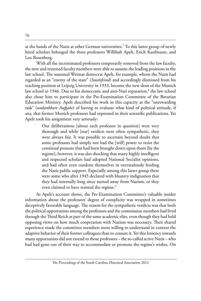at the hands of the Nazis at other German universities.7 To this latter group of newly hired scholars belonged the three professors Willibalt Apelt, Erich Kaufmann, and Leo Rosenberg.

With all the incriminated professors temporarily removed from the law faculty, the new and returned faculty members were able to assume the leading positions in the law school. The seasoned Weimar democrat Apelt, for example, whom the Nazis had regarded as an "enemy of the state" (*Staatsfeind*) and accordingly dismissed from his teaching position at Leipzig University in 1933, became the new dean of the Munich law school in 1946. Due to his democratic and anti-Nazi reputation,<sup>8</sup> the law school also chose him to participate in the Pre-Examination Committee of the Bavarian Education Ministry. Apelt described his work in this capacity as the "unrewarding task" (*undankbare Aufgabe*) of having to evaluate what kind of political attitude, if any, that former Munich professors had expressed in their scientific publications. Yet Apelt took his assignment very seriously:

> Our deliberations [about each professor in question] were very thorough and while [our] verdicts were often sympathetic, they were always fair. It was possible to ascertain beyond doubt that some professors had simply not had the [will] power to resist the continual pressure that had been brought down upon them [by the regime]; however, it was also shocking that many highly intelligent and respected scholars had adopted National Socialist opinions, and had often even outdone themselves in overzealously lending the Nazis public support. Especially among this latter group there were some who after 1945 declared with blustery indignation that they had internally long since turned away from Nazism, or they even claimed to have resisted the regime.<sup>9</sup>

As Apelt's account shows, the Pre-Examination Committee's valuable insider information about the professors' degree of complicity was wrapped in sometimes deceptively favorable language. The reason for the sympathetic verdicts was that both the political opportunists among the professors and the commission members had lived through the Third Reich as part of the same academic elite, even though they had held opposing views on how much cooperation with Nazism was necessary. Their shared experience made the committee members more willing to understand in context the adaptive behavior of their former colleagues than to censure it. Yet this leniency towards many opportunists did not extend to those professors – the so-called active Nazis – who had had gone out of their way to accommodate or promote the regime's wishes. On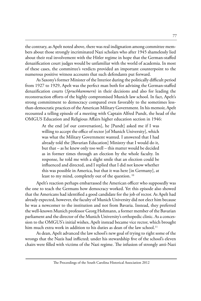the contrary, as Apelt noted above, there was real indignation among committee members about those strongly incriminated Nazi scholars who after 1945 shamelessly lied about their real involvement with the Hitler regime in hope that the German-staffed denazification court judges would be unfamiliar with the world of academia. In most of these cases, the committee's verdicts provided an important counterpoint to the numerous positive witness accounts that such defendants put forward.

As Saxony's former Minister of the Interior during the politically difficult period from 1927 to 1929, Apelt was the perfect man both for advising the German-staffed denazification courts (*Spruchkammern*) in their decisions and also for leading the reconstruction efforts of the highly compromised Munich law school. In fact, Apelt's strong commitment to democracy compared even favorably to the sometimes lessthan-democratic practices of the American Military Government. In his memoir, Apelt recounted a telling episode of a meeting with Captain Alfred Pundt, the head of the OMGUS Education and Religious Affairs higher education section in 1946:

> At the end [of our conversation], he [Pundt] asked me if I was willing to accept the office of rector [of Munich University], which was what the Military Government wanted. I answered that I had already told the [Bavarian Education] Ministry that I would do it, but that – as he knew only too well – this matter would be decided as in former times through an election by the whole faculty. In response, he told me with a slight smile that an election could be influenced and directed, and I replied that I did not know whether this was possible in America, but that it was here [in Germany], at least to my mind, completely out of the question.<sup>10</sup>

Apelt's reaction perhaps embarrassed the American officer who supposedly was the one to teach the Germans how democracy worked. Yet this episode also showed that the Americans had identified a good candidate for the job of rector. As Apelt had already expected, however, the faculty of Munich University did not elect him because he was a newcomer to the institution and not from Bavaria. Instead, they preferred the well-known Munich professor Georg Hohmann, a former member of the Bavarian parliament and the director of the Munich University's orthopedic clinic. As a concession to the OMGUS's initial wishes, Apelt instead became vice rector, which brought him much extra work in addition to his duties as dean of the law school.<sup>11</sup>

As dean, Apelt advanced the law school's new goal of trying to right some of the wrongs that the Nazis had inflicted; under his stewardship five of the school's eleven chairs were filled with victims of the Nazi regime. The infusion of strongly anti-Nazi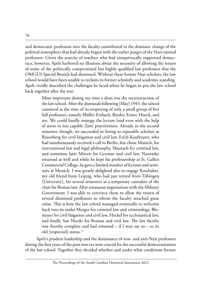and democratic professors into the faculty contributed to the dramatic change of the political atmosphere that had already begun with the earlier purges of the Nazi-tainted professors. Given the scarcity of teachers who had unequivocally supported democracy, however, Apelt harbored no illusions about the necessity of allowing the return of some of the politically compromised but highly qualified law professors that the OMGUS Special Branch had dismissed. Without these former Nazi scholars, the law school would have been unable to reclaim its former scholarly and academic standing. Apelt vividly described the challenges he faced when he began to put the law school back together after the war:

> Most important during my time a dean was the reconstruction of the law school. After the dismissals following [May] 1945, the school consisted at the time of its reopening of only a small group of five full professors, namely Müller-Erzbach, Riezler, Exner, Hueck, and me. We could hardly manage the lecture load even with the help of more or less capable [law] practitioners. Already in the second semester, though, we succeeded in hiring so reputable scholars as Rosenberg for civil litigation and civil law, Erich Kaufmann, who had simultaneously received a call to Berlin, but chose Munich, for international law and legal philosophy, Maurach for criminal law, and sometime later Mitteis for German and civil law. Nawiasky returned as well and while he kept his professorship at St. Gallen Commercial College, he gave a limited number of lectures and seminars at Munich. I was greatly delighted also to engage Koschaker, my old friend from Leipzig, who had just retired from Tübingen [University], for several semesters as a temporary caretaker of the chair for Roman law. After strenuous negotiations with the Military Government, I was able to convince them to allow the return of several dismissed professors to whom the faculty attached great value. This is how the law school managed eventually to welcome back into its midst Mezger for criminal law and criminology, Blomeyer for civil litigation and civil law, Heckel for ecclesiastical law, and finally San Nicolo for Roman and civil law. The law faculty was thereby complete and had returned  $-$  if I may say so  $-$  to its old [respected] status.<sup>12</sup>

Apelt's prudent leadership and the dominance of non- and anti-Nazi professors during the first years of the post-war era were crucial for the successful democratization of the law school. Together they decided whether and under what conditions former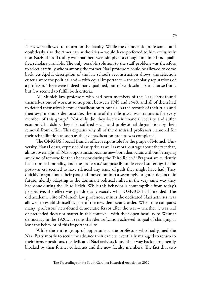Nazis were allowed to return on the faculty. While the democratic professors – and doubtlessly also the American authorities – would have preferred to hire exclusively non-Nazis, the sad reality was that there were simply not enough untainted and qualified scholars available. The only possible solution to the staff problem was therefore to select carefully whom among the former Nazi professors could be allowed to come back. As Apelt's description of the law school's reconstruction shows, the selection criteria were the political and – with equal importance – the scholarly reputations of a professor. There were indeed many qualified, out-of-work scholars to choose from, but few seemed to fulfill both criteria.

All Munich law professors who had been members of the Nazi Party found themselves out of work at some point between 1945 and 1948, and all of them had to defend themselves before denazification tribunals. As the records of their trials and their own memoirs demonstrate, the time of their dismissal was traumatic for every member of this group.<sup>13</sup> Not only did they lose their financial security and suffer economic hardship, they also suffered social and professional degradation by their removal from office. This explains why all of the dismissed professors clamored for their rehabilitation as soon as their denazification process was completed.

The OMGUS Special Branch officer responsible for the purge of Munich University, Hans Loeser, expressed his surprise as well as moral outrage about the fact that, almost overnight, all Nazi opportunists became new-born democrats without betraying any kind of remorse for their behavior during the Third Reich.<sup>14</sup> Pragmatism evidently had trumped morality, and the professors' supposedly undeserved sufferings in the post-war era seemed to have silenced any sense of guilt they might have had. They quickly forgot about their past and moved on into a seemingly brighter, democratic future, silently adapting to the dominant political milieu in the very same way they had done during the Third Reich. While this behavior is contemptible from today's perspective, the effect was paradoxically exactly what OMGUS had intended. The old academic elite of Munich law professors, minus the dedicated Nazi activists, was allowed to establish itself as part of the new democratic order. When one compares many professors' new-found democratic fervor after the war – whether it was real or pretended does not matter in this context – with their open hostility to Weimar democracy in the 1920s, it seems that denazification achieved its goal of changing at least the behavior of this important elite.

While the entire group of opportunists, the professors who had joined the Nazi Party mostly to secure or advance their careers, eventually managed to return to their former positions, the dedicated Nazi activists found their way back permanently blocked by their former colleagues and the new faculty members. The fact that two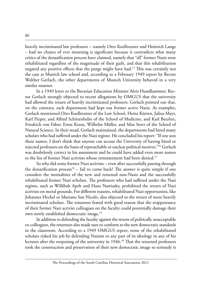heavily incriminated law professors – namely Otto Koellreutter and Heinrich Lange – had no chance of ever returning is significant because it contradicts what many critics of the denazification process have claimed, namely that "all" former Nazis were rehabilitated regardless of the magnitude of their guilt, and that this rehabilitation negated any positive effects that the purge might have had.15 This was certainly not the case at Munich law school and, according to a February 1949 report by Rector Walther Gerlach, the other departments of Munich University behaved in a very similar manner.

In a 1949 letter to the Bavarian Education Minister Alois Hundhammer, Rector Gerlach strongly objected to recent allegations by OMGUS that the university had allowed the return of heavily incriminated professors. Gerlach pointed out that, on the contrary, each department had kept out former active Nazis. As examples, Gerlach mentioned Otto Koellreutter of the Law School, Heinz Kürten, Julius Mayr, Karl Pieper, and Alfred Schittenhelm of the School of Medicine, and Karl Beurlen, Friedrich von Faber, Ernst Kraus, Wilhelm Müller, and Max Storz of the School of Natural Science. In their stead, Gerlach maintained, the departments had hired many scholars who had suffered under the Nazi regime. He concluded his report: "If one sees these names, I don't think that anyone can accuse the University of having hired or rejected professors on the basis of reproachable or unclear political motives."16 Gerlach was doubtlessly correct in his assessment and he could have added even more names to the list of former Nazi activists whose reinstatement had been denied.<sup>17</sup>

So why did some former Nazi activists – even after successfully passing through the denazification process<sup>18</sup> – fail to come back? The answer is quite simple if one considers the mentalities of the new and returned non-Nazis and the successfully rehabilitated former Nazi scholars. The professors who had suffered under the Nazi regime, such as Willibalt Apelt and Hans Nawiasky, prohibited the return of Nazi activists on moral grounds. For different reasons, rehabilitated Nazi opportunists, like Johannes Heckel or Mariano San Nicolo, also objected to the return of more heavily incriminated scholars. The returnees feared with good reason that the reappearance of their former Nazi activist colleagues on the faculty could potentially damage their own newly established democratic image.19

In addition to defending the faculty against the return of politically unacceptable ex-colleagues, the returnees also made sure to conform to the new democratic standards in the classroom. According to a 1949 OMGUS report, none of the rehabilitated scholars risked his job by defending Nazism or any part of its ideology in any of his lectures after the reopening of the university in 1946.<sup>20</sup> That the returned professors took the construction and preservation of their new democratic image so seriously is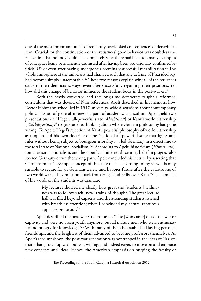one of the most important but also frequently overlooked consequences of denazification. Crucial for the continuation of the returnees' good behavior was doubtless the realization that nobody could feel completely safe; there had been too many examples of colleagues being permanently dismissed after having been provisionally confirmed by OMGUS or even after having undergone a seemingly successful rehabilitation.<sup>21</sup> The whole atmosphere at the university had changed such that any defense of Nazi ideology had become simply unacceptable.<sup>22</sup> These two reasons explain why all of the returnees stuck to their democratic ways, even after successfully regaining their positions. Yet how did this change of behavior influence the student body in the post-war era?

Both the newly converted and the long-time democrats taught a reformed curriculum that was devoid of Nazi references. Apelt described in his memoirs how Rector Hohmann scheduled in 1947 university-wide discussions about contemporary political issues of general interest as part of academic curriculum. Apelt held two presentations on "Hegel's all-powerful state [*Machtstaat*] or Kant's world citizenship [*Weltbürgertum*]?" to get students thinking about where German philosophy had gone wrong. To Apelt, Hegel's rejection of Kant's peaceful philosophy of world citizenship as utopian and his own doctrine of the "national all-powerful state that fights and rules without being subject to bourgeois morality . . . led Germany in a direct line to the total state of National Socialism."23 According to Apelt, historicism (*Historismus*), romanticism, nationalism, and the superficial nineteenth-century belief in progress also steered Germany down the wrong path. Apelt concluded his lecture by asserting that Germans must "develop a concept of the state that – according to my view – is only suitable to secure for us Germans a new and happier future after the catastrophe of two world wars. They must pull back from Hegel and rediscover Kant."<sup>24</sup> The impact of his words on the students was dramatic:

> My lectures showed me clearly how great the [students'] willingness was to follow such [new] trains-of-thought. The great lecture hall was filled beyond capacity and the attending students listened with breathless attention; when I concluded my lecture, rapturous applause broke out.25

Apelt described the post-war students as an "elite [who came] out of the war or captivity and were no green youth anymore, but all mature men who were enthusiastic and hungry for knowledge."26 With many of them he established lasting personal friendships, and the brightest of them advanced to become professors themselves. As Apelt's account shows, the post-war generation was not trapped in the ideas of Nazism that it had grown up with but was willing, and indeed eager, to move on and embrace new concepts and ideas. Hence, the American emphasis on purging the faculty of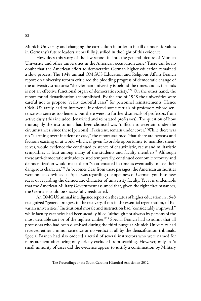Munich University and changing the curriculum in order to instill democratic values in Germany's future leaders seems fully justified in the light of this evidence.

How does this story of the law school fit into the general picture of Munich University and other universities in the American occupation zone? There can be no doubt that the American effort to democratize German higher education remained a slow process. The 1948 annual OMGUS Education and Religious Affairs Branch report on university reform criticized the plodding progress of democratic change of the university structures: "the German university is behind the times, and as it stands is not an effective functional organ of democratic society."<sup>27</sup> On the other hand, the report found denazification accomplished. By the end of 1948 the universities were careful not to propose "really doubtful cases" for personnel reinstatements. Hence OMGUS rarely had to intervene; it ordered some retrials of professors whose sentence was seen as too lenient, but there were no further dismissals of professors from active duty (this included denazified and reinstated professors). The question of how thoroughly the institutions had been cleansed was "difficult to ascertain under the circumstances, since these [persons], if existent, remain under cover." While there was no "alarming overt incident or case," the report assumed "that there are persons and factions existing or at work, which, if given favorable opportunity to manifest themselves, would evidence the continued existence of chauvinistic, racist and militaristic sympathies at least among many of the students and faculty members." Although these anti-democratic attitudes existed temporarily, continued economic recovery and democratization would make them "so attenuated in time as eventually to lose their dangerous character."28 As becomes clear from these passages, the American authorities were not as convinced as Apelt was regarding the openness of German youth to new ideas or regarding the democratic character of university faculty. Yet it is undeniable that the American Military Government assumed that, given the right circumstances, the Germans could be successfully reeducated.

An OMGUS annual intelligence report on the status of higher education in 1948 recognized "general progress in the recovery, if not in the essential regeneration, of Bavarian universities." Institutional morale and instruction had "considerably improved," while faculty vacancies had been steadily filled "although not always by persons of the most desirable sort or of the highest caliber."29 Special Branch had to admit that all professors who had been dismissed during the third purge at Munich University had received either a minor sentence or no verdict at all by the denazification tribunals. Special Branch had also ordered a retrial of several instructors who were named for reinstatement after being only briefly excluded from teaching. However, only in "a small minority of cases did the evidence appear to justify a continuation by Military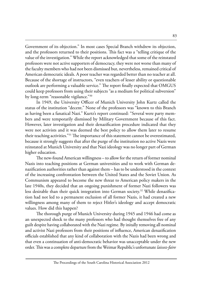Government of its objection." In most cases Special Branch withdrew its objection, and the professors returned to their positions. This fact was a "telling critique of the value of the investigation." While the report acknowledged that some of the reinstated professors were not active supporters of democracy, they were not worse than many of the faculty members who had not been dismissed but, nevertheless, remained critical of American democratic ideals. A poor teacher was regarded better than no teacher at all. Because of the shortage of instructors, "even teachers of lesser ability or questionable outlook are performing a valuable service." The report finally expected that OMGUS could keep professors from using their subjects "as a medium for political subversion" by long-term "reasonable vigilance."30

In 1949, the University Officer of Munich University John Kurtz called the status of the institution "decent." None of the professors was "known to this Branch as having been a fanatical Nazi." Kurtz's report continued: "Several were party members and were temporarily dismissed by Military Government because of this fact. However, later investigation and their denazification procedure indicated that they were not activists and it was deemed the best policy to allow them later to resume their teaching activities."<sup>31</sup> The importance of this statement cannot be overestimated, because it strongly suggests that after the purge of the institution no active Nazis were reinstated at Munich University and that Nazi ideology was no longer part of German higher education.

The new-found American willingness – to allow for the return of former nominal Nazis into teaching positions at German universities and to work with German denazification authorities rather than against them – has to be understood in the context of the increasing confrontation between the United States and the Soviet Union. As Communism appeared to become the new threat to American policy makers in the late 1940s, they decided that an ongoing punishment of former Nazi followers was less desirable than their quick integration into German society.<sup>32</sup> While denazification had not led to a permanent exclusion of all former Nazis, it had created a new willingness among many of them to reject Hitler's ideology and accept democratic values. How did this happen?

The thorough purge of Munich University during 1945 and 1946 had come as an unexpected shock to the many professors who had thought themselves free of any guilt despite having collaborated with the Nazi regime. By initally removing all nominal and activist Nazi professors from their positions of influence, American denazification officials established that any kind of collaboration with the Nazis had been wrong and that even a continuation of anti-democratic behavior was unacceptable under the new order. This was a complete departure from the Weimar Republic's unfortunate *laissez-faire*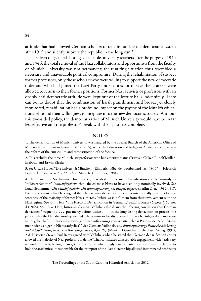attitude that had allowed German scholars to remain outside the democratic system after 1919 and silently subvert the republic in the long run.<sup>33</sup>

Given the general shortage of capable university teachers after the purges of 1945 and 1946, the total removal of the Nazi collaborators and opportunists from the faculty of Munich University was not permanent; the resulting situation thus resembled a necessary and unavoidable political compromise. During the rehabilitation of suspect former professors, only those scholars who were willing to support the new democratic order and who had joined the Nazi Party under duress or to save their careers were allowed to return to their former positions. Former Nazi activists or professors with an openly anti-democratic attitude were kept out of the lecture halls indefinitely. There can be no doubt that the combination of harsh punishment and broad, yet closely monitored, rehabilitation had a profound impact on the psyche of the Munich educational elite and their willingness to integrate into the new democratic society. Without this two-sided policy, the democratization of Munich University would have been far less effective and the professors' break with their past less complete.

#### **NOTES**

1. The denazification of Munich University was handled by the Special Branch of the American Office of Military Government in Germany (OMGUS), while the Education and Religious Affairs Branch oversaw the reform of the curriculum and reconstruction of the faculty.

2. This excludes the three Munich law professors who had emeritus status (Fritz van Calker, Rudolf Müller-Erzbach, and Erwin Riezler).

3. See Ursula Huber, "Die Universität München – Ein Bericht über den Fortbestand nach 1945" in: Friedrich Prinz, ed., *Trümmerzeit in München* (Munich: C.H. Beck, 1984), 392.

4. Historian Lutz Niethammer, for instance, described the German denazification courts famously as "follower factories" (*Mitläuferfabrik*) that labeled most Nazis to have been only nominally involved. See Lutz Niethammer, *Die Mitläuferfabrik: Die Entnazifizierung am Beispiel Bayerns* (Berlin: Dietz, 1982), 517. Political scientist John Herz argued that the German denazification courts intentionally downgraded the sentences of the majority of former Nazis, thereby "white-washing" them from their involvement with the Nazi regime. See John Herz, "The Fiasco of Denazification in Germany," *Political Science Quarterly* 63, no. 4 (1948): 589. Like Herz, historian Clemens Vollnhals also draws the sobering conclusion that German denazifiers "frequently . . . put mercy before justice . . . . In the long-lasting denazification process, the personnel of the Nazi dictatorship seemed to have more or less disappeared ( . . . noch häufiger aber Gnade vor Recht gehen ließ. . . . In dem langwierigen Entnazifizierungsprozess hatte sich das Personal der NS-Diktatur mehr oder weniger in Nichts aufgelöst)." See Clemens Vollnhals, ed., *Entnazifizierung: Politische Säuberung und Rehabilitierung in den vier Besatzungszonen 1945–1949* (Munich: Deutscher Taschenbuch Verlag, 1991), 23f. Historian Steven Paul Remy agreed with Vollnhals when he stated that German denazification courts allowed the majority of Nazi professors to define "what constituted unacceptable engagement with Nazis very narrowly," thereby letting them get away with overwhelmingly lenient sentences. For Remy, the failure to hold the academic elite responsible for their support of the Nazi dictatorship allowed incriminated professors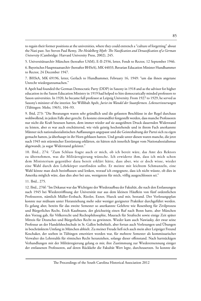to regain their former positions at the universities, where they could entrench a "culture of forgetting" about the Nazi past. See Steven Paul Remy, *The Heidelberg Myth: The Nazification and Denazification of a German University* (Cambridge: Harvard University Press, 2002), 245.

5. Universitätsarchiv München (hereafter UAM), E-II-2556, letter, Fendt to Rector, 12 September 1946.

6. Bayerisches Hauptstaatsarchiv (hereafter BHStA), MK 44033, Bavarian Education Minister Hundhammer to Rector, 24 December 1947.

7. BHStA, MK 69196, letter, Gerlach to Hundhammer, February 16, 1949: "um das ihnen angetane Unrecht wiedergutzumachen."

8.Apelt had founded the German Democratic Party (DDP) in Saxony in 1918 and as the advisor for higher education in the Saxon Education Ministry in 1919 had helped to hire democratically minded professors to Saxon universities. In 1920, he became full professor at Leipzig University. From 1927 to 1929, he served as Saxony's minister of the interior. See Willibalt Apelt, *Jurist im Wandel der Staatsformen. Lebenserinnerungen* (Tübingen: Mohr, 1965), 104–93.

9. Ibid, 273: "Die Beratungen waren sehr gründlich und die gefassten Beschlüsse in der Regel durchaus wohlwollend, in jedem Falle aber gerecht. Es konnte einwandfrei festgestellt werden, dass manche Professoren nur nicht die Kraft besessen hatten, dem immer wieder auf sie ausgeübten Druck dauernden Widerstand zu leisten, aber es war auch erschütternd, wie viele geistig hochstehende und in ihrem Fach anerkannte Männer sich nationalsozialistischen Auffassungen angepasst und die Geisteshaltung der Partei sich zu eigen gemacht hatten, ja überhaupt in ihr Horn geblasen hatten. Und gerade unter diesen waren manche, die jetzt nach 1945 mit stürmischer Entrüstung erklärten, sie hätten sich innerlich längst vom Nationalsozialismus abgewandt, ja sogar Widerstand geleistet."

10. Ibid., 274: "Zum Schluss fragte auch er mich, ob ich bereit wäre, das Amt des Rektors zu übernehmen, was die Militärregierung wünsche. Ich erwiderte ihm, dass ich mich schon dem Ministerium gegenüber dazu bereit erklärt hätte, dass aber, wie er doch wisse, wieder eine Wahl durch den Lehrkörper stattfinden sollte. Er meinte mit leichtem Schmunzeln, eine Wahl könne man doch beeinflussen und lenken, worauf ich entgegnete, dass ich nicht wüsste, ob dies in Amerika möglich wäre, dass dies aber bei uns, wenigstens für mich, völlig ausgeschlossen sei."

11. Ibid., 275.

12. Ibid., 276f: "Im Dekanat war das Wichtigste der Wiederaufbau der Fakultät, die nach den Entlassungen nach 1945 bei Wiedereröffnung der Universität nur aus dem kleinen Häuflein von fünf ordentlichen Professoren, nämlich Müller-Erzbach, Riezler, Exner, Hueck und mir, bestand. Der Vorlesungsplan konnte nur mühsam unter Heranziehung mehr oder weniger geeigneter Praktiker durchgeführt werden. Es gelang aber, bereits für das zweite Semester so anerkannte Gelehrte wie Rosenberg für Zivilprozess und Bürgerliches Recht, Erich Kaufmann, der gleichzeitig einen Ruf nach Bonn hatte, aber München den Vorzug gab, für Völkerrecht und Rechtsphilosophie, Maurach für Strafrecht sowie einige Zeit später Mitteis für Deutsches und Bürgerliches Recht zu gewinnen. Wieder kam auch Nawiasky, der zwar seine Professur an der Handelshochschule in St. Gallen beibehielt, aber fortan auch Vorlesungen und Übungen in beschränktem Umfang in München abhielt. Zu meiner Freude ließ sich auch mein alter Leipziger Freund Koschaker, der soeben in Tübingen emeritiert worden war, für mehrere Semester als kommissarischer Verwalter des Lehrstuhls für römisches Recht heranziehen, solange dieser offenstand. Nach hartnäckigen Verhandlungen mit der Militärregierung gelang es mir, ihre Zustimmung zur Wiederernennung einiger der entlassenen Professoren, auf deren Rückkehr die Fakultät Wert legte, durchzusetzen. So konnte die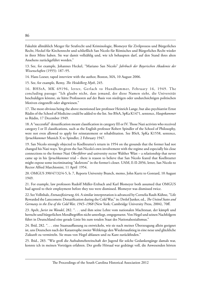Fakultät allmählich Mezger für Strafrecht und Kriminologie, Blomeyer für Zivilprozess und Bürgerliches Recht, Heckel für Kirchenrecht und schließlich San Nicolo für Römisches und Bürgerliches Recht wieder in ihrer Mitte haben. Sie war damit vollzählig und, wie ich behaupten darf, auf den Stand ihres alten Ansehens zurückgeführt worden."

13. See, for example, Johannes Heckel, "Mariano San Nicolo" *Jahrbuch der Bayerischen Akademie der Wissenschaften* (1955): 187–95.

14. Hans Loeser, taped interview with the author, Boston, MA, 10 August 2006.

15. See, for example, Remy, *The Heidelberg Myth*, 245.

16. BHStA, MK 69196, letter, Gerlach to Hundhammer, February 16, 1949. The concluding passage: "Ich glaube nicht, dass jemand, der diese Namen sieht, die Universität beschuldigen könnte, sie hätte Professoren auf der Basis von niedrigen oder undurchsichtigen politischen Motiven eingestellt oder abgewiesen."

17. The most obvious being the above mentioned law professor Heinrich Lange, but also psychiatrist Ernst Rüdin of the School of Medicine could be added to the list. See BStA, SpKa K1471, sentence, *Hauptkammer* to Rüdin, 17 December 1949.

18. A "successful" denazification meant classification in category III or IV. Those Nazi activists who received category I or II classifications, such as the English professor Robert Spindler of the School of Philosophy, were not even allowed to apply for reinstatement or rehabilitation. See BStA, SpKa K1558, sentence, *Spruchkammer* Munich X to Spindler, 2 February 1947.

19. San Nicolo strongly objected to Koellreutter's return in 1954 on the grounds that the former had not changed his Nazi ways. Yet given the San Nicolo's own involvement with the regime and especially his close connections to the former Nazi *Oberführer* and university rector Walther Wüst – a relationship that never came up in his *Spruchkammer* trial – there is reason to believe that San Nicolo feared that Koellreutter might expose some incriminating "skeletons" in the former's closet. UAM, E-II-2056, letter, San Nicolo to Rector Alfred Marchionini, 11 April 1954.

20. OMGUS 390/47/32/4-5, b. 7, Reports University Branch, memo, John Kurtz to Gontard, 10 August 1949.

21. For example, law professors Rudolf Müller-Erzbach and Karl Blomeyer both assumed that OMGUS had agreed to their employment before they too were dismissed. Blomeyer was dismissed twice.

22.See Vollnhals, *Entnazifizierung*, 64. A similar interpretation is advanced by Cornelia Rauh-Kühne, "Life Rewarded the Latecomers: Denazification during the Cold War," in: Detlef Junker, ed., *The United States and Germany in the Era of the Cold War, 1945–1968* (New York: Cambridge University Press, 2004), 70ff.

23. Apelt, *Jurist im Wandel*, 282. ". . . und ihm seine Lehre vom nationalen Machtstaat, der kämpft und herrscht und bürgerlichen Moralbegriffen nicht unterliegt, entgegensetzt. Von Hegel und seinen Nachfolgern führt in Deutschland eine gerade Linie bis zum totalen Staat des Nationalsozialismus."

24. Ibid, 282. ". . . eine Staatsauffassung zu entwickeln, wie sie nach meiner Überzeugung allein geeignet ist, uns Deutschen nach der Katastrophe zweier Weltkriege den Wiedersaufstieg in eine neue und glückliche Zukunft zu vermitteln. Sie muss von Hegel ablassen und zu Kant zurückfinden."

25. Ibid., 283. "Wie groß die Aufnahmebereitschaft der Jugend für solche Gedankengänge damals war, konnte ich in meinen Vorträgen erfahren. Der große Hörsaal war gedrängt voll, die Anwesenden hörten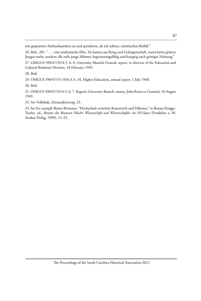mit gespannter Aufmerksamkeit zu und spendeten, als ich schloss, stürmischen Beifall."

26. Ibid., 281. " . . . eine studentische Elite. Sie kamen aus Krieg und Gefangenschaft, waren keine grünen Jungen mehr, sondern alle reife junge Männer, begeisterungsfähig und hungrig nach geistiger Nahrung."

27. OMGUS 390/47/32/4-5, b. 8, University Munich General, report, to director of the Education and Cultural Relations Division, 18 February 1949.

28. Ibid.

29. OMGUS 390/47/15-16/6-3, b. 34, Higher Education, annual report, 1 July 1948.

30. Ibid.

31. OMGUS 390/47/32/4-5, b. 7, Reports University Branch, memo, John Kurtz to Gontard, 10 August 1949.

32. See Vollnhals, *Entnazifizierung*, 23.

33. See for example Bruno Reimann, "Hochschule zwischen Kaiserreich und Diktatur," in Renate Knigge-Tesche, ed., *Berater der Braunen Macht: Wissenschaft und Wissenschaftler im NS-Staat* (Frankfurt a. M: Anabas-Verlag, 1999), 11–25.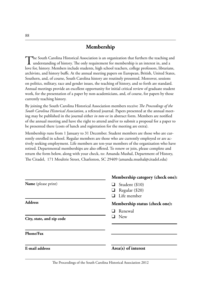# **Membership**

The South Carolina Historical Association is an organization that furthers the teaching and understanding of history. The only requirement for membership is an interest in, and a love for, history. Members include students, high school teachers, college professors, librarians, archivists, and history buffs. At the annual meeting papers on European, British, United States, Southern, and, of course, South Carolina history are routinely presented. Moreover, sessions on politics, military, race and gender issues, the teaching of history, and so forth are standard. Annual meetings provide an excellent opportunity for initial critical review of graduate student work, for the presentation of a paper by non-academicians, and, of course, for papers by those currently teaching history.

By joining the South Carolina Historical Association members receive *The Proceedings of the South Carolina Historical Association*, a refereed journal. Papers presented at the annual meeting may be published in the journal either *in toto* or in abstract form. Members are notified of the annual meeting and have the right to attend and/or to submit a proposal for a paper to be presented there (costs of lunch and registration for the meeting are extra).

Membership runs from 1 January to 31 December. Student members are those who are currently enrolled in school. Regular members are those who are currently employed or are actively seeking employment. Life members are ten-year members of the organization who have retired. Departmental memberships are also offered. To renew or join, please complete and return the form below, along with your check, to: Amanda Mushal, Department of History, The Citadel, 171 Moultrie Street, Charleston, SC 29409 (amanda.mushal@citadel.edu)

| Membership category (check one):                              |
|---------------------------------------------------------------|
| $\Box$ Student (\$10)<br>Regular (\$20)<br>$\Box$ Life member |
| Membership status (check one):                                |
| $\Box$ Renewal                                                |
| $\Box$ New                                                    |
|                                                               |
| $Area(s)$ of interest                                         |
|                                                               |

The Proceedings of the South Carolina Historical Association 2012

 $\overline{a}$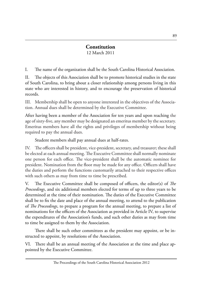#### **Constitution** 12 March 2011

I. The name of the organization shall be the South Carolina Historical Association.

II. The objects of this Association shall be to promote historical studies in the state of South Carolina, to bring about a closer relationship among persons living in this state who are interested in history, and to encourage the preservation of historical records.

III. Membership shall be open to anyone interested in the objectives of the Association. Annual dues shall be determined by the Executive Committee.

After having been a member of the Association for ten years and upon reaching the age of sixty-five, any member may be designated an emeritus member by the secretary. Emeritus members have all the rights and privileges of membership without being required to pay the annual dues.

Student members shall pay annual dues at half-rates.

IV. The officers shall be president, vice-president, secretary, and treasurer; these shall be elected at each annual meeting. The Executive Committee shall normally nominate one person for each office. The vice-president shall be the automatic nominee for president. Nomination from the floor may be made for any office. Officers shall have the duties and perform the functions customarily attached to their respective offices with such others as may from time to time be prescribed.

V. The Executive Committee shall be composed of officers, the editor(s) of *The Proceedings*, and six additional members elected for terms of up to three years to be determined at the time of their nomination. The duties of the Executive Committee shall be to fix the date and place of the annual meeting, to attend to the publication of *The Proceedings*, to prepare a program for the annual meeting, to prepare a list of nominations for the officers of the Association as provided in Article IV, to supervise the expenditures of the Association's funds, and such other duties as may from time to time be assigned to them by the Association.

There shall be such other committees as the president may appoint, or be instructed to appoint, by resolutions of the Association.

VI. There shall be an annual meeting of the Association at the time and place appointed by the Executive Committee.

The Proceedings of the South Carolina Historical Association 2012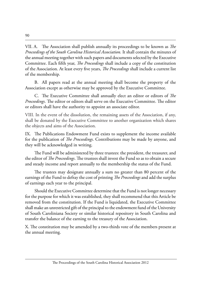VII. A. The Association shall publish annually its proceedings to be known as *The Proceedings of the South Carolina Historical Association.* It shall contain the minutes of the annual meeting together with such papers and documents selected by the Executive Committee. Each fifth year, *The Proceedings* shall include a copy of the constitution of the Association. At least every five years, *The Proceedings* shall include a current list of the membership.

B. All papers read at the annual meeting shall become the property of the Association except as otherwise may be approved by the Executive Committee.

C. The Executive Committee shall annually elect an editor or editors of *The* Proceedings. The editor or editors shall serve on the Executive Committee. The editor or editors shall have the authority to appoint an associate editor.

VIII. In the event of the dissolution, the remaining assets of the Association, if any, shall be donated by the Executive Committee to another organization which shares the objects and aims of the Association.

IX. The Publications Endowment Fund exists to supplement the income available for the publication of *The Proceedings*. Contributions may be made by anyone, and they will be acknowledged in writing.

The Fund will be administered by three trustees: the president, the treasurer, and the editor of *The Proceedings*. The trustees shall invest the Fund so as to obtain a secure and steady income and report annually to the membership the status of the Fund.

The trustees may designate annually a sum no greater than 80 percent of the earnings of the Fund to defray the cost of printing *The Proceedings* and add the surplus of earnings each year to the principal.

Should the Executive Committee determine that the Fund is not longer necessary for the purpose for which it was established, they shall recommend that this Article be removed from the constitution. If the Fund is liquidated, the Executive Committee shall make an unrestricted gift of the principal to the endowment fund of the University of South Caroliniana Society or similar historical repository in South Carolina and transfer the balance of the earning to the treasury of the Association.

X. The constitution may be amended by a two-thirds vote of the members present at the annual meeting.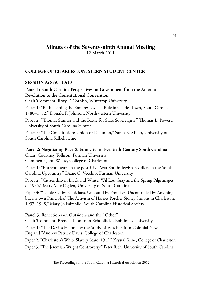# **Minutes of the Seventy-ninth Annual Meeting**

12 March 2011

# **COLLEGE OF CHARLESTON, STERN STUDENT CENTER**

#### **SESSION A: 8:50–10:10**

**Panel 1: South Carolina Perspectives on Government from the American Revolution to the Constitutional Convention**

Chair/Comment: Rory T. Cornish, Winthrop University

Paper 1: "Re-Imagining the Empire: Loyalist Rule in Charles Town, South Carolina, 1780–1782," Donald F. Johnson, Northwestern University

Paper 2: "Thomas Sumter and the Battle for State Sovereignty," Thomas L. Powers, University of South Carolina Sumter

Paper 3: "The Constitution: Union or Disunion," Sarah E. Miller, University of South Carolina Salkehatchie

**Panel 2: Negotiating Race & Ethnicity in Twentieth-Century South Carolina** Chair: Courtney Tollison, Furman University Comment: John White, College of Charleston

Paper 1: "Entrepreneurs in the post-Civil War South: Jewish Peddlers in the South-Carolina Upcountry," Diane C. Vecchio, Furman University

Paper 2: "Citizenship in Black and White: Wil Lou Gray and the Spring Pilgrimages of 1935," Mary Mac Ogden, University of South Carolina

Paper 3: "'Unblessed by Politicians, Unbound by Promises, Uncontrolled by Anything but my own Principles:' The Activism of Harriet Porcher Stoney Simons in Charleston, 1937–1948," Mary Jo Fairchild, South Carolina Historical Society

#### **Panel 3: Reflections on Outsiders and the "Other"**

Chair/Comment: Brenda Thompson-Schoolfield, Bob Jones University

Paper 1: "The Devil's Helpmate: the Study of Witchcraft in Colonial New England,"Andrew Patrick Davis, College of Charleston

Paper 2: "Charleston's White Slavery Scare, 1912," Krystal Kline, College of Charleston

Paper 3: "The Jeremiah Wright Controversy," Peter Rich, University of South Carolina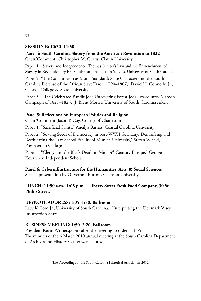# **SESSION B: 10:30–11:50**

# **Panel 4: South Carolina Slavery from the American Revolution to 1822** Chair/Comment: Christopher M. Curtis, Claflin University

Paper 1: "Slavery and Independence: Thomas Sumter's Law and the Entrenchment of Slavery in Revolutionary Era South Carolina," Justin S. Liles, University of South Carolina

Paper 2: "The Constitution as Moral Standard: State Character and the South Carolina Defense of the African Slave Trade, 1790–1807," David H. Connolly, Jr., Georgia College & State University

Paper 3: "'The Celebrated Bandit Joe': Uncovering Forest Joe's Lowcountry Maroon Campaign of 1821–1823," J. Brent Morris, University of South Carolina Aiken

#### **Panel 5: Reflections on European Politics and Religion**

Chair/Comment: Jason P. Coy, College of Charleston

Paper 1: "Sacrificial Saints," Aneilya Barnes, Coastal Carolina University

Paper 2: "Sowing Seeds of Democracy in post-WWII Germany: Denazifying and Reeducating the Law School Faculty of Munich University," Stefan Wiecki, Presbyterian College

Paper 3: "Clergy and the Black Death in Mid 14<sup>th</sup> Century Europe," George Kovatchev, Independent Scholar

**Panel 6: Cyberinfrastructure for the Humanities, Arts, & Social Sciences** Special presentation by O. Vernon Burton, Clemson University

# **LUNCH: 11:50 a.m.–1:05 p.m. – Liberty Street Fresh Food Company, 30 St. Philip Street.**

#### **KEYNOTE ADDRESS: 1:05–1:50, Ballroom**

Lacy K. Ford Jr., University of South Carolina: "Interpreting the Denmark Vesey Insurrection Scare"

#### **BUSINESS MEETING: 1:50–2:20, Ballroom**

President Kevin Witherspoon called the meeting to order at 1:55. The minutes of the 6 March 2010 annual meeting at the South Carolina Department of Archives and History Center were approved.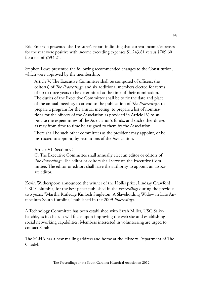Eric Emerson presented the Treasurer's report indicating that current income/expenses for the year were positive with income exceeding expenses \$1,243.81 versus \$709.60 for a net of \$534.21.

Stephen Lowe presented the following recommended changes to the Constitution, which were approved by the membership:

Article V. The Executive Committee shall be composed of officers, the editor(s) of *The Proceedings*, and six additional members elected for terms of up to three years to be determined at the time of their nomination. The duties of the Executive Committee shall be to fix the date and place of the annual meeting, to attend to the publication of *The Proceedings*, to prepare a program for the annual meeting, to prepare a list of nominations for the officers of the Association as provided in Article IV, to supervise the expenditures of the Association's funds, and such other duties as may from time to time be assigned to them by the Association.

There shall be such other committees as the president may appoint, or be instructed to appoint, by resolutions of the Association.

Article VII Section C

C. The Executive Committee shall annually elect an editor or editors of *The Proceedings*. The editor or editors shall serve on the Executive Committee. The editor or editors shall have the authority to appoint an associate editor.

Kevin Witherspoon announced the winner of the Hollis prize, Lindsay Crawford, USC Columbia, for the best paper published in the *Proceedings* during the previous two years: "Martha Rutledge Kinloch Singleton: A Slaveholding Widow in Late Antebellum South Carolina," published in the 2009 *Proceedings*.

A Technology Committee has been established with Sarah Miller, USC Salkehatchie, as its chair. It will focus upon improving the web site and establishing social networking capabilities. Members interested in volunteering are urged to contact Sarah.

The SCHA has a new mailing address and home at the History Department of The Citadel.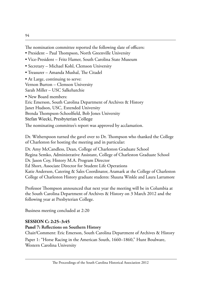- President Paul Thompson, North Greenville University
- Vice-President Fritz Hamer, South Carolina State Museum
- Secretary Michael Kohl, Clemson University
- Treasurer Amanda Mushal, The Citadel

• At Large, continuing to serve: Vernon Burton – Clemson University Sarah Miller – USC Salkehatchie

• New Board members:

Eric Emerson, South Carolina Department of Archives & History Janet Hudson, USC, Extended University Brenda Thompson-Schoolfield, Bob Jones University Stefan Wiecki, Presbyterian College The nominating committee's report was approved by acclamation.

Dr. Witherspoon turned the gavel over to Dr. Thompson who thanked the College of Charleston for hosting the meeting and in particular:

Dr. Amy McCandless, Dean, College of Charleston Graduate School Regina Semko, Administrative Assistant, College of Charleston Graduate School Dr. Jason Coy, History M.A. Program Director Ed Short, Associate Director for Student Life Operations Katie Anderson, Catering & Sales Coordinator, Aramark at the College of Charleston College of Charleston History graduate students: Shauna Winkle and Laura Larramore

Professor Thompson announced that next year the meeting will be in Columbia at the South Carolina Department of Archives & History on 3 March 2012 and the following year at Presbyterian College.

Business meeting concluded at 2:20

# **SESSION C: 2:25–3:45**

# **Panel 7: Reflections on Southern History**

Chair/Comment: Eric Emerson, South Carolina Department of Archives & History

Paper 1: "Horse Racing in the American South, 1660–1860," Hunt Boulware, Western Carolina University